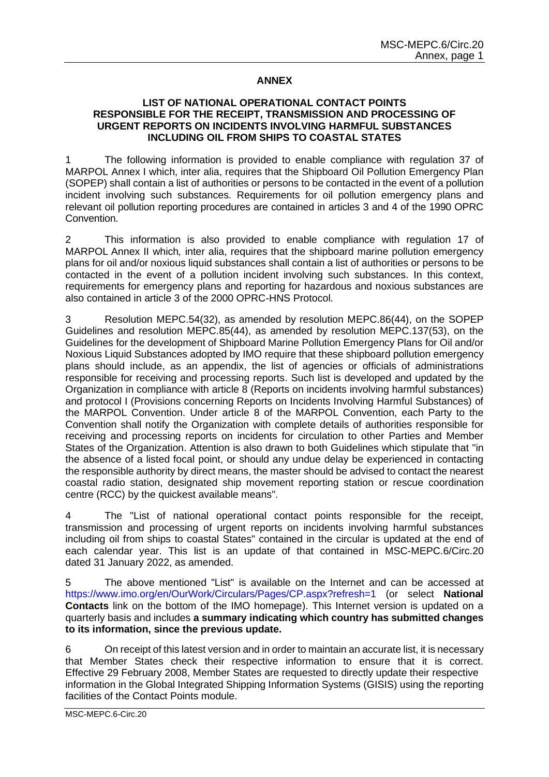# **ANNEX**

## **LIST OF NATIONAL OPERATIONAL CONTACT POINTS RESPONSIBLE FOR THE RECEIPT, TRANSMISSION AND PROCESSING OF URGENT REPORTS ON INCIDENTS INVOLVING HARMFUL SUBSTANCES INCLUDING OIL FROM SHIPS TO COASTAL STATES**

1 The following information is provided to enable compliance with regulation 37 of MARPOL Annex I which, inter alia, requires that the Shipboard Oil Pollution Emergency Plan (SOPEP) shall contain a list of authorities or persons to be contacted in the event of a pollution incident involving such substances. Requirements for oil pollution emergency plans and relevant oil pollution reporting procedures are contained in articles 3 and 4 of the 1990 OPRC Convention.

2 This information is also provided to enable compliance with regulation 17 of MARPOL Annex II which*,* inter alia, requires that the shipboard marine pollution emergency plans for oil and/or noxious liquid substances shall contain a list of authorities or persons to be contacted in the event of a pollution incident involving such substances. In this context, requirements for emergency plans and reporting for hazardous and noxious substances are also contained in article 3 of the 2000 OPRC-HNS Protocol.

3 Resolution MEPC.54(32), as amended by resolution MEPC.86(44), on the SOPEP Guidelines and resolution MEPC.85(44), as amended by resolution MEPC.137(53), on the Guidelines for the development of Shipboard Marine Pollution Emergency Plans for Oil and/or Noxious Liquid Substances adopted by IMO require that these shipboard pollution emergency plans should include, as an appendix, the list of agencies or officials of administrations responsible for receiving and processing reports. Such list is developed and updated by the Organization in compliance with article 8 (Reports on incidents involving harmful substances) and protocol I (Provisions concerning Reports on Incidents Involving Harmful Substances) of the MARPOL Convention. Under article 8 of the MARPOL Convention, each Party to the Convention shall notify the Organization with complete details of authorities responsible for receiving and processing reports on incidents for circulation to other Parties and Member States of the Organization. Attention is also drawn to both Guidelines which stipulate that "in the absence of a listed focal point, or should any undue delay be experienced in contacting the responsible authority by direct means, the master should be advised to contact the nearest coastal radio station, designated ship movement reporting station or rescue coordination centre (RCC) by the quickest available means".

4 The "List of national operational contact points responsible for the receipt, transmission and processing of urgent reports on incidents involving harmful substances including oil from ships to coastal States" contained in the circular is updated at the end of each calendar year. This list is an update of that contained in MSC-MEPC.6/Circ.20 dated 31 January 2022, as amended.

5 The above mentioned "List" is available on the Internet and can be accessed at [https://www.imo.org/en/OurWork/Circulars/Pages/CP.aspx?refresh=1](https://www.imo.org/en/OurWork/Circulars/Pages/CP.aspx?refresh=1%20%20) (or select **National Contacts** link on the bottom of the IMO homepage). This Internet version is updated on a quarterly basis and includes **a summary indicating which country has submitted changes to its information, since the previous update.**

6 On receipt of this latest version and in order to maintain an accurate list, it is necessary that Member States check their respective information to ensure that it is correct. Effective 29 February 2008, Member States are requested to directly update their respective information in the Global Integrated Shipping Information Systems (GISIS) using the reporting facilities of the Contact Points module.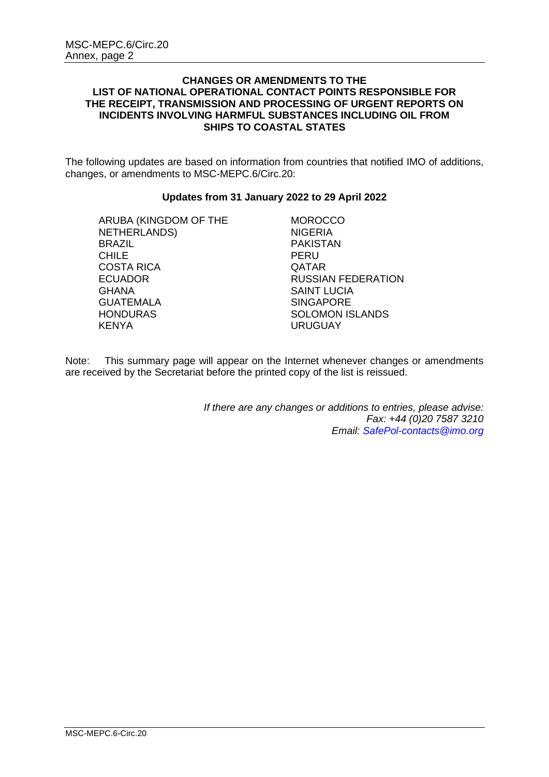## **CHANGES OR AMENDMENTS TO THE LIST OF NATIONAL OPERATIONAL CONTACT POINTS RESPONSIBLE FOR THE RECEIPT, TRANSMISSION AND PROCESSING OF URGENT REPORTS ON INCIDENTS INVOLVING HARMFUL SUBSTANCES INCLUDING OIL FROM SHIPS TO COASTAL STATES**

The following updates are based on information from countries that notified IMO of additions, changes, or amendments to MSC-MEPC.6/Circ.20:

## **Updates from 31 January 2022 to 29 April 2022**

ARUBA (KINGDOM OF THE NETHERLANDS) BRAZIL CHILE COSTA RICA ECUADOR **GHANA** GUATEMALA **HONDURAS** KENYA

**MOROCCO** NIGERIA PAKISTAN PERU QATAR RUSSIAN FEDERATION SAINT LUCIA **SINGAPORE** SOLOMON ISLANDS URUGUAY

Note: This summary page will appear on the Internet whenever changes or amendments are received by the Secretariat before the printed copy of the list is reissued.

> *If there are any changes or additions to entries, please advise: Fax: +44 (0)20 7587 3210 Email: [SafePol-contacts@imo.org](mailto:SafePol-contacts@imo.org)*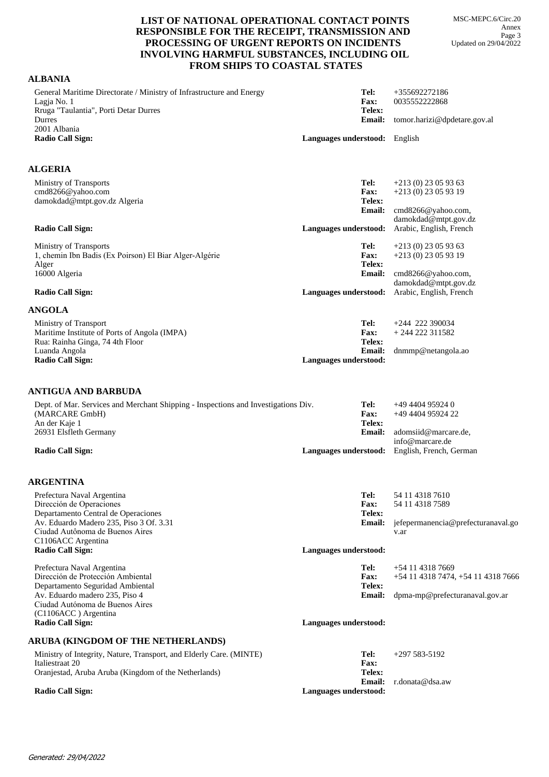MSC-MEPC.6/Circ.20 Annex Page 3 Updated on 29/04/2022

### **LIST OF NATIONAL OPERATIONAL CONTACT POINTS RESPONSIBLE FOR THE RECEIPT, TRANSMISSION AND PROCESSING OF URGENT REPORTS ON INCIDENTS INVOLVING HARMFUL SUBSTANCES, INCLUDING OIL FROM SHIPS TO COASTAL STATES**

### **ALBANIA**

| General Maritime Directorate / Ministry of Infrastructure and Energy<br>Lagja No. 1<br>Rruga "Taulantia", Porti Detar Durres                   | Tel:<br>Fax:<br>Telex:                  | +355692272186<br>0035552222868                                        |
|------------------------------------------------------------------------------------------------------------------------------------------------|-----------------------------------------|-----------------------------------------------------------------------|
| Durres<br>2001 Albania                                                                                                                         | <b>Email:</b>                           | tomor.harizi@dpdetare.gov.al                                          |
| <b>Radio Call Sign:</b>                                                                                                                        | Languages understood: English           |                                                                       |
| <b>ALGERIA</b>                                                                                                                                 |                                         |                                                                       |
| Ministry of Transports<br>cmd8266@yahoo.com<br>damokdad@mtpt.gov.dz Algeria                                                                    | Tel:<br><b>Fax:</b><br>Telex:           | $+213(0)$ 23 05 93 63<br>$+213(0)23059319$                            |
| <b>Radio Call Sign:</b>                                                                                                                        | <b>Email:</b><br>Languages understood:  | cmd8266@yahoo.com,<br>damokdad@mtpt.gov.dz<br>Arabic, English, French |
| Ministry of Transports<br>1, chemin Ibn Badis (Ex Poirson) El Biar Alger-Algérie<br>Alger<br>16000 Algeria                                     | Tel:<br>Fax:<br>Telex:<br><b>Email:</b> | $+213(0)$ 23 05 93 63<br>$+213(0)23059319$<br>cmd8266@yahoo.com,      |
| <b>Radio Call Sign:</b>                                                                                                                        | Languages understood:                   | damokdad@mtpt.gov.dz<br>Arabic, English, French                       |
| <b>ANGOLA</b>                                                                                                                                  |                                         |                                                                       |
| Ministry of Transport<br>Maritime Institute of Ports of Angola (IMPA)<br>Rua: Rainha Ginga, 74 4th Floor                                       | Tel:<br>Fax:<br>Telex:                  | $+244$ 222 390034<br>$+244222311582$                                  |
| Luanda Angola<br><b>Radio Call Sign:</b>                                                                                                       | Email:<br>Languages understood:         | dnmmp@netangola.ao                                                    |
| ANTIGUA AND BARBUDA                                                                                                                            |                                         |                                                                       |
| Dept. of Mar. Services and Merchant Shipping - Inspections and Investigations Div.<br>(MARCARE GmbH)<br>An der Kaje 1                          | Tel:<br><b>Fax:</b><br>Telex:           | $+494494959240$<br>+49 4404 95924 22                                  |
| 26931 Elsfleth Germany                                                                                                                         | <b>Email:</b>                           | adomsiid@marcare.de,<br>info@marcare.de                               |
| <b>Radio Call Sign:</b>                                                                                                                        | Languages understood:                   | English, French, German                                               |
| <b>ARGENTINA</b>                                                                                                                               |                                         |                                                                       |
| Prefectura Naval Argentina<br>Dirección de Operaciones<br>Departamento Central de Operaciones                                                  | Tel:<br>Fax:<br>Telex:                  | 54 11 4318 7610<br>54 11 4318 7589                                    |
| Av. Eduardo Madero 235, Piso 3 Of. 3.31<br>Ciudad Autônoma de Buenos Aires<br>C1106ACC Argentina                                               | <b>Email:</b>                           | jefepermanencia@prefecturanaval.go<br>v.ar                            |
| <b>Radio Call Sign:</b>                                                                                                                        | Languages understood:                   |                                                                       |
| Prefectura Naval Argentina<br>Dirección de Protección Ambiental<br>Departamento Seguridad Ambiental                                            | Tel:<br><b>Fax:</b><br>Telex:           | +54 11 4318 7669<br>+54 11 4318 7474, +54 11 4318 7666                |
| Av. Eduardo madero 235, Piso 4<br>Ciudad Autónoma de Buenos Aires<br>(C1106ACC) Argentina                                                      | <b>Email:</b>                           | dpma-mp@prefecturanaval.gov.ar                                        |
| <b>Radio Call Sign:</b>                                                                                                                        | Languages understood:                   |                                                                       |
| ARUBA (KINGDOM OF THE NETHERLANDS)                                                                                                             |                                         |                                                                       |
| Ministry of Integrity, Nature, Transport, and Elderly Care. (MINTE)<br>Italiestraat 20<br>Oranjestad, Aruba Aruba (Kingdom of the Netherlands) | Tel:<br>Fax:<br>Telex:                  | $+297583-5192$                                                        |
| <b>Radio Call Sign:</b>                                                                                                                        | Email:<br>Languages understood:         | r.donata@dsa.aw                                                       |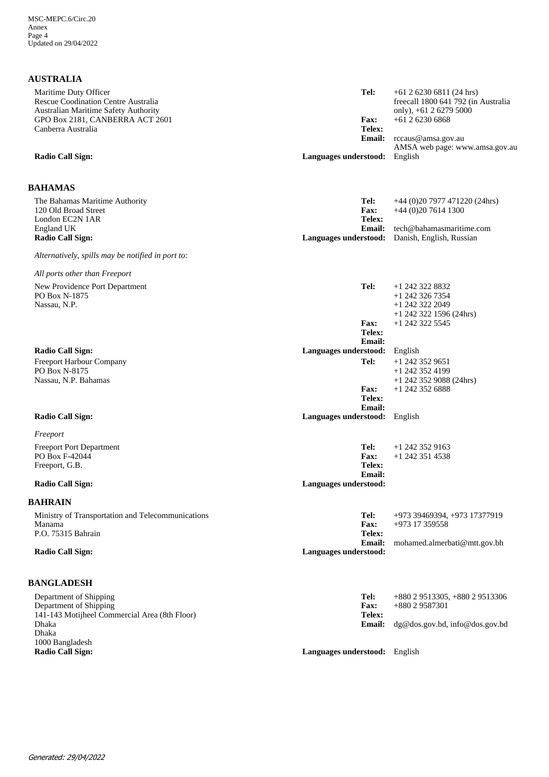| <b>AUSTRALIA</b>                                                                                     |                                        |                                                                                               |
|------------------------------------------------------------------------------------------------------|----------------------------------------|-----------------------------------------------------------------------------------------------|
| Maritime Duty Officer<br>Rescue Coodination Centre Australia<br>Australian Maritime Safety Authority | Tel:                                   | $+61$ 2 6230 6811 (24 hrs)<br>freecall 1800 641 792 (in Australia<br>only), $+61$ 2 6279 5000 |
| GPO Box 2181, CANBERRA ACT 2601                                                                      | <b>Fax:</b>                            | $+61262306868$                                                                                |
| Canberra Australia                                                                                   | Telex:<br><b>Email:</b>                | rccaus@amsa.gov.au<br>AMSA web page: www.amsa.gov.au                                          |
| <b>Radio Call Sign:</b>                                                                              | Languages understood:                  | English                                                                                       |
| <b>BAHAMAS</b>                                                                                       |                                        |                                                                                               |
| The Bahamas Maritime Authority<br>120 Old Broad Street<br>London EC2N 1AR                            | Tel:<br><b>Fax:</b><br>Telex:          | $+44$ (0)20 7977 471220 (24hrs)<br>$+44$ (0)20 7614 1300                                      |
| England UK<br><b>Radio Call Sign:</b>                                                                | <b>Email:</b><br>Languages understood: | tech@bahamasmaritime.com<br>Danish, English, Russian                                          |
| Alternatively, spills may be notified in port to:                                                    |                                        |                                                                                               |
| All ports other than Freeport                                                                        |                                        |                                                                                               |
| New Providence Port Department<br>PO Box N-1875<br>Nassau, N.P.                                      | Tel:                                   | +1 242 322 8832<br>+1 242 326 7354<br>$+1$ 242 322 2049<br>$+1$ 242 322 1596 (24hrs)          |
|                                                                                                      | Fax:<br>Telex:<br><b>Email:</b>        | $+1$ 242 322 5545                                                                             |
| <b>Radio Call Sign:</b>                                                                              | Languages understood:                  | English                                                                                       |
| Freeport Harbour Company<br>PO Box N-8175<br>Nassau, N.P. Bahamas                                    | Tel:                                   | $+1$ 242 352 9651<br>$+1$ 242 352 4199<br>$+1$ 242 352 9088 (24hrs)                           |
|                                                                                                      | Fax:<br>Telex:<br><b>Email:</b>        | $+1$ 242 352 6888                                                                             |
| <b>Radio Call Sign:</b>                                                                              | Languages understood:                  | English                                                                                       |
| Freeport                                                                                             |                                        |                                                                                               |
| <b>Freeport Port Department</b>                                                                      | Tel:                                   | $+1$ 242 352 9163                                                                             |
| PO Box F-42044<br>Freeport, G.B.                                                                     | <b>Fax:</b><br>Telex:                  | $+1$ 242 351 4538                                                                             |
|                                                                                                      | Email:                                 |                                                                                               |
| <b>Radio Call Sign:</b>                                                                              | Languages understood:                  |                                                                                               |
| <b>BAHRAIN</b>                                                                                       |                                        |                                                                                               |
| Ministry of Transportation and Telecommunications<br>Manama<br>P.O. 75315 Bahrain                    | Tel:<br><b>Fax:</b><br>Telex:          | +973 39469394, +973 17377919<br>$+973$ 17 359558                                              |
| <b>Radio Call Sign:</b>                                                                              | <b>Email:</b><br>Languages understood: | mohamed.almerbati@mtt.gov.bh                                                                  |
|                                                                                                      |                                        |                                                                                               |
| <b>BANGLADESH</b>                                                                                    |                                        |                                                                                               |
| Department of Shipping<br>Department of Shipping                                                     | Tel:<br>Fax:                           | +880 2 9513305, +880 2 9513306<br>+880 2 9587301                                              |
| 141-143 Motijheel Commercial Area (8th Floor)<br>Dhaka<br>Dhaka<br>1000 Bangladesh                   | Telex:<br><b>Email:</b>                | dg@dos.gov.bd, info@dos.gov.bd                                                                |

**Languages understood:** English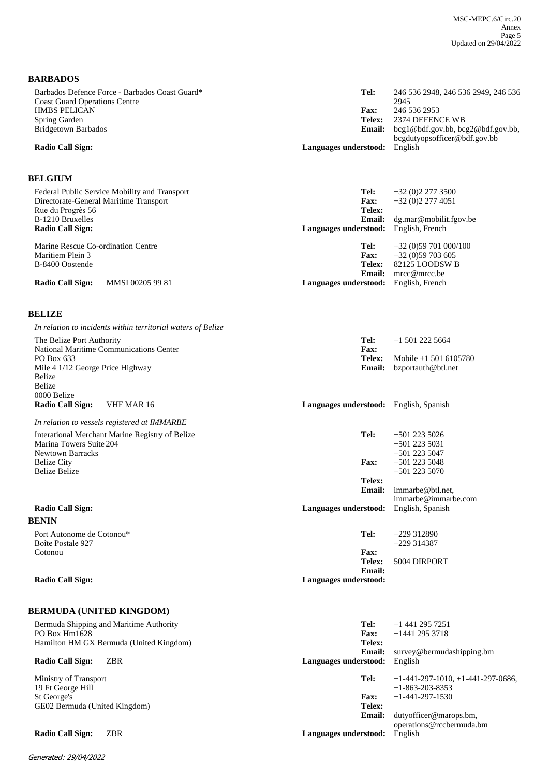### **BARBADOS**

| Barbados Defence Force - Barbados Coast Guard*<br><b>Coast Guard Operations Centre</b> | Tel:                                 | 246 536 2948, 246 536 2949, 246 536<br>2945 |
|----------------------------------------------------------------------------------------|--------------------------------------|---------------------------------------------|
| <b>HMBS PELICAN</b>                                                                    | <b>Fax:</b>                          | 246 536 2953                                |
| Spring Garden                                                                          | Telex:                               | 2374 DEFENCE WB                             |
| Bridgetown Barbados                                                                    | Email:                               | bcg1@bdf.gov.bb, bcg2@bdf.gov.bb,           |
|                                                                                        |                                      | bcgdutyopsofficer@bdf.gov.bb                |
| <b>Radio Call Sign:</b>                                                                | <b>Languages understood:</b> English |                                             |
|                                                                                        |                                      |                                             |

#### **BELGIUM**

| Federal Public Service Mobility and Transport | Tel:                                  | $+32(0)22773500$       |
|-----------------------------------------------|---------------------------------------|------------------------|
| Directorate-General Maritime Transport        | <b>Fax:</b>                           | $+32(0)22774051$       |
| Rue du Progrès 56                             | Telex:                                |                        |
| B-1210 Bruxelles                              | <b>Email:</b>                         | dg.max@mobilit.fgov.be |
| <b>Radio Call Sign:</b>                       | Languages understood: English, French |                        |
|                                               |                                       |                        |
|                                               |                                       |                        |
| Marine Rescue Co-ordination Centre            | Tel:                                  | $+32(0)59701000/100$   |
| Maritiem Plein 3                              | <b>Fax:</b>                           | $+32(0)59703605$       |
| B-8400 Oostende                               | <b>Telex:</b>                         | 82125 LOODSW B         |
|                                               | Email:                                | mrcc@mrcc.be           |

#### **BELIZE**

| In relation to incidents within territorial waters of Belize                                                         |                                        |                                                       |
|----------------------------------------------------------------------------------------------------------------------|----------------------------------------|-------------------------------------------------------|
| The Belize Port Authority                                                                                            | Tel:                                   | $+1$ 501 222 5664                                     |
| National Maritime Communications Center<br>PO Box 633<br>Mile 4 1/12 George Price Highway<br>Belize<br><b>Belize</b> | Fax:<br>Telex:<br>Email:               | Mobile +1 501 6105780<br>bzportauth@btl.net           |
| 0000 Belize<br>VHF MAR 16<br><b>Radio Call Sign:</b>                                                                 | Languages understood: English, Spanish |                                                       |
| In relation to vessels registered at IMMARBE                                                                         |                                        |                                                       |
| Interational Merchant Marine Registry of Belize<br>Marina Towers Suite 204<br><b>Newtown Barracks</b>                | Tel:                                   | $+501$ 223 5026<br>$+501$ 223 5031<br>$+501$ 223 5047 |
| <b>Belize City</b><br><b>Belize Belize</b>                                                                           | Fax:                                   | $+501$ 223 5048<br>$+501$ 223 5070                    |
|                                                                                                                      | Telex:<br><b>Email:</b>                | immarbe@btl.net.<br>immarbe@immarbe.com               |
| <b>Radio Call Sign:</b>                                                                                              | Languages understood:                  | English, Spanish                                      |
| <b>BENIN</b>                                                                                                         |                                        |                                                       |
| Port Autonome de Cotonou*<br>Boîte Postale 927                                                                       | Tel:                                   | $+229312890$<br>$+229314387$                          |
| Cotonou                                                                                                              | Fax:<br>Telex:<br><b>Email:</b>        | 5004 DIRPORT                                          |
| <b>Radio Call Sign:</b>                                                                                              | Languages understood:                  |                                                       |
| <b>BERMUDA (UNITED KINGDOM)</b>                                                                                      |                                        |                                                       |
| Bermuda Shipping and Maritime Authority                                                                              | Tel:                                   | $+1$ 441 295 7251                                     |
| PO Box Hm1628<br>Hamilton HM GX Bermuda (United Kingdom)                                                             | Fax:<br>Telex:                         | $+1441$ 295 3718                                      |
|                                                                                                                      | <b>Email:</b>                          | survey@bermudashipping.bm                             |

#### **Radio Call Sign:** ZBR **Languages understood:** English

Ministry of Transport 19 Ft George Hill St George's GE02 Bermuda (United Kingdom)

**Radio Call Sign:** ZBR **Languages understood:** 

**Email: Telex: Fax:**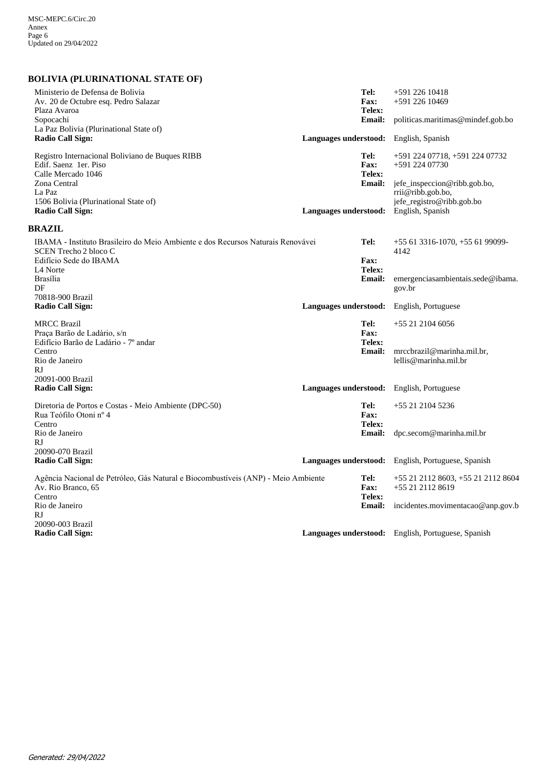**BOLIVIA (PLURINATIONAL STATE OF)**

| Ministerio de Defensa de Bolivia<br>Av. 20 de Octubre esq. Pedro Salazar<br>Plaza Avaroa<br>Sopocachi<br>La Paz Bolivia (Plurinational State of)<br><b>Radio Call Sign:</b>                  |                       | Tel:<br>Fax:<br>Telex:<br><b>Email:</b> | +591 226 10418<br>+591 226 10469<br>politicas.maritimas@mindef.gob.bo                                                                                  |
|----------------------------------------------------------------------------------------------------------------------------------------------------------------------------------------------|-----------------------|-----------------------------------------|--------------------------------------------------------------------------------------------------------------------------------------------------------|
|                                                                                                                                                                                              | Languages understood: |                                         | English, Spanish                                                                                                                                       |
| Registro Internacional Boliviano de Buques RIBB<br>Edif. Saenz 1er. Piso<br>Calle Mercado 1046<br>Zona Central<br>La Paz<br>1506 Bolivia (Plurinational State of)<br><b>Radio Call Sign:</b> | Languages understood: | Tel:<br>Fax:<br>Telex:<br><b>Email:</b> | +591 224 07718, +591 224 07732<br>+591 224 07730<br>jefe_inspeccion@ribb.gob.bo,<br>rrii@ribb.gob.bo,<br>jefe_registro@ribb.gob.bo<br>English, Spanish |
|                                                                                                                                                                                              |                       |                                         |                                                                                                                                                        |
| <b>BRAZIL</b>                                                                                                                                                                                |                       |                                         |                                                                                                                                                        |
| IBAMA - Instituto Brasileiro do Meio Ambiente e dos Recursos Naturais Renovávei<br>SCEN Trecho 2 bloco C<br>Edifício Sede do IBAMA<br>L <sub>4</sub> Norte                                   |                       | Tel:<br>Fax:<br>Telex:                  | +55 61 3316-1070, +55 61 99099-<br>4142                                                                                                                |
| <b>Brasília</b><br>DF<br>70818-900 Brazil                                                                                                                                                    |                       | Email:                                  | emergenciasambientais.sede@ibama.<br>gov.br                                                                                                            |
| <b>Radio Call Sign:</b>                                                                                                                                                                      | Languages understood: |                                         | English, Portuguese                                                                                                                                    |
| <b>MRCC Brazil</b><br>Praça Barão de Ladário, s/n<br>Edifício Barão de Ladário - 7º andar<br>Centro<br>Rio de Janeiro                                                                        |                       | Tel:<br>Fax:<br>Telex:<br><b>Email:</b> | +55 21 2104 6056<br>mrccbrazil@marinha.mil.br,<br>lellis@marinha.mil.br                                                                                |
| RJ<br>20091-000 Brazil                                                                                                                                                                       |                       |                                         |                                                                                                                                                        |
| <b>Radio Call Sign:</b>                                                                                                                                                                      |                       |                                         | <b>Languages understood:</b> English, Portuguese                                                                                                       |
| Diretoria de Portos e Costas - Meio Ambiente (DPC-50)<br>Rua Teófilo Otoni nº 4<br>Centro                                                                                                    |                       | Tel:<br>Fax:<br>Telex:                  | $+552121045236$                                                                                                                                        |
| Rio de Janeiro<br>RJ<br>20090-070 Brazil                                                                                                                                                     |                       | <b>Email:</b>                           | dpc.secom@marinha.mil.br                                                                                                                               |
| <b>Radio Call Sign:</b>                                                                                                                                                                      |                       |                                         | Languages understood: English, Portuguese, Spanish                                                                                                     |
| Agência Nacional de Petróleo, Gás Natural e Biocombustíveis (ANP) - Meio Ambiente<br>Av. Rio Branco, 65<br>Centro                                                                            |                       | Tel:<br><b>Fax:</b><br>Telex:           | +55 21 2112 8603, +55 21 2112 8604<br>+55 21 2112 8619                                                                                                 |
| Rio de Janeiro<br>RJ                                                                                                                                                                         |                       | Email:                                  | incidentes.movimentacao@anp.gov.b                                                                                                                      |
| 20090-003 Brazil<br><b>Radio Call Sign:</b>                                                                                                                                                  |                       |                                         | Languages understood: English, Portuguese, Spanish                                                                                                     |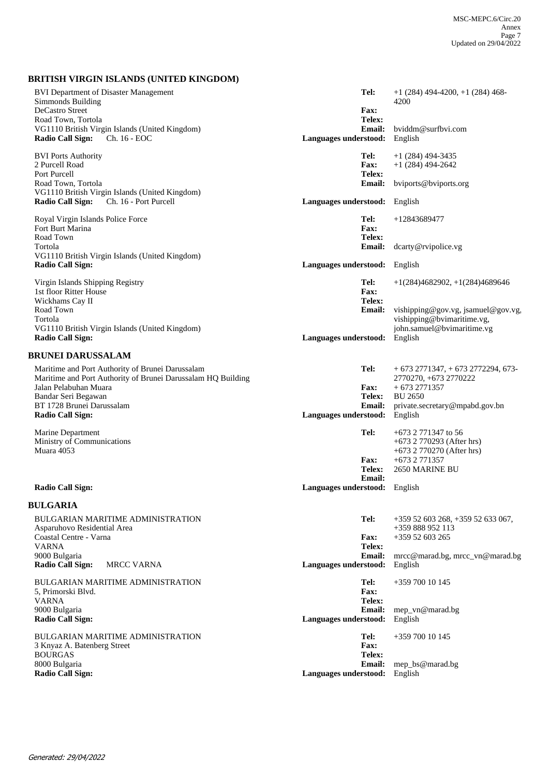## **BRITISH VIRGIN ISLANDS (UNITED KINGDOM)**

| <b>BVI Department of Disaster Management</b><br>Simmonds Building<br>DeCastro Street                                                      | Tel:<br><b>Fax:</b><br>Telex:                  | $+1(284)$ 494-4200, $+1(284)$ 468-<br>4200                                                     |
|-------------------------------------------------------------------------------------------------------------------------------------------|------------------------------------------------|------------------------------------------------------------------------------------------------|
| Road Town, Tortola<br>VG1110 British Virgin Islands (United Kingdom)<br>Ch. 16 - EOC<br><b>Radio Call Sign:</b>                           | <b>Email:</b><br>Languages understood:         | bviddm@surfbvi.com<br>English                                                                  |
| <b>BVI Ports Authority</b><br>2 Purcell Road<br>Port Purcell                                                                              | Tel:<br>Fax:<br>Telex:                         | $+1(284)$ 494-3435<br>$+1(284)$ 494-2642                                                       |
| Road Town, Tortola<br>VG1110 British Virgin Islands (United Kingdom)                                                                      | <b>Email:</b>                                  | bviports@bviports.org                                                                          |
| <b>Radio Call Sign:</b><br>Ch. 16 - Port Purcell                                                                                          | Languages understood:                          | English                                                                                        |
| Royal Virgin Islands Police Force<br>Fort Burt Marina<br>Road Town                                                                        | Tel:<br>Fax:<br>Telex:                         | +12843689477                                                                                   |
| Tortola<br>VG1110 British Virgin Islands (United Kingdom)                                                                                 | <b>Email:</b>                                  | dcarty@rvipolice.vg                                                                            |
| <b>Radio Call Sign:</b>                                                                                                                   | Languages understood:                          | English                                                                                        |
| Virgin Islands Shipping Registry<br>1st floor Ritter House<br>Wickhams Cay II                                                             | Tel:<br>Fax:<br>Telex:                         | $+1(284)4682902, +1(284)4689646$                                                               |
| Road Town<br>Tortola<br>VG1110 British Virgin Islands (United Kingdom)                                                                    | Email:                                         | vishipping@gov.vg, jsamuel@gov.vg,<br>vishipping@bvimaritime.vg,<br>john.samuel@bvimaritime.vg |
| <b>Radio Call Sign:</b>                                                                                                                   | Languages understood:                          | English                                                                                        |
| <b>BRUNEI DARUSSALAM</b>                                                                                                                  |                                                |                                                                                                |
| Maritime and Port Authority of Brunei Darussalam<br>Maritime and Port Authority of Brunei Darussalam HQ Building<br>Jalan Pelabuhan Muara | Tel:<br><b>Fax:</b>                            | $+6732771347 + 6732772294$ , 673-<br>2770270, +673 2770222<br>$+6732771357$                    |
| Bandar Seri Begawan                                                                                                                       | <b>Telex:</b>                                  | <b>BU 2650</b>                                                                                 |
| BT 1728 Brunei Darussalam<br><b>Radio Call Sign:</b>                                                                                      | <b>Email:</b><br>Languages understood:         | private.secretary@mpabd.gov.bn<br>English                                                      |
| Marine Department<br>Ministry of Communications                                                                                           | Tel:                                           | $+673$ 2 771347 to 56<br>+673 2 770293 (After hrs)                                             |
| Muara 4053                                                                                                                                | <b>Fax:</b>                                    | +673 2 770270 (After hrs)<br>+673 2 771357                                                     |
|                                                                                                                                           | Telex:                                         | <b>2650 MARINE BU</b>                                                                          |
| <b>Radio Call Sign:</b>                                                                                                                   | <b>Email:</b><br>Languages understood: English |                                                                                                |
| <b>BULGARIA</b>                                                                                                                           |                                                |                                                                                                |
| <b>BULGARIAN MARITIME ADMINISTRATION</b><br>Asparuhovo Residential Area                                                                   | Tel:                                           | +359 52 603 268, +359 52 633 067,<br>+359 888 952 113                                          |
| Coastal Centre - Varna<br><b>VARNA</b>                                                                                                    | <b>Fax:</b><br>Telex:                          | +359 52 603 265                                                                                |
| 9000 Bulgaria<br><b>Radio Call Sign:</b><br><b>MRCC VARNA</b>                                                                             | Email:<br>Languages understood:                | mrcc@marad.bg, mrcc_vn@marad.bg<br>English                                                     |
| BULGARIAN MARITIME ADMINISTRATION<br>5, Primorski Blvd.<br><b>VARNA</b>                                                                   | Tel:<br>Fax:<br>Telex:                         | +359 700 10 145                                                                                |
| 9000 Bulgaria<br><b>Radio Call Sign:</b>                                                                                                  | <b>Email:</b><br>Languages understood:         | mep_vn@marad.bg<br>English                                                                     |
| <b>BULGARIAN MARITIME ADMINISTRATION</b><br>3 Knyaz A. Batenberg Street<br><b>BOURGAS</b>                                                 | Tel:<br>Fax:<br>Telex:                         | +359 700 10 145                                                                                |
| 8000 Bulgaria<br><b>Radio Call Sign:</b>                                                                                                  | Email:<br>Languages understood:                | mep_bs@marad.bg<br>English                                                                     |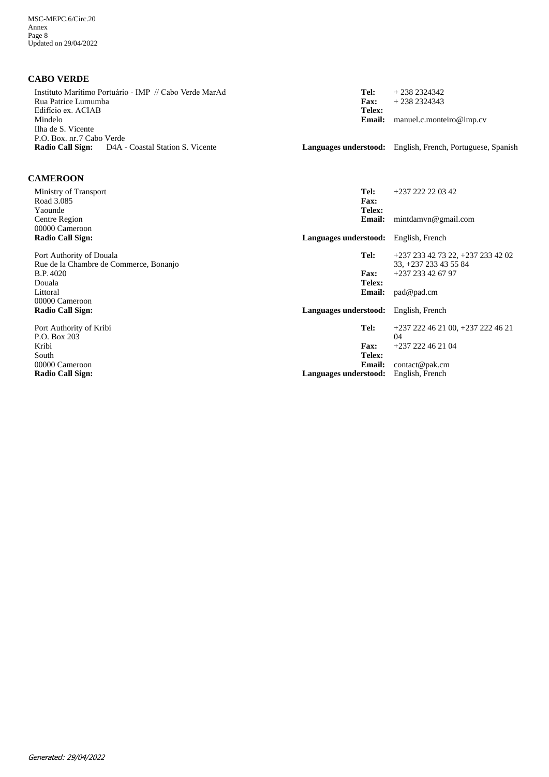**CABO VERDE**

| Instituto Marítimo Portuário - IMP // Cabo Verde MarAd<br>Rua Patrice Lumumba<br>Edifício ex. ACIAB<br>Mindelo<br>Ilha de S. Vicente<br>P.O. Box. nr. 7 Cabo Verde<br><b>Radio Call Sign:</b><br>D <sub>4</sub> A - Coastal Station S. Vicente | Tel:<br>Fax:<br>Telex:<br><b>Email:</b> | $+2382324342$<br>$+2382324343$<br>manuel.c.monteiro@imp.cv<br><b>Languages understood:</b> English, French, Portuguese, Spanish |
|------------------------------------------------------------------------------------------------------------------------------------------------------------------------------------------------------------------------------------------------|-----------------------------------------|---------------------------------------------------------------------------------------------------------------------------------|
| <b>CAMEROON</b>                                                                                                                                                                                                                                |                                         |                                                                                                                                 |
| Ministry of Transport<br>Road 3.085<br>Yaounde                                                                                                                                                                                                 | Tel:<br>Fax:<br>Telex:                  | +237 222 22 03 42                                                                                                               |
| Centre Region<br>00000 Cameroon                                                                                                                                                                                                                | <b>Email:</b>                           | mintdamvn@gmail.com                                                                                                             |
| <b>Radio Call Sign:</b>                                                                                                                                                                                                                        | Languages understood: English, French   |                                                                                                                                 |
| Port Authority of Douala<br>Rue de la Chambre de Commerce, Bonanjo                                                                                                                                                                             | Tel:                                    | +237 233 42 73 22, +237 233 42 02<br>33, +237 233 43 55 84                                                                      |
| <b>B.P.4020</b><br>Douala                                                                                                                                                                                                                      | Fax:<br>Telex:                          | +237 233 42 67 97                                                                                                               |
| Littoral<br>00000 Cameroon                                                                                                                                                                                                                     | <b>Email:</b>                           | pad@pad.cm                                                                                                                      |
| <b>Radio Call Sign:</b>                                                                                                                                                                                                                        | Languages understood: English, French   |                                                                                                                                 |
| Port Authority of Kribi<br>P.O. Box 203                                                                                                                                                                                                        | Tel:                                    | $+237222462100$ , $+2372224621$<br>04                                                                                           |
| Kribi<br>South                                                                                                                                                                                                                                 | <b>Fax:</b><br>Telex:                   | $+237222462104$                                                                                                                 |
| 00000 Cameroon                                                                                                                                                                                                                                 | <b>Email:</b>                           | contact@pak.cm                                                                                                                  |
| <b>Radio Call Sign:</b>                                                                                                                                                                                                                        | Languages understood:                   | English, French                                                                                                                 |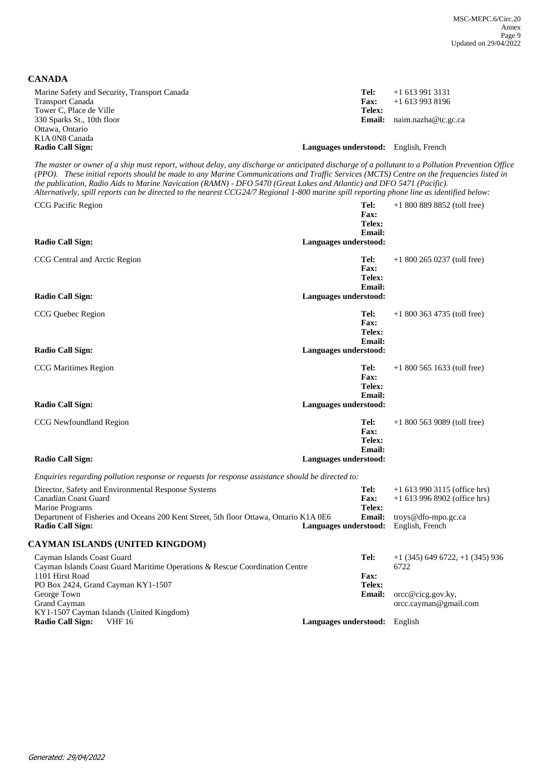**CANADA**

| Marine Safety and Security, Transport Canada<br><b>Transport Canada</b> | Tel:<br><b>Fax:</b>                          | $+16139913131$<br>$+16139938196$    |
|-------------------------------------------------------------------------|----------------------------------------------|-------------------------------------|
| Tower C, Place de Ville                                                 | Telex:                                       |                                     |
| 330 Sparks St., 10th floor                                              |                                              | <b>Email:</b> $naim.nazha@tc.gc.ca$ |
| Ottawa, Ontario                                                         |                                              |                                     |
| K <sub>1</sub> A 0N <sub>8</sub> Canada                                 |                                              |                                     |
| <b>Radio Call Sign:</b>                                                 | <b>Languages understood:</b> English, French |                                     |

*The master or owner of a ship must report, without delay, any discharge or anticipated discharge of a pollutant to a Pollution Prevention Officer (PPO). These initial reports should be made to any Marine Communications and Traffic Services (MCTS) Centre on the frequencies listed in the publication, Radio Aids to Marine Navication (RAMN) - DFO 5470 (Great Lakes and Atlantic) and DFO 5471 (Pacific). Alternatively, spill reports can be directed to the nearest CCG 24/7 Regional 1-800 marine spill reporting phone line as identified below:*

| CCG Pacific Region                                                                                                                                                                                                        | Tel:<br>Fax:<br>Telex:                                           | $+18008898852$ (toll free)                                                                                 |
|---------------------------------------------------------------------------------------------------------------------------------------------------------------------------------------------------------------------------|------------------------------------------------------------------|------------------------------------------------------------------------------------------------------------|
| <b>Radio Call Sign:</b>                                                                                                                                                                                                   | Email:<br>Languages understood:                                  |                                                                                                            |
| CCG Central and Arctic Region<br><b>Radio Call Sign:</b>                                                                                                                                                                  | Tel:<br>Fax:<br>Telex:<br>Email:<br>Languages understood:        | $+18002650237$ (toll free)                                                                                 |
| CCG Quebec Region<br><b>Radio Call Sign:</b>                                                                                                                                                                              | Tel:<br>Fax:<br>Telex:<br>Email:<br>Languages understood:        | $+18003634735$ (toll free)                                                                                 |
| <b>CCG Maritimes Region</b><br><b>Radio Call Sign:</b>                                                                                                                                                                    | Tel:<br>Fax:<br>Telex:<br>Email:<br>Languages understood:        | $+18005651633$ (toll free)                                                                                 |
| CCG Newfoundland Region<br><b>Radio Call Sign:</b>                                                                                                                                                                        | Tel:<br>Fax:<br>Telex:<br><b>Email:</b><br>Languages understood: | $+18005639089$ (toll free)                                                                                 |
| Enquiries regarding pollution response or requests for response assistance should be directed to:                                                                                                                         |                                                                  |                                                                                                            |
| Director, Safety and Environmental Response Systems<br><b>Canadian Coast Guard</b><br>Marine Programs<br>Department of Fisheries and Oceans 200 Kent Street, 5th floor Ottawa, Ontario K1A 0E6<br><b>Radio Call Sign:</b> | Tel:<br>Fax:<br>Telex:<br><b>Email:</b><br>Languages understood: | $+1$ 613 990 3115 (office hrs)<br>$+1$ 613 996 8902 (office hrs)<br>troys@dfo-mpo.gc.ca<br>English, French |
| CAYMAN ISLANDS (UNITED KINGDOM)                                                                                                                                                                                           |                                                                  |                                                                                                            |
| Cayman Islands Coast Guard<br>Cayman Islands Coast Guard Maritime Operations & Rescue Coordination Centre<br>1101 Hirst Road<br>PO Box 2424, Grand Cayman KY1-1507                                                        | Tel:<br>Fax:<br>Telex:                                           | $+1$ (345) 649 6722, $+1$ (345) 936<br>6722                                                                |
| George Town<br>Grand Cayman<br>KY1-1507 Cayman Islands (United Kingdom)                                                                                                                                                   | Email:                                                           | orcc@cicg.gov.ky,<br>orcc.cayman@gmail.com                                                                 |
| <b>Radio Call Sign:</b><br><b>VHF 16</b>                                                                                                                                                                                  | Languages understood: English                                    |                                                                                                            |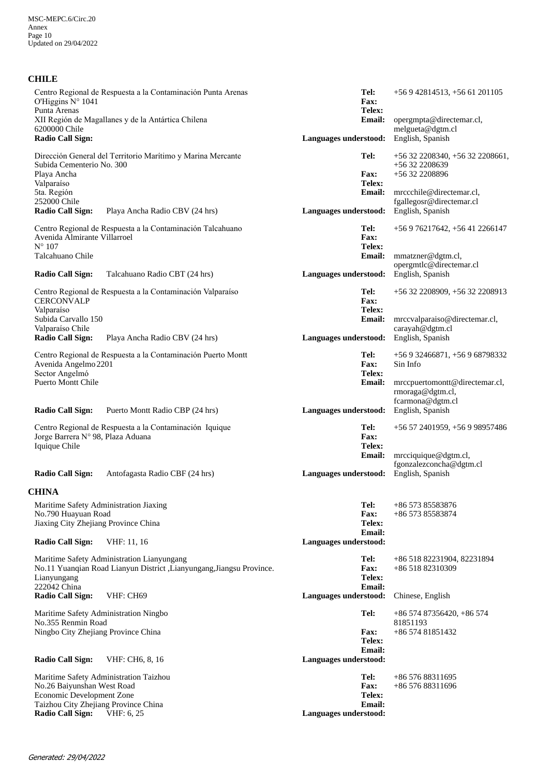## **CHILE**

| O'Higgins N° 1041<br>Punta Arenas<br>6200000 Chile<br><b>Radio Call Sign:</b>                                                                    | Centro Regional de Respuesta a la Contaminación Punta Arenas<br>XII Región de Magallanes y de la Antártica Chilena             | Tel:<br>Fax:<br>Telex:<br><b>Email:</b><br>Languages understood:        | $+56942814513$ , $+5661201105$<br>opergmpta@directemar.cl,<br>melgueta@dgtm.cl<br>English, Spanish                                              |
|--------------------------------------------------------------------------------------------------------------------------------------------------|--------------------------------------------------------------------------------------------------------------------------------|-------------------------------------------------------------------------|-------------------------------------------------------------------------------------------------------------------------------------------------|
| Subida Cementerio No. 300<br>Playa Ancha<br>Valparaíso<br>5ta. Región<br>252000 Chile<br><b>Radio Call Sign:</b>                                 | Dirección General del Territorio Marítimo y Marina Mercante<br>Playa Ancha Radio CBV (24 hrs)                                  | Tel:<br><b>Fax:</b><br>Telex:<br><b>Email:</b><br>Languages understood: | +56 32 2208340, +56 32 2208661,<br>+56 32 2208639<br>+56 32 2208896<br>mrccchile@directemar.cl,<br>fgallegosr@directemar.cl<br>English, Spanish |
| Avenida Almirante Villarroel<br>$N^{\circ} 107$<br>Talcahuano Chile<br><b>Radio Call Sign:</b>                                                   | Centro Regional de Respuesta a la Contaminación Talcahuano<br>Talcahuano Radio CBT (24 hrs)                                    | Tel:<br><b>Fax:</b><br>Telex:<br>Email:<br>Languages understood:        | +56 9 76217642, +56 41 2266147<br>mmatzner@dgtm.cl,<br>opergmtlc@directemar.cl<br>English, Spanish                                              |
| <b>CERCONVALP</b><br>Valparaíso<br>Subida Carvallo 150<br>Valparaíso Chile<br><b>Radio Call Sign:</b>                                            | Centro Regional de Respuesta a la Contaminación Valparaíso<br>Playa Ancha Radio CBV (24 hrs)                                   | Tel:<br><b>Fax:</b><br>Telex:<br>Email:<br>Languages understood:        | +56 32 2208909, +56 32 2208913<br>mrccvalparaiso@directemar.cl,<br>carayah@dgtm.cl<br>English, Spanish                                          |
| Avenida Angelmo 2201<br>Sector Angelmó<br><b>Puerto Montt Chile</b>                                                                              | Centro Regional de Respuesta a la Contaminación Puerto Montt                                                                   | Tel:<br><b>Fax:</b><br>Telex:<br><b>Email:</b>                          | +56 9 32466871, +56 9 68798332<br>Sin Info<br>mrccpuertomontt@directemar.cl,<br>rmoraga@dgtm.cl,<br>fcarmona@dgtm.cl                            |
| <b>Radio Call Sign:</b><br>Jorge Barrera Nº 98, Plaza Aduana<br>Iquique Chile                                                                    | Puerto Montt Radio CBP (24 hrs)<br>Centro Regional de Respuesta a la Contaminación Iquique                                     | Languages understood:<br>Tel:<br><b>Fax:</b><br>Telex:<br><b>Email:</b> | English, Spanish<br>+56 57 2401959, +56 9 98957486<br>mrcciquique@dgtm.cl,<br>fgonzalezconcha@dgtm.cl                                           |
| <b>Radio Call Sign:</b>                                                                                                                          | Antofagasta Radio CBF (24 hrs)                                                                                                 | Languages understood:                                                   | English, Spanish                                                                                                                                |
| <b>CHINA</b><br>Maritime Safety Administration Jiaxing<br>No.790 Huayuan Road<br>Jiaxing City Zhejiang Province China<br><b>Radio Call Sign:</b> | VHF: 11, 16                                                                                                                    | Tel:<br>Fax:<br>Telex:<br><b>Email:</b><br>Languages understood:        | +86 573 85583876<br>+86 573 85583874                                                                                                            |
| Lianyungang<br>222042 China<br><b>Radio Call Sign:</b>                                                                                           | Maritime Safety Administration Lianyungang<br>No.11 Yuanqian Road Lianyun District ,Lianyungang,Jiangsu Province.<br>VHF: CH69 | Tel:<br><b>Fax:</b><br>Telex:<br>Email:<br>Languages understood:        | +86 518 82231904, 82231894<br>+86 518 82310309<br>Chinese, English                                                                              |
| Maritime Safety Administration Ningbo<br>No.355 Renmin Road<br>Ningbo City Zhejiang Province China<br><b>Radio Call Sign:</b>                    | VHF: CH6, 8, 16                                                                                                                | Tel:<br><b>Fax:</b><br>Telex:<br><b>Email:</b><br>Languages understood: | +86 574 87356420, +86 574<br>81851193<br>+86 574 81851432                                                                                       |
| No.26 Baiyunshan West Road<br>Economic Development Zone<br>Taizhou City Zhejiang Province China<br><b>Radio Call Sign:</b>                       | Maritime Safety Administration Taizhou<br>VHF: 6, 25                                                                           | Tel:<br><b>Fax:</b><br>Telex:<br><b>Email:</b><br>Languages understood: | +86 576 88311695<br>+86 576 88311696                                                                                                            |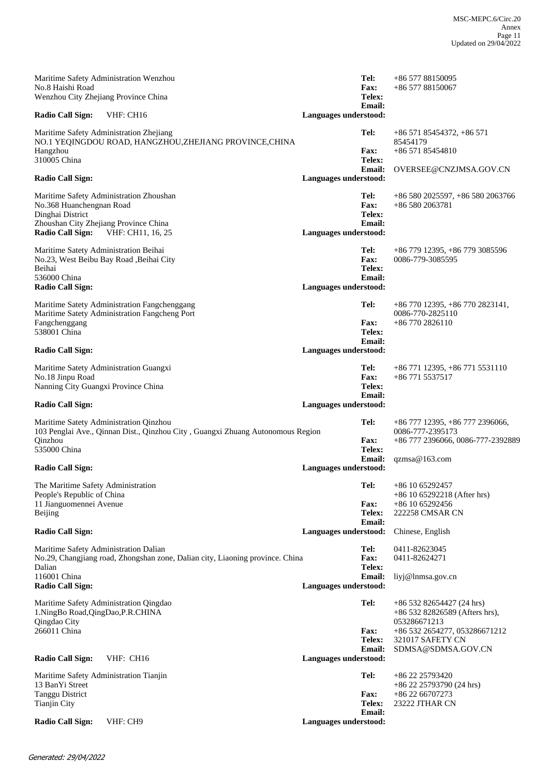| Maritime Safety Administration Wenzhou<br>No.8 Haishi Road<br>Wenzhou City Zhejiang Province China                                                                               |                       | Tel:<br><b>Fax:</b><br>Telex:                  | +86 577 88150095<br>$+8657788150067$                                                                                                                     |
|----------------------------------------------------------------------------------------------------------------------------------------------------------------------------------|-----------------------|------------------------------------------------|----------------------------------------------------------------------------------------------------------------------------------------------------------|
| <b>Radio Call Sign:</b><br>VHF: CH16                                                                                                                                             | Languages understood: | <b>Email:</b>                                  |                                                                                                                                                          |
| Maritime Safety Administration Zhejiang<br>NO.1 YEQINGDOU ROAD, HANGZHOU,ZHEJIANG PROVINCE,CHINA<br>Hangzhou<br>310005 China                                                     |                       | Tel:<br><b>Fax:</b><br>Telex:<br><b>Email:</b> | $+86\,571\,85454372, +86\,571$<br>85454179<br>$+8657185454810$<br>OVERSEE@CNZJMSA.GOV.CN                                                                 |
| <b>Radio Call Sign:</b>                                                                                                                                                          | Languages understood: |                                                |                                                                                                                                                          |
| Maritime Safety Administration Zhoushan<br>No.368 Huanchengnan Road<br>Dinghai District<br>Zhoushan City Zhejiang Province China<br><b>Radio Call Sign:</b><br>VHF: CH11, 16, 25 | Languages understood: | Tel:<br><b>Fax:</b><br>Telex:<br><b>Email:</b> | +86 580 2025597, +86 580 2063766<br>$+865802063781$                                                                                                      |
| Maritime Satety Administration Beihai<br>No.23, West Beibu Bay Road , Beihai City<br>Beihai<br>536000 China<br><b>Radio Call Sign:</b>                                           | Languages understood: | Tel:<br><b>Fax:</b><br>Telex:<br><b>Email:</b> | +86 779 12395, +86 779 3085596<br>0086-779-3085595                                                                                                       |
| Maritime Satety Administration Fangchenggang<br>Maritime Satety Administration Fangcheng Port<br>Fangchenggang<br>538001 China<br><b>Radio Call Sign:</b>                        | Languages understood: | Tel:<br><b>Fax:</b><br>Telex:<br><b>Email:</b> | $+86\,770\,12395, +86\,770\,2823141,$<br>0086-770-2825110<br>$+86\,770\,2826110$                                                                         |
| Maritime Satety Administration Guangxi<br>No.18 Jinpu Road<br>Nanning City Guangxi Province China                                                                                |                       | Tel:<br><b>Fax:</b><br>Telex:<br><b>Email:</b> | +86 771 12395, +86 771 5531110<br>+86 771 5537517                                                                                                        |
| <b>Radio Call Sign:</b>                                                                                                                                                          | Languages understood: |                                                |                                                                                                                                                          |
| Maritime Satety Administration Qinzhou<br>103 Penglai Ave., Qinnan Dist., Qinzhou City, Guangxi Zhuang Autonomous Region<br>Qinzhou<br>535000 China                              |                       | Tel:<br><b>Fax:</b><br>Telex:<br><b>Email:</b> | +86 777 12395, +86 777 2396066,<br>0086-777-2395173<br>+86 777 2396066, 0086-777-2392889<br>qzmsa@163.com                                                |
| <b>Radio Call Sign:</b>                                                                                                                                                          | Languages understood: |                                                |                                                                                                                                                          |
| The Maritime Safety Administration<br>People's Republic of China<br>11 Jianguomennei Avenue<br>Beijing                                                                           |                       | <b>Fax:</b><br>Telex:<br><b>Email:</b>         | Tel: $+861065292457$<br>$+86$ 10 65292218 (After hrs)<br>$+86$ 10 65292456<br>222258 CMSAR CN                                                            |
| <b>Radio Call Sign:</b>                                                                                                                                                          | Languages understood: |                                                | Chinese, English                                                                                                                                         |
| Maritime Safety Administration Dalian<br>No.29, Changjiang road, Zhongshan zone, Dalian city, Liaoning province. China<br>Dalian                                                 |                       | Tel:<br><b>Fax:</b><br>Telex:                  | 0411-82623045<br>0411-82624271                                                                                                                           |
| 116001 China<br><b>Radio Call Sign:</b>                                                                                                                                          | Languages understood: | <b>Email:</b>                                  | liyj@lnmsa.gov.cn                                                                                                                                        |
| Maritime Safety Administration Qingdao<br>1.NingBo Road, QingDao, P.R.CHINA<br>Qingdao City<br>266011 China<br><b>Radio Call Sign:</b><br>VHF: CH16                              | Languages understood: | Tel:<br>Fax:<br>Telex:<br><b>Email:</b>        | $+86$ 532 82654427 (24 hrs)<br>$+8653282826589$ (Afters hrs),<br>053286671213<br>+86 532 2654277, 053286671212<br>321017 SAFETY CN<br>SDMSA@SDMSA.GOV.CN |
| Maritime Safety Administration Tianjin<br>13 BanYi Street<br><b>Tanggu District</b>                                                                                              |                       | Tel:<br><b>Fax:</b>                            | +86 22 25793420<br>$+86$ 22 25793790 (24 hrs)<br>+86 22 66707273                                                                                         |
| <b>Tianjin City</b><br><b>Radio Call Sign:</b><br>VHF: CH9                                                                                                                       | Languages understood: | Telex:<br><b>Email:</b>                        | 23222 JTHAR CN                                                                                                                                           |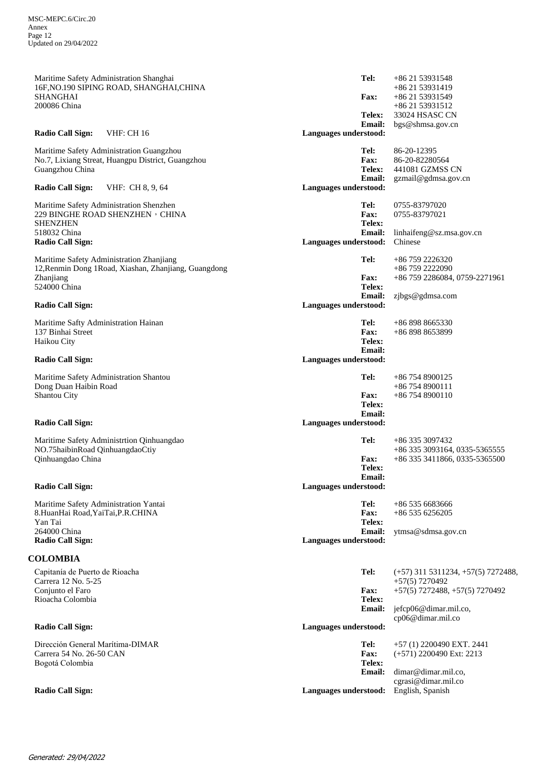| Maritime Safety Administration Shanghai<br>16F, NO.190 SIPING ROAD, SHANGHAI, CHINA<br><b>SHANGHAI</b><br>200086 China        | Tel:<br><b>Fax:</b><br>Telex:                  | +86 21 53931548<br>+86 21 53931419<br>+86 21 53931549<br>+86 21 53931512<br>33024 HSASC CN       |
|-------------------------------------------------------------------------------------------------------------------------------|------------------------------------------------|--------------------------------------------------------------------------------------------------|
| Radio Call Sign:<br><b>VHF: CH 16</b>                                                                                         | <b>Email:</b><br>Languages understood:         | bgs@shmsa.gov.cn                                                                                 |
| Maritime Safety Administration Guangzhou<br>No.7, Lixiang Streat, Huangpu District, Guangzhou<br>Guangzhou China              | Tel:<br><b>Fax:</b><br>Telex:<br><b>Email:</b> | 86-20-12395<br>86-20-82280564<br>441081 GZMSS CN<br>gzmail@gdmsa.gov.cn                          |
| <b>Radio Call Sign:</b><br>VHF: CH 8, 9, 64                                                                                   | Languages understood:                          |                                                                                                  |
| Maritime Safety Administration Shenzhen<br>229 BINGHE ROAD SHENZHEN , CHINA<br><b>SHENZHEN</b><br>518032 China                | Tel:<br>Fax:<br>Telex:<br><b>Email:</b>        | 0755-83797020<br>0755-83797021<br>linhaifeng@sz.msa.gov.cn                                       |
| <b>Radio Call Sign:</b>                                                                                                       | Languages understood:                          | Chinese                                                                                          |
| Maritime Safety Administration Zhanjiang<br>12, Renmin Dong 1Road, Xiashan, Zhanjiang, Guangdong<br>Zhanjiang<br>524000 China | Tel:<br><b>Fax:</b><br>Telex:                  | $+86$ 759 2226320<br>+86 759 2222090<br>+86 759 2286084, 0759-2271961                            |
| <b>Radio Call Sign:</b>                                                                                                       | <b>Email:</b><br>Languages understood:         | zjbgs@gdmsa.com                                                                                  |
| Maritime Safty Administration Hainan<br>137 Binhai Street<br>Haikou City                                                      | Tel:<br><b>Fax:</b><br>Telex:<br>Email:        | +86 898 8665330<br>+86 898 8653899                                                               |
| <b>Radio Call Sign:</b>                                                                                                       | Languages understood:                          |                                                                                                  |
| Maritime Safety Administration Shantou<br>Dong Duan Haibin Road<br>Shantou City                                               | Tel:<br><b>Fax:</b><br>Telex:<br><b>Email:</b> | $+86$ 754 8900125<br>$+867548900111$<br>$+867548900110$                                          |
| <b>Radio Call Sign:</b>                                                                                                       | Languages understood:                          |                                                                                                  |
| Maritime Safety Administrtion Qinhuangdao<br>NO.75haibinRoad QinhuangdaoCtiy<br>Qinhuangdao China                             | Tel:<br><b>Fax:</b><br>Telex:<br><b>Email:</b> | +86 335 3097432<br>+86 335 3093164, 0335-5365555<br>+86 335 3411866, 0335-5365500                |
| Radio Call Sign:                                                                                                              | Languages understood:                          |                                                                                                  |
| Maritime Safety Administration Yantai<br>8.HuanHai Road, YaiTai, P.R.CHINA<br>Yan Tai                                         | Tel:<br><b>Fax:</b><br>Telex:                  | +86 535 6683666<br>$+865356256205$                                                               |
| 264000 China<br><b>Radio Call Sign:</b>                                                                                       | <b>Email:</b><br>Languages understood:         | ytmsa@sdmsa.gov.cn                                                                               |
| <b>COLOMBIA</b>                                                                                                               |                                                |                                                                                                  |
| Capitanía de Puerto de Rioacha<br>Carrera 12 No. 5-25<br>Conjunto el Faro                                                     | Tel:<br><b>Fax:</b>                            | $(+57)$ 311 5311234, $+57(5)$ 7272488,<br>$+57(5)$ 7270492<br>$+57(5)$ 7272488, $+57(5)$ 7270492 |
| Rioacha Colombia                                                                                                              | Telex:<br>Email:                               | jefcp06@dimar.mil.co,<br>cp06@dimar.mil.co                                                       |
| <b>Radio Call Sign:</b>                                                                                                       | Languages understood:                          |                                                                                                  |
| Dirección General Marítima-DIMAR<br>Carrera 54 No. 26-50 CAN<br>Bogotá Colombia                                               | Tel:<br>Fax:<br>Telex:<br><b>Email:</b>        | +57 (1) 2200490 EXT. 2441<br>$(+571)$ 2200490 Ext: 2213<br>dimar@dimar.mil.co,                   |
| <b>Radio Call Sign:</b>                                                                                                       | Languages understood: English, Spanish         | cgrasi@dimar.mil.co                                                                              |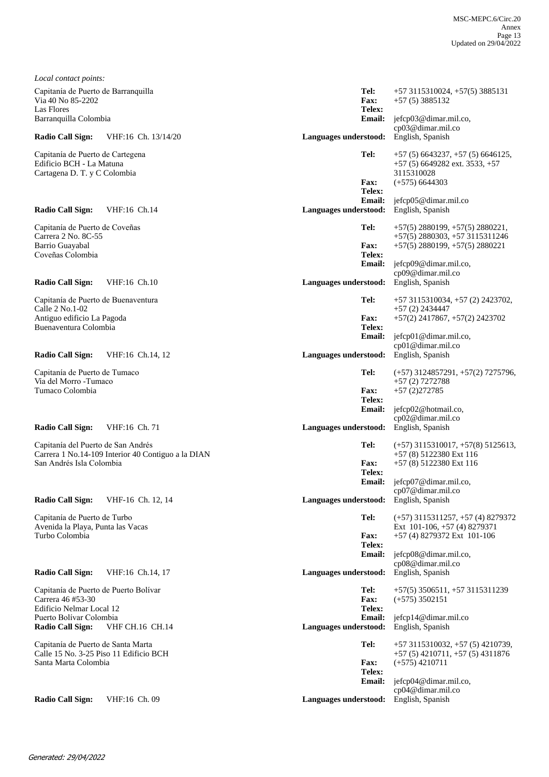| Local contact points:                                                        |                                                    |                         |                                                                           |
|------------------------------------------------------------------------------|----------------------------------------------------|-------------------------|---------------------------------------------------------------------------|
| Capitanía de Puerto de Barranquilla<br>Via 40 No 85-2202                     |                                                    | Tel:<br>Fax:            | $+573115310024$ , $+57(5)3885131$                                         |
| Las Flores                                                                   |                                                    | Telex:                  | $+57(5)3885132$                                                           |
| Barranquilla Colombia                                                        |                                                    | <b>Email:</b>           | jefcp03@dimar.mil.co,<br>cp03@dimar.mil.co                                |
| <b>Radio Call Sign:</b>                                                      | VHF:16 Ch. 13/14/20                                | Languages understood:   | English, Spanish                                                          |
| Capitanía de Puerto de Cartegena                                             |                                                    | Tel:                    | $+57(5)6643237, +57(5)6646125,$                                           |
| Edificio BCH - La Matuna<br>Cartagena D. T. y C Colombia                     |                                                    |                         | $+57(5)$ 6649282 ext. 3533, $+57$<br>3115310028                           |
|                                                                              |                                                    | <b>Fax:</b><br>Telex:   | $(+575)$ 6644303                                                          |
|                                                                              |                                                    | <b>Email:</b>           | jefcp05@dimar.mil.co                                                      |
| <b>Radio Call Sign:</b>                                                      | VHF:16 Ch.14                                       | Languages understood:   | English, Spanish                                                          |
| Capitanía de Puerto de Coveñas<br>Carrera 2 No. 8C-55                        |                                                    | Tel:                    | $+57(5)$ 2880199, $+57(5)$ 2880221,<br>$+57(5)$ 2880303, $+57$ 3115311246 |
| Barrio Guayabal                                                              |                                                    | <b>Fax:</b>             | $+57(5)$ 2880199, $+57(5)$ 2880221                                        |
| Coveñas Colombia                                                             |                                                    | Telex:<br><b>Email:</b> | jefcp09@dimar.mil.co,                                                     |
|                                                                              |                                                    |                         | cp09@dimar.mil.co                                                         |
| <b>Radio Call Sign:</b>                                                      | VHF:16 Ch.10                                       | Languages understood:   | English, Spanish                                                          |
| Capitanía de Puerto de Buenaventura<br>Calle 2 No.1-02                       |                                                    | Tel:                    | $+573115310034, +57(2)2423702,$<br>$+57(2)$ 2434447                       |
| Antiguo edificio La Pagoda                                                   |                                                    | <b>Fax:</b>             | $+57(2)$ 2417867, $+57(2)$ 2423702                                        |
| Buenaventura Colombia                                                        |                                                    | Telex:<br><b>Email:</b> | jefcp01@dimar.mil.co,                                                     |
| <b>Radio Call Sign:</b>                                                      | VHF:16 Ch.14, 12                                   | Languages understood:   | cp01@dimar.mil.co<br>English, Spanish                                     |
|                                                                              |                                                    |                         |                                                                           |
| Capitanía de Puerto de Tumaco<br>Vía del Morro - Tumaco                      |                                                    | Tel:                    | $(+57)$ 3124857291, $+57(2)$ 7275796,<br>$+57(2)$ 7272788                 |
| Tumaco Colombia                                                              |                                                    | <b>Fax:</b><br>Telex:   | $+57(2)272785$                                                            |
|                                                                              |                                                    | <b>Email:</b>           | jefcp02@hotmail.co,                                                       |
| <b>Radio Call Sign:</b>                                                      | VHF:16 Ch. 71                                      | Languages understood:   | cp02@dimar.mil.co<br>English, Spanish                                     |
| Capitanía del Puerto de San Andrés                                           |                                                    | Tel:                    | $(+57)$ 3115310017, $+57(8)$ 5125613,                                     |
|                                                                              | Carrera 1 No.14-109 Interior 40 Contiguo a la DIAN |                         | $+57(8)$ 5122380 Ext 116                                                  |
| San Andrés Isla Colombia                                                     |                                                    | <b>Fax:</b><br>Telex:   | +57 (8) 5122380 Ext 116                                                   |
|                                                                              |                                                    | <b>Email:</b>           | jefcp07@dimar.mil.co,                                                     |
| <b>Radio Call Sign:</b>                                                      | VHF-16 Ch. 12, 14                                  | Languages understood:   | cp07@dimar.mil.co<br>English, Spanish                                     |
| Capitanía de Puerto de Turbo                                                 |                                                    | Tel:                    | $(+57)$ 3115311257, $+57$ (4) 8279372                                     |
| Avenida la Playa, Punta las Vacas<br>Turbo Colombia                          |                                                    | <b>Fax:</b>             | Ext 101-106, $+57(4)8279371$                                              |
|                                                                              |                                                    | Telex:                  | +57 (4) 8279372 Ext 101-106                                               |
|                                                                              |                                                    | <b>Email:</b>           | jefcp08@dimar.mil.co,<br>cp08@dimar.mil.co                                |
| <b>Radio Call Sign:</b>                                                      | VHF:16 Ch.14, 17                                   | Languages understood:   | English, Spanish                                                          |
| Capitanía de Puerto de Puerto Bolívar                                        |                                                    | Tel:                    | $+57(5)$ 3506511, $+57$ 3115311239                                        |
| Carrera 46 #53-30<br>Edificio Nelmar Local 12                                |                                                    | Fax:<br>Telex:          | $(+575)$ 3502151                                                          |
| Puerto Bolívar Colombia                                                      |                                                    | <b>Email:</b>           | jefcp14@dimar.mil.co                                                      |
| <b>Radio Call Sign:</b>                                                      | <b>VHF CH.16 CH.14</b>                             | Languages understood:   | English, Spanish                                                          |
| Capitanía de Puerto de Santa Marta<br>Calle 15 No. 3-25 Piso 11 Edificio BCH |                                                    | Tel:                    | $+573115310032$ , $+57(5)4210739$ ,<br>$+57(5)$ 4210711, $+57(5)$ 4311876 |
| Santa Marta Colombia                                                         |                                                    | <b>Fax:</b>             | $(+575)$ 4210711                                                          |
|                                                                              |                                                    | Telex:<br><b>Email:</b> | jefcp04@dimar.mil.co,                                                     |
| <b>Radio Call Sign:</b>                                                      | VHF:16 Ch. 09                                      | Languages understood:   | cp04@dimar.mil.co<br>English, Spanish                                     |
|                                                                              |                                                    |                         |                                                                           |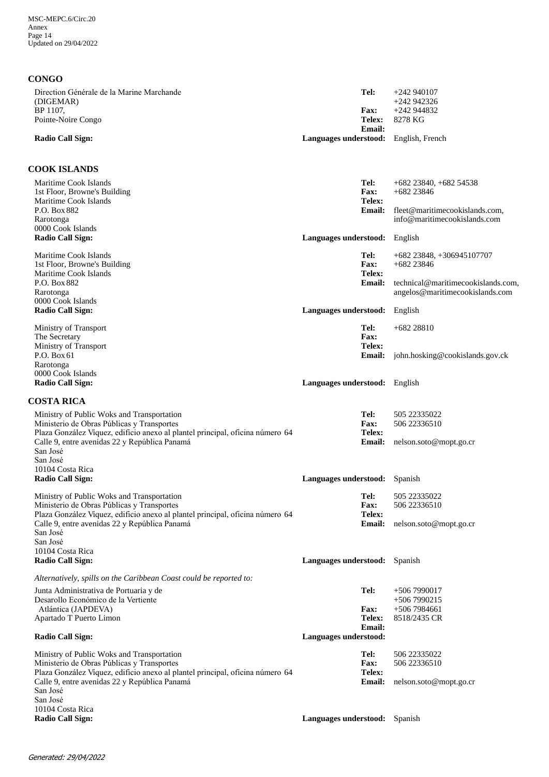### **CONGO**

| Direction Générale de la Marine Marchande<br>(DIGEMAR)<br>BP 1107,<br>Pointe-Noire Congo<br><b>Radio Call Sign:</b>                                                                                                                                                    | Tel:<br><b>Fax:</b><br><b>Telex:</b><br><b>Email:</b><br>Languages understood: English, French | $+242940107$<br>+242 942326<br>+242 944832<br>8278 KG                                                                  |
|------------------------------------------------------------------------------------------------------------------------------------------------------------------------------------------------------------------------------------------------------------------------|------------------------------------------------------------------------------------------------|------------------------------------------------------------------------------------------------------------------------|
| <b>COOK ISLANDS</b>                                                                                                                                                                                                                                                    |                                                                                                |                                                                                                                        |
| Maritime Cook Islands<br>1st Floor, Browne's Building<br>Maritime Cook Islands<br>P.O. Box 882<br>Rarotonga<br>0000 Cook Islands                                                                                                                                       | Tel:<br><b>Fax:</b><br>Telex:<br><b>Email:</b>                                                 | $+682$ 23840, $+682$ 54538<br>$+682$ 23846<br>fleet@maritimecookislands.com,<br>info@maritimecookislands.com           |
| <b>Radio Call Sign:</b>                                                                                                                                                                                                                                                | Languages understood: English                                                                  |                                                                                                                        |
| Maritime Cook Islands<br>1st Floor, Browne's Building<br>Maritime Cook Islands<br>P.O. Box 882<br>Rarotonga                                                                                                                                                            | Tel:<br><b>Fax:</b><br>Telex:<br><b>Email:</b>                                                 | $+682$ 23848, $+306945107707$<br>$+682$ 23846<br>technical@maritimecookislands.com,<br>angelos@maritimecookislands.com |
| 0000 Cook Islands<br><b>Radio Call Sign:</b>                                                                                                                                                                                                                           | Languages understood:                                                                          | English                                                                                                                |
| Ministry of Transport<br>The Secretary<br>Ministry of Transport<br>P.O. Box 61                                                                                                                                                                                         | Tel:<br>Fax:<br>Telex:<br><b>Email:</b>                                                        | $+68228810$<br>john.hosking@cookislands.gov.ck                                                                         |
| Rarotonga<br>0000 Cook Islands<br><b>Radio Call Sign:</b>                                                                                                                                                                                                              | Languages understood: English                                                                  |                                                                                                                        |
| <b>COSTA RICA</b>                                                                                                                                                                                                                                                      |                                                                                                |                                                                                                                        |
| Ministry of Public Woks and Transportation<br>Ministerio de Obras Públicas y Transportes<br>Plaza González Víquez, edificio anexo al plantel principal, oficina número 64<br>Calle 9, entre avenidas 22 y República Panamá<br>San José<br>San José<br>10104 Costa Rica | Tel:<br><b>Fax:</b><br>Telex:<br>Email:                                                        | 505 22335022<br>506 22336510<br>nelson.soto@mopt.go.cr                                                                 |
| <b>Radio Call Sign:</b>                                                                                                                                                                                                                                                | Languages understood: Spanish                                                                  |                                                                                                                        |
| Ministry of Public Woks and Transportation<br>Ministerio de Obras Públicas y Transportes<br>Plaza González Víquez, edificio anexo al plantel principal, oficina número 64<br>Calle 9, entre avenidas 22 y República Panamá<br>San José<br>San José<br>10104 Costa Rica | Tel:<br><b>Fax:</b><br><b>Telex:</b><br><b>Email:</b>                                          | 505 22335022<br>506 22336510<br>nelson.soto@mopt.go.cr                                                                 |
| <b>Radio Call Sign:</b>                                                                                                                                                                                                                                                | Languages understood: Spanish                                                                  |                                                                                                                        |
| Alternatively, spills on the Caribbean Coast could be reported to:                                                                                                                                                                                                     |                                                                                                |                                                                                                                        |
| Junta Administrativa de Portuaria y de<br>Desarollo Económico de la Vertiente<br>Atlántica (JAPDEVA)<br>Apartado T Puerto Limon                                                                                                                                        | Tel:<br><b>Fax:</b><br>Telex:<br><b>Email:</b>                                                 | $+5067990017$<br>$+5067990215$<br>$+5067984661$<br>8518/2435 CR                                                        |
| <b>Radio Call Sign:</b>                                                                                                                                                                                                                                                | Languages understood:                                                                          |                                                                                                                        |
| Ministry of Public Woks and Transportation<br>Ministerio de Obras Públicas y Transportes<br>Plaza González Víquez, edificio anexo al plantel principal, oficina número 64<br>Calle 9, entre avenidas 22 y República Panamá<br>San José                                 | Tel:<br><b>Fax:</b><br>Telex:<br>Email:                                                        | 506 22335022<br>506 22336510<br>nelson.soto@mopt.go.cr                                                                 |
| San José<br>10104 Costa Rica                                                                                                                                                                                                                                           |                                                                                                |                                                                                                                        |
| <b>Radio Call Sign:</b>                                                                                                                                                                                                                                                | Languages understood: Spanish                                                                  |                                                                                                                        |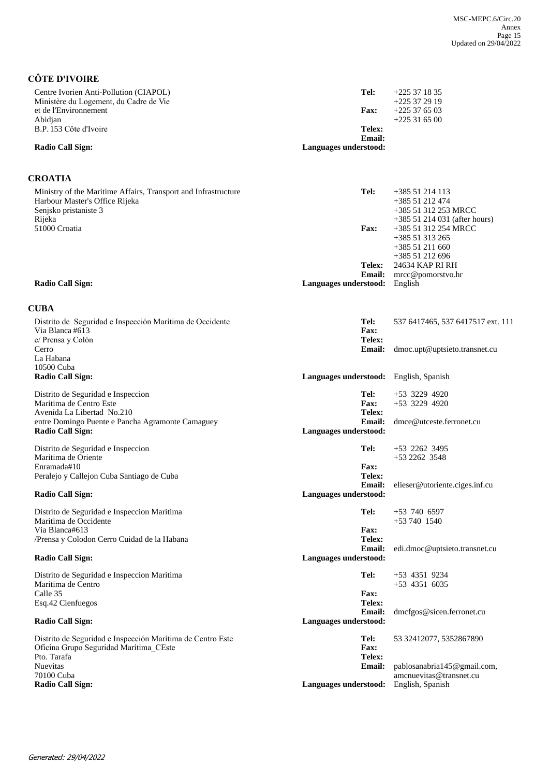# **CÔTE D'IVOIRE**

| Centre Ivorien Anti-Pollution (CIAPOL)<br>Ministère du Logement, du Cadre de Vie                                                    | Tel:                                           | $+225371835$<br>$+225372919$                                                                |
|-------------------------------------------------------------------------------------------------------------------------------------|------------------------------------------------|---------------------------------------------------------------------------------------------|
| et de l'Environnement<br>Abidjan                                                                                                    | <b>Fax:</b>                                    | $+225376503$<br>$+225316500$                                                                |
| B.P. 153 Côte d'Ivoire                                                                                                              | Telex:                                         |                                                                                             |
| <b>Radio Call Sign:</b>                                                                                                             | <b>Email:</b><br>Languages understood:         |                                                                                             |
| <b>CROATIA</b>                                                                                                                      |                                                |                                                                                             |
| Ministry of the Maritime Affairs, Transport and Infrastructure<br>Harbour Master's Office Rijeka<br>Senjsko pristaniste 3<br>Rijeka | Tel:                                           | +385 51 214 113<br>+385 51 212 474<br>+385 51 312 253 MRCC<br>+385 51 214 031 (after hours) |
| 51000 Croatia                                                                                                                       | <b>Fax:</b>                                    | +385 51 312 254 MRCC<br>+385 51 313 265<br>+385 51 211 660                                  |
|                                                                                                                                     | <b>Telex:</b>                                  | +385 51 212 696<br>24634 KAP RI RH                                                          |
| <b>Radio Call Sign:</b>                                                                                                             | <b>Email:</b><br>Languages understood: English | mrcc@pomorstvo.hr                                                                           |
|                                                                                                                                     |                                                |                                                                                             |
| <b>CUBA</b>                                                                                                                         |                                                |                                                                                             |
| Distrito de Seguridad e Inspección Marítima de Occidente<br>Via Blanca #613<br>e/ Prensa y Colón                                    | Tel:<br>Fax:<br>Telex:                         | 537 6417465, 537 6417517 ext. 111                                                           |
| Cerro<br>La Habana                                                                                                                  | <b>Email:</b>                                  | dmoc.upt@uptsieto.transnet.cu                                                               |
| 10500 Cuba<br><b>Radio Call Sign:</b>                                                                                               | Languages understood: English, Spanish         |                                                                                             |
| Distrito de Seguridad e Inspeccion                                                                                                  | Tel:                                           | $+53$ 3229 4920                                                                             |
| Maritima de Centro Este<br>Avenida La Libertad No.210                                                                               | <b>Fax:</b><br>Telex:                          | $+53$ 3229 4920                                                                             |
| entre Domingo Puente e Pancha Agramonte Camaguey<br><b>Radio Call Sign:</b>                                                         | <b>Email:</b><br>Languages understood:         | dmce@utceste.ferronet.cu                                                                    |
| Distrito de Seguridad e Inspeccion<br>Maritima de Oriente                                                                           | Tel:                                           | $+53$ 2262 3495<br>+53 2262 3548                                                            |
| Enramada#10<br>Peralejo y Callejon Cuba Santiago de Cuba                                                                            | <b>Fax:</b><br>Telex:<br><b>Email:</b>         | elieser@utoriente.ciges.inf.cu                                                              |
| <b>Radio Call Sign:</b>                                                                                                             | Languages understood:                          |                                                                                             |
| Distrito de Seguridad e Inspeccion Maritima<br>Maritima de Occidente                                                                | Tel:                                           | $+53$ 740 6597<br>$+53740$ 1540                                                             |
| Via Blanca#613<br>/Prensa y Colodon Cerro Cuidad de la Habana                                                                       | <b>Fax:</b><br>Telex:                          |                                                                                             |
| <b>Radio Call Sign:</b>                                                                                                             | <b>Email:</b><br>Languages understood:         | edi.dmoc@uptsieto.transnet.cu                                                               |
| Distrito de Seguridad e Inspeccion Maritima<br>Maritima de Centro                                                                   | Tel:                                           | +53 4351 9234<br>$+53$ 4351 6035                                                            |
| Calle 35<br>Esq.42 Cienfuegos                                                                                                       | <b>Fax:</b><br>Telex:                          |                                                                                             |
| <b>Radio Call Sign:</b>                                                                                                             | <b>Email:</b><br>Languages understood:         | dmcfgos@sicen.ferronet.cu                                                                   |
| Distrito de Seguridad e Inspección Marítima de Centro Este<br>Oficina Grupo Seguridad Marítima CEste<br>Pto. Tarafa                 | Tel:<br>Fax:<br>Telex:                         | 53 32412077, 5352867890                                                                     |
| <b>Nuevitas</b>                                                                                                                     | <b>Email:</b>                                  | pablosanabria145@gmail.com,                                                                 |
| 70100 Cuba<br><b>Radio Call Sign:</b>                                                                                               | Languages understood: English, Spanish         | amcnuevitas@transnet.cu                                                                     |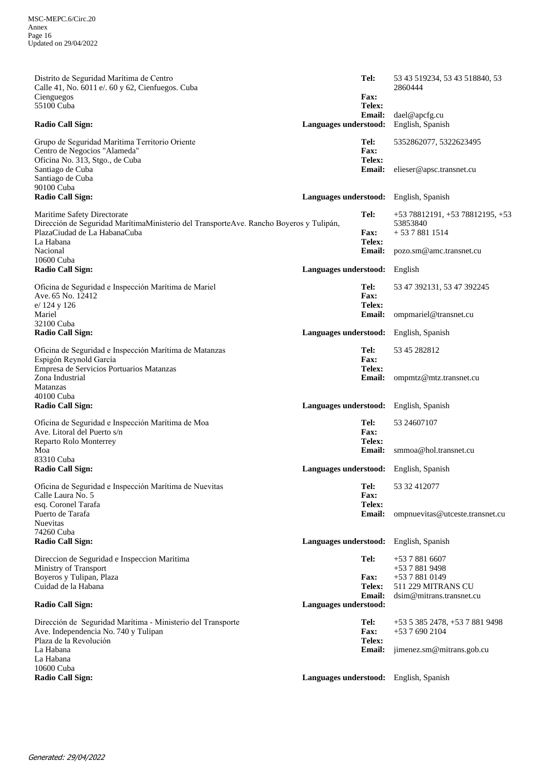| Distrito de Seguridad Marítima de Centro<br>Calle 41, No. 6011 e/. 60 y 62, Cienfuegos. Cuba<br>Cienguegos<br>55100 Cuba                                           |                               | Tel:<br><b>Fax:</b><br>Telex:  | 53 43 519234, 53 43 518840, 53<br>2860444                    |
|--------------------------------------------------------------------------------------------------------------------------------------------------------------------|-------------------------------|--------------------------------|--------------------------------------------------------------|
| <b>Radio Call Sign:</b>                                                                                                                                            | Languages understood:         | <b>Email:</b>                  | dael@apcfg.cu<br>English, Spanish                            |
| Grupo de Seguridad Marítima Territorio Oriente<br>Centro de Negocios "Alameda"<br>Oficina No. 313, Stgo., de Cuba                                                  |                               | Tel:<br>Fax:<br>Telex:         | 5352862077, 5322623495                                       |
| Santiago de Cuba<br>Santiago de Cuba<br>90100 Cuba                                                                                                                 |                               | <b>Email:</b>                  | elieser@apsc.transnet.cu                                     |
| <b>Radio Call Sign:</b>                                                                                                                                            |                               |                                | Languages understood: English, Spanish                       |
| Maritime Safety Directorate<br>Dirección de Seguridad MarítimaMinisterio del TransporteAve. Rancho Boyeros y Tulipán,<br>PlazaCiudad de La HabanaCuba<br>La Habana |                               | Tel:<br><b>Fax:</b><br>Telex:  | $+5378812191, +5378812195, +53$<br>53853840<br>$+5378811514$ |
| Nacional<br>10600 Cuba                                                                                                                                             |                               | <b>Email:</b>                  | pozo.sm@amc.transnet.cu                                      |
| <b>Radio Call Sign:</b>                                                                                                                                            | Languages understood: English |                                |                                                              |
| Oficina de Seguridad e Inspección Marítima de Mariel<br>Ave. 65 No. 12412<br>e/ 124 y 126                                                                          |                               | Tel:<br><b>Fax:</b><br>Telex:  | 53 47 392131, 53 47 392245                                   |
| Mariel<br>32100 Cuba                                                                                                                                               |                               | <b>Email:</b>                  | ompmariel@transnet.cu                                        |
| <b>Radio Call Sign:</b>                                                                                                                                            | Languages understood:         |                                | English, Spanish                                             |
| Oficina de Seguridad e Inspección Marítima de Matanzas<br>Espigón Reynold García                                                                                   |                               | Tel:<br>Fax:                   | 53 45 282812                                                 |
| Empresa de Servicios Portuarios Matanzas<br>Zona Industrial<br><b>Matanzas</b>                                                                                     |                               | Telex:<br><b>Email:</b>        | ompmtz@mtz.transnet.cu                                       |
| 40100 Cuba<br><b>Radio Call Sign:</b>                                                                                                                              |                               |                                | Languages understood: English, Spanish                       |
| Oficina de Seguridad e Inspección Marítima de Moa<br>Ave. Litoral del Puerto s/n<br>Reparto Rolo Monterrey                                                         |                               | Tel:<br>Fax:<br>Telex:         | 53 24607107                                                  |
| Moa<br>83310 Cuba                                                                                                                                                  |                               | <b>Email:</b>                  | smmoa@hol.transnet.cu                                        |
| <b>Radio Call Sign:</b>                                                                                                                                            |                               |                                | Languages understood: English, Spanish                       |
| Oficina de Seguridad e Inspección Marítima de Nuevitas<br>Calle Laura No. 5                                                                                        |                               | Tel:<br><b>Fax:</b>            | 53 32 412077                                                 |
| esq. Coronel Tarafa<br>Puerto de Tarafa                                                                                                                            |                               | Telex:<br><b>Email:</b>        | ompnuevitas@utceste.transnet.cu                              |
| <b>Nuevitas</b><br>74260 Cuba                                                                                                                                      |                               |                                |                                                              |
| <b>Radio Call Sign:</b>                                                                                                                                            |                               |                                | Languages understood: English, Spanish                       |
| Direccion de Seguridad e Inspeccion Maritima<br>Ministry of Transport                                                                                              |                               | Tel:                           | $+5378816607$<br>+53 7 881 9498                              |
| Boyeros y Tulipan, Plaza<br>Cuidad de la Habana                                                                                                                    |                               | <b>Fax:</b>                    | +53 7 881 0149<br>511 229 MITRANS CU                         |
| <b>Radio Call Sign:</b>                                                                                                                                            | Languages understood:         | <b>Telex:</b><br><b>Email:</b> | dsim@mitrans.transnet.cu                                     |
| Dirección de Seguridad Marítima - Ministerio del Transporte<br>Ave. Independencia No. 740 y Tulipan                                                                |                               | Tel:<br><b>Fax:</b>            | $+5353852478, +5378819498$<br>+53 7 690 2104                 |
| Plaza de la Revolución<br>La Habana<br>La Habana                                                                                                                   |                               | Telex:<br><b>Email:</b>        | jimenez.sm@mitrans.gob.cu                                    |
| 10600 Cuba<br><b>Radio Call Sign:</b>                                                                                                                              |                               |                                | Languages understood: English, Spanish                       |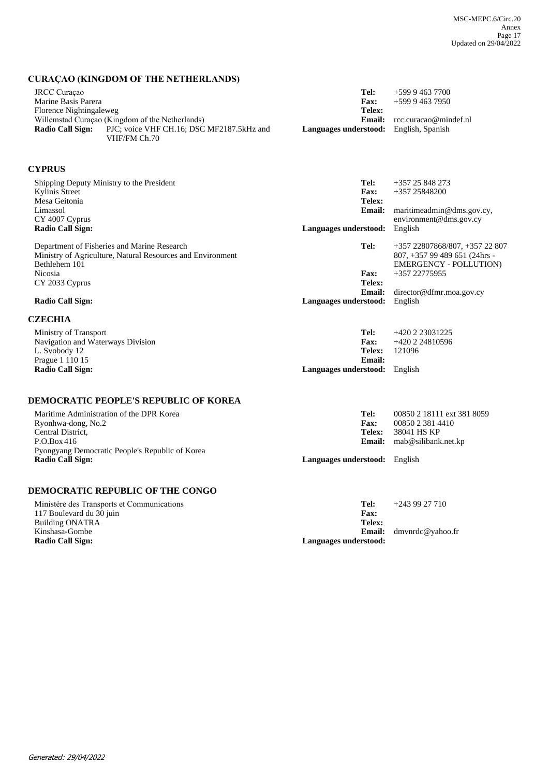## **CURAÇAO (KINGDOM OF THE NETHERLANDS)**

| JRCC Curaçao<br>Marine Basis Parera |                                                 | Tel:<br><b>Fax:</b>                           | +599 9 463 7700<br>+599 9 463 7950 |
|-------------------------------------|-------------------------------------------------|-----------------------------------------------|------------------------------------|
| Florence Nightingaleweg             | Willemstad Curação (Kingdom of the Netherlands) | Telex:<br>Email:                              | rcc.curacao@mindef.nl              |
| Radio Call Sign:                    | PJC; voice VHF CH.16; DSC MF2187.5kHz and       | <b>Languages understood:</b> English, Spanish |                                    |
|                                     | VHF/FM Ch.70                                    |                                               |                                    |

# **CYPRUS**

| Shipping Deputy Ministry to the President<br>Kylinis Street<br>Mesa Geitonia<br>Limassol<br>CY 4007 Cyprus<br><b>Radio Call Sign:</b>                                              | Tel:<br><b>Fax:</b><br>Telex:<br>Email:<br>Languages understood: | $+357$ 25 848 273<br>$+35725848200$<br>maritimeadmin@dms.gov.cy,<br>environment@dms.gov.cv<br>English                                                            |
|------------------------------------------------------------------------------------------------------------------------------------------------------------------------------------|------------------------------------------------------------------|------------------------------------------------------------------------------------------------------------------------------------------------------------------|
| Department of Fisheries and Marine Research<br>Ministry of Agriculture, Natural Resources and Environment<br>Bethlehem 101<br>Nicosia<br>CY 2033 Cyprus<br><b>Radio Call Sign:</b> | Tel:<br>Fax:<br>Telex:<br>Email:<br>Languages understood:        | $+357$ 22807868/807, $+357$ 22 807<br>$807, +357$ 99 489 651 (24hrs -<br><b>EMERGENCY - POLLUTION)</b><br>$+35722775955$<br>direction@dfmr.moa.gov.cy<br>English |
| <b>CZECHIA</b>                                                                                                                                                                     |                                                                  |                                                                                                                                                                  |

| Ministry of Transport             | Tel:                                 | +420 2 23031225 |
|-----------------------------------|--------------------------------------|-----------------|
| Navigation and Waterways Division | <b>Fax:</b>                          | +420 2 24810596 |
| L. Svobody 12                     | Telex:                               | 121096          |
| Prague 1 110 15                   | Email:                               |                 |
| <b>Radio Call Sign:</b>           | <b>Languages understood:</b> English |                 |

# **DEMOCRATIC PEOPLE'S REPUBLIC OF KOREA**

| Maritime Administration of the DPR Korea        | Tel:                                 | 00850 2 18111 ext 381 8059 |
|-------------------------------------------------|--------------------------------------|----------------------------|
| Ryonhwa-dong, No.2                              | <b>Fax:</b>                          | 00850 2 381 4410           |
| Central District,                               | Telex:                               | 38041 HS KP                |
| P.O.Box 416                                     | <b>Email:</b>                        | mab@silibank.net.kp        |
| Pyongyang Democratic People's Republic of Korea |                                      |                            |
| <b>Radio Call Sign:</b>                         | <b>Languages understood:</b> English |                            |
|                                                 |                                      |                            |

## **DEMOCRATIC REPUBLIC OF THE CONGO**

| Ministère des Transports et Communications | Tel:                  | $+243927710$                   |
|--------------------------------------------|-----------------------|--------------------------------|
| 117 Boulevard du 30 juin                   | Fax:                  |                                |
| Building ONATRA                            | Telex:                |                                |
| Kinshasa-Gombe                             |                       | <b>Email:</b> dmvnrdc@yahoo.fr |
| <b>Radio Call Sign:</b>                    | Languages understood: |                                |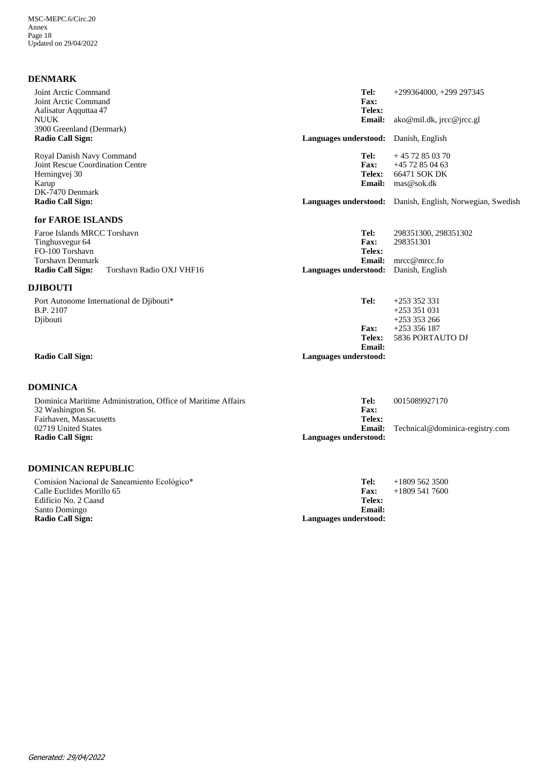| <b>DENMARK</b>                                                        |                        |                                                           |
|-----------------------------------------------------------------------|------------------------|-----------------------------------------------------------|
| Joint Arctic Command<br>Joint Arctic Command<br>Aalisatur Aqquttaa 47 | Tel:<br>Fax:<br>Telex: | $+299364000, +299297345$                                  |
| <b>NUUK</b>                                                           | <b>Email:</b>          | $ako@mil.dk$ , $\text{ircc@} \text{ircc.gl}$              |
| 3900 Greenland (Denmark)                                              |                        |                                                           |
| <b>Radio Call Sign:</b>                                               | Languages understood:  | Danish, English                                           |
| Royal Danish Navy Command                                             | Tel:                   | $+4572850370$                                             |
| Joint Rescue Coordination Centre                                      | <b>Fax:</b>            | $+45$ 72 85 04 63                                         |
| Herningvej 30                                                         | Telex:                 | 66471 SOK DK                                              |
| Karup                                                                 | Email:                 | mas@sok.dk                                                |
| DK-7470 Denmark<br><b>Radio Call Sign:</b>                            |                        | Languages understood: Danish, English, Norwegian, Swedish |
| for FAROE ISLANDS                                                     |                        |                                                           |
| Faroe Islands MRCC Torshavn<br>Tinghusvegur 64                        | Tel:<br>Fax:           | 298351300, 298351302<br>298351301                         |
| FO-100 Torshavn                                                       | Telex:                 |                                                           |
| <b>Torshavn Denmark</b>                                               | Email:                 | mrec@mrec.fo                                              |
| Radio Call Sign:<br>Torshavn Radio OXJ VHF16                          | Languages understood:  | Danish, English                                           |
| <b>DJIBOUTI</b>                                                       |                        |                                                           |
| Port Autonome International de Djibouti*                              | Tel:                   | $+253352331$                                              |
| B.P. 2107                                                             |                        | $+253351031$                                              |
| Djibouti                                                              |                        | $+253353266$                                              |
|                                                                       | <b>Fax:</b>            | $+253356187$                                              |
|                                                                       | Telex:                 | 5836 PORTAUTO DJ                                          |
|                                                                       | Email:                 |                                                           |
| <b>Radio Call Sign:</b>                                               | Languages understood:  |                                                           |
|                                                                       |                        |                                                           |

### **DOMINICA**

| Dominica Maritime Administration, Office of Maritime Affairs | Tel:                  | 0015089927170                   |
|--------------------------------------------------------------|-----------------------|---------------------------------|
| 32 Washington St.                                            | <b>Fax:</b>           |                                 |
| Fairhaven, Massacusetts                                      | Telex:                |                                 |
| 02719 United States                                          | <b>Email:</b>         | Technical@dominica-registry.com |
| Radio Call Sign:                                             | Languages understood: |                                 |

### **DOMINICAN REPUBLIC**

+1809 541 7600 **Email: Telex: Fax:** Comisíon Nacional de Saneamiento Ecológico\* Calle Euclides Morillo 65 Edificio No. 2 Caasd Santo Domingo<br>Radio Call Sign: Languages understood: **Tel:** +1809 562 3500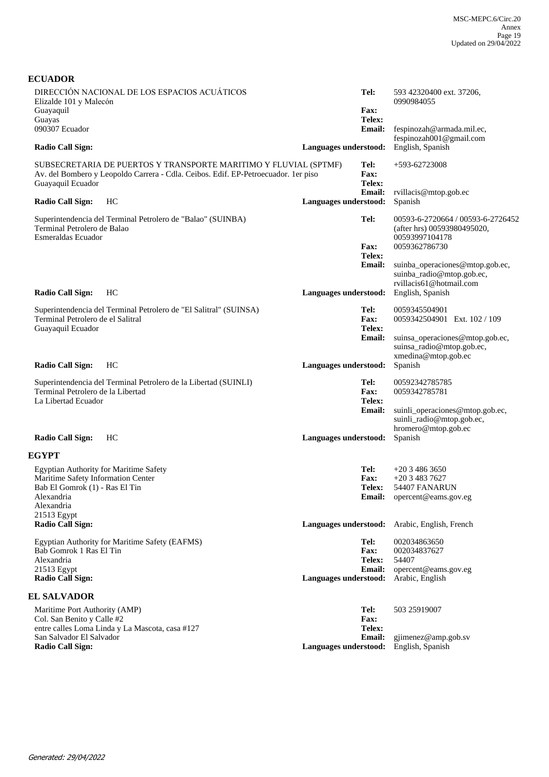| DIRECCIÓN NACIONAL DE LOS ESPACIOS ACUÁTICOS<br>Elizalde 101 y Malecón                               | Tel:                                          | 593 42320400 ext. 37206,<br>0990984055 |
|------------------------------------------------------------------------------------------------------|-----------------------------------------------|----------------------------------------|
| Guayaquil                                                                                            | <b>Fax:</b>                                   |                                        |
| Guayas                                                                                               | Telex:                                        |                                        |
| 090307 Ecuador                                                                                       | <b>Email:</b>                                 | fespinozah@armada.mil.ec,              |
|                                                                                                      |                                               | fespinozah001@gmail.com                |
| <b>Radio Call Sign:</b>                                                                              | Languages understood:                         | English, Spanish                       |
| SUBSECRETARIA DE PUERTOS Y TRANSPORTE MARITIMO Y FLUVIAL (SPTMF)                                     | Tel:                                          | +593-62723008                          |
| Av. del Bombero y Leopoldo Carrera - Cdla. Ceibos. Edif. EP-Petroecuador. 1er piso                   | Fax:                                          |                                        |
| Guayaquil Ecuador                                                                                    | Telex:                                        |                                        |
|                                                                                                      | <b>Email:</b>                                 | rvillacis@mtop.gob.ec                  |
| <b>Radio Call Sign:</b><br>HC                                                                        |                                               | Spanish                                |
|                                                                                                      | Languages understood:                         |                                        |
| Superintendencia del Terminal Petrolero de "Balao" (SUINBA)                                          | Tel:                                          | 00593-6-2720664 / 00593-6-2726452      |
| Terminal Petrolero de Balao                                                                          |                                               | (after hrs) 00593980495020,            |
| Esmeraldas Ecuador                                                                                   |                                               | 00593997104178                         |
|                                                                                                      | <b>Fax:</b>                                   | 0059362786730                          |
|                                                                                                      | Telex:                                        |                                        |
|                                                                                                      | <b>Email:</b>                                 | suinba_operaciones@mtop.gob.ec,        |
|                                                                                                      |                                               | suinba_radio@mtop.gob.ec,              |
|                                                                                                      |                                               | rvillacis61@hotmail.com                |
| Radio Call Sign:<br>HС                                                                               | Languages understood:                         | English, Spanish                       |
|                                                                                                      |                                               |                                        |
| Superintendencia del Terminal Petrolero de "El Salitral" (SUINSA)                                    | Tel:                                          | 0059345504901                          |
| Terminal Petrolero de el Salitral                                                                    | Fax:                                          | 0059342504901 Ext. 102 / 109           |
| Guayaquil Ecuador                                                                                    | Telex:                                        |                                        |
|                                                                                                      | <b>Email:</b>                                 | suinsa_operaciones@mtop.gob.ec,        |
|                                                                                                      |                                               | suinsa_radio@mtop.gob.ec,              |
|                                                                                                      |                                               |                                        |
|                                                                                                      |                                               | xmedina@mtop.gob.ec                    |
| <b>Radio Call Sign:</b><br>HС                                                                        | Languages understood:                         | Spanish                                |
|                                                                                                      | Tel:                                          | 00592342785785                         |
| Superintendencia del Terminal Petrolero de la Libertad (SUINLI)<br>Terminal Petrolero de la Libertad | <b>Fax:</b>                                   | 0059342785781                          |
| La Libertad Ecuador                                                                                  | Telex:                                        |                                        |
|                                                                                                      |                                               |                                        |
|                                                                                                      | <b>Email:</b>                                 | suinli_operaciones@mtop.gob.ec,        |
|                                                                                                      |                                               | suinli_radio@mtop.gob.ec,              |
|                                                                                                      |                                               | hromero@mtop.gob.ec                    |
| <b>Radio Call Sign:</b><br>HС                                                                        | Languages understood:                         | Spanish                                |
| <b>EGYPT</b>                                                                                         |                                               |                                        |
| <b>Egyptian Authority for Maritime Safety</b>                                                        | Tel:                                          | $+2034863650$                          |
| Maritime Safety Information Center                                                                   | Fax:                                          | $+2034837627$                          |
| Bab El Gomrok (1) - Ras El Tin                                                                       | <b>Telex:</b>                                 | 54407 FANARUN                          |
| Alexandria                                                                                           |                                               | <b>Email:</b> opercent@eams.gov.eg     |
| Alexandria                                                                                           |                                               |                                        |
| 21513 Egypt                                                                                          |                                               |                                        |
| <b>Radio Call Sign:</b>                                                                              | Languages understood: Arabic, English, French |                                        |
|                                                                                                      |                                               |                                        |
| Egyptian Authority for Maritime Safety (EAFMS)                                                       | Tel:                                          | 002034863650                           |
| Bab Gomrok 1 Ras El Tin                                                                              | <b>Fax:</b>                                   | 002034837627                           |
| Alexandria                                                                                           | Telex:                                        | 54407                                  |
| 21513 Egypt                                                                                          | <b>Email:</b>                                 | opercent@eams.gov.eg                   |
| <b>Radio Call Sign:</b>                                                                              | Languages understood:                         | Arabic, English                        |
| <b>EL SALVADOR</b>                                                                                   |                                               |                                        |
|                                                                                                      |                                               |                                        |
| Maritime Port Authority (AMP)                                                                        | Tel:                                          | 503 25919007                           |
| Col. San Benito y Calle #2                                                                           | <b>Fax:</b>                                   |                                        |
| entre calles Loma Linda y La Mascota, casa #127                                                      | Telex:                                        |                                        |
| San Salvador El Salvador                                                                             | <b>Email:</b>                                 | gjimenez@amp.gob.sv                    |
| Radio Call Sign:                                                                                     | Languages understood:                         | English, Spanish                       |
|                                                                                                      |                                               |                                        |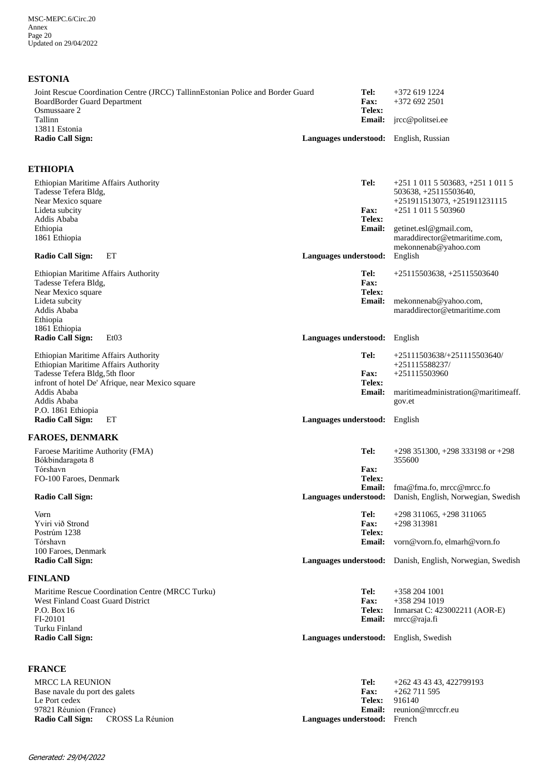## **ESTONIA**

| Joint Rescue Coordination Centre (JRCC) Tallinn Estonian Police and Border Guard<br><b>BoardBorder Guard Department</b><br>Osmussaare 2 | Tel:<br><b>Fax:</b><br>Telex:                           | +372 619 1224<br>$+3726922501$                            |
|-----------------------------------------------------------------------------------------------------------------------------------------|---------------------------------------------------------|-----------------------------------------------------------|
| Tallinn<br>13811 Estonia<br><b>Radio Call Sign:</b>                                                                                     | <b>Email:</b><br>Languages understood: English, Russian | jrcc@politsei.ee                                          |
| <b>ETHIOPIA</b>                                                                                                                         |                                                         |                                                           |
| Ethiopian Maritime Affairs Authority                                                                                                    | Tel:                                                    | $+251$ 1 011 5 503683, $+251$ 1 011 5                     |
| Tadesse Tefera Bldg,                                                                                                                    |                                                         | 503638, +25115503640,                                     |
| Near Mexico square                                                                                                                      |                                                         | $+251911513073, +251911231115$                            |
| Lideta subcity                                                                                                                          | Fax:                                                    | $+25110115503960$                                         |
| Addis Ababa                                                                                                                             | Telex:                                                  |                                                           |
| Ethiopia                                                                                                                                | <b>Email:</b>                                           | getinet.esl@gmail.com,                                    |
| 1861 Ethiopia                                                                                                                           |                                                         | maraddirector@etmaritime.com,<br>mekonnenab@yahoo.com     |
| ET<br><b>Radio Call Sign:</b>                                                                                                           | Languages understood:                                   | English                                                   |
|                                                                                                                                         |                                                         |                                                           |
| Ethiopian Maritime Affairs Authority                                                                                                    | Tel:                                                    | $+25115503638, +25115503640$                              |
| Tadesse Tefera Bldg,                                                                                                                    | <b>Fax:</b>                                             |                                                           |
| Near Mexico square                                                                                                                      | Telex:                                                  |                                                           |
| Lideta subcity                                                                                                                          | <b>Email:</b>                                           | mekonnenab@yahoo.com,<br>maraddirector@etmaritime.com     |
| Addis Ababa<br>Ethiopia                                                                                                                 |                                                         |                                                           |
| 1861 Ethiopia                                                                                                                           |                                                         |                                                           |
| <b>Radio Call Sign:</b><br>Et <sub>03</sub>                                                                                             | Languages understood:                                   | English                                                   |
|                                                                                                                                         |                                                         |                                                           |
| Ethiopian Maritime Affairs Authority                                                                                                    | Tel:                                                    | $+25111503638/+251115503640/$                             |
| Ethiopian Maritime Affairs Authority                                                                                                    |                                                         | +251115588237/                                            |
| Tadesse Tefera Bldg, 5th floor<br>infront of hotel De' Afrique, near Mexico square                                                      | <b>Fax:</b><br>Telex:                                   | $+251115503960$                                           |
| Addis Ababa                                                                                                                             | <b>Email:</b>                                           | maritimeadministration@maritimeaff.                       |
| Addis Ababa                                                                                                                             |                                                         | gov.et                                                    |
| P.O. 1861 Ethiopia                                                                                                                      |                                                         |                                                           |
| <b>Radio Call Sign:</b><br>EТ                                                                                                           | Languages understood:                                   | English                                                   |
| <b>FAROES, DENMARK</b>                                                                                                                  |                                                         |                                                           |
| Faroese Maritime Authority (FMA)                                                                                                        | Tel:                                                    | $+298$ 351300, $+298$ 333198 or $+298$                    |
| Bókbindaragøta 8                                                                                                                        |                                                         | 355600                                                    |
| Tórshavn                                                                                                                                | <b>Fax:</b>                                             |                                                           |
| FO-100 Faroes, Denmark                                                                                                                  | Telex:<br><b>Email:</b>                                 | fma@fma.fo, mrcc@mrcc.fo                                  |
| Radio Call Sign:                                                                                                                        | Languages understood:                                   | Danish, English, Norwegian, Swedish                       |
|                                                                                                                                         |                                                         |                                                           |
| Vørn                                                                                                                                    | Tel:                                                    | $+298$ 311065, $+298$ 311065                              |
| Yviri við Strond                                                                                                                        | Fax:                                                    | +298 313981                                               |
| Postrúm 1238                                                                                                                            | Telex:                                                  |                                                           |
| Tórshavn<br>100 Faroes, Denmark                                                                                                         | <b>Email:</b>                                           | vorn@vorn.fo, elmarh@vorn.fo                              |
| <b>Radio Call Sign:</b>                                                                                                                 |                                                         | Languages understood: Danish, English, Norwegian, Swedish |
| <b>FINLAND</b>                                                                                                                          |                                                         |                                                           |
|                                                                                                                                         |                                                         |                                                           |
| Maritime Rescue Coordination Centre (MRCC Turku)<br>West Finland Coast Guard District                                                   | Tel:<br><b>Fax:</b>                                     | $+3582041001$<br>+358 294 1019                            |
| P.O. Box 16                                                                                                                             | Telex:                                                  | Inmarsat C: 423002211 (AOR-E)                             |
| FI-20101                                                                                                                                | <b>Email:</b>                                           | mrcc@raja.fi                                              |
| Turku Finland                                                                                                                           |                                                         |                                                           |
| <b>Radio Call Sign:</b>                                                                                                                 | Languages understood: English, Swedish                  |                                                           |
|                                                                                                                                         |                                                         |                                                           |
| <b>FRANCE</b>                                                                                                                           |                                                         |                                                           |
| <b>MRCC LA REUNION</b>                                                                                                                  | Tel:                                                    | +262 43 43 43, 422799193                                  |
| Base navale du port des galets                                                                                                          | Fax:                                                    | $+262711595$                                              |
| Le Port cedex                                                                                                                           | Telex:                                                  | 916140                                                    |
| 97821 Réunion (France)                                                                                                                  |                                                         | Email: reunion@mrccfr.eu                                  |

**Radio Call Sign:** CROSS La Réunion **Languages understood:** French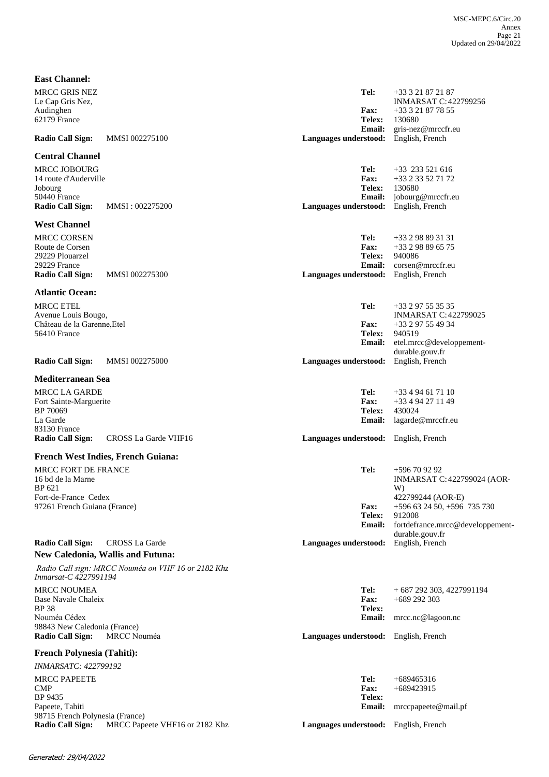| <b>East Channel:</b>                                                                                |                                                    |                                                                                |                                                                                                              |
|-----------------------------------------------------------------------------------------------------|----------------------------------------------------|--------------------------------------------------------------------------------|--------------------------------------------------------------------------------------------------------------|
| <b>MRCC GRIS NEZ</b><br>Le Cap Gris Nez,<br>Audinghen<br>62179 France                               |                                                    | Tel:<br><b>Fax:</b><br><b>Telex:</b>                                           | +33 3 21 87 21 87<br><b>INMARSAT C: 422799256</b><br>+33 3 21 87 78 55<br>130680                             |
| <b>Radio Call Sign:</b>                                                                             | <b>MMSI 002275100</b>                              | <b>Email:</b><br>Languages understood:                                         | gris-nez@mrccfr.eu<br>English, French                                                                        |
| <b>Central Channel</b>                                                                              |                                                    |                                                                                |                                                                                                              |
| <b>MRCC JOBOURG</b><br>14 route d'Auderville<br>Jobourg<br>50440 France<br><b>Radio Call Sign:</b>  | MMSI: 002275200                                    | Tel:<br><b>Fax:</b><br><b>Telex:</b><br><b>Email:</b><br>Languages understood: | $+33$ 233 521 616<br>+33 2 33 52 71 72<br>130680<br>jobourg@mrccfr.eu<br>English, French                     |
| <b>West Channel</b>                                                                                 |                                                    |                                                                                |                                                                                                              |
| <b>MRCC CORSEN</b><br>Route de Corsen<br>29229 Plouarzel<br>29229 France<br><b>Radio Call Sign:</b> | <b>MMSI 002275300</b>                              | Tel:<br><b>Fax:</b><br><b>Telex:</b><br><b>Email:</b><br>Languages understood: | $+33298893131$<br>$+33$ 2 98 89 65 75<br>940086<br>corsen@mrccfr.eu<br>English, French                       |
| <b>Atlantic Ocean:</b>                                                                              |                                                    |                                                                                |                                                                                                              |
| <b>MRCC ETEL</b><br>Avenue Louis Bougo,<br>Château de la Garenne, Etel<br><b>56410 France</b>       |                                                    | Tel:<br><b>Fax:</b><br><b>Telex:</b><br>Email:                                 | +33 2 97 55 35 35<br><b>INMARSAT C: 422799025</b><br>+33 2 97 55 49 34<br>940519<br>etel.mrcc@developpement- |
|                                                                                                     |                                                    |                                                                                | durable.gouv.fr                                                                                              |
| <b>Radio Call Sign:</b>                                                                             | <b>MMSI 002275000</b>                              | Languages understood:                                                          | English, French                                                                                              |
| <b>Mediterranean Sea</b>                                                                            |                                                    |                                                                                |                                                                                                              |
| <b>MRCC LA GARDE</b>                                                                                |                                                    | Tel:                                                                           | +33 4 94 61 71 10                                                                                            |
| Fort Sainte-Marguerite                                                                              |                                                    | <b>Fax:</b>                                                                    | +33 4 94 27 11 49                                                                                            |
| BP 70069<br>La Garde<br>83130 France                                                                |                                                    | <b>Telex:</b><br>Email:                                                        | 430024<br>lagarde@mrccfr.eu                                                                                  |
| <b>Radio Call Sign:</b>                                                                             | CROSS La Garde VHF16                               | Languages understood: English, French                                          |                                                                                                              |
|                                                                                                     | <b>French West Indies, French Guiana:</b>          |                                                                                |                                                                                                              |
| <b>MRCC FORT DE FRANCE</b><br>16 bd de la Marne<br>BP 621<br>Fort-de-France Cedex                   |                                                    | Tel:                                                                           | +596 70 92 92<br><b>INMARSAT C: 422799024 (AOR-</b><br>W)<br>422799244 (AOR-E)                               |
| 97261 French Guiana (France)                                                                        |                                                    | <b>Fax:</b><br>Telex:<br>Email:                                                | $+596$ 63 24 50, $+596$ 735 730<br>912008<br>fortdefrance.mrcc@developpement-<br>durable.gouv.fr             |
| <b>Radio Call Sign:</b>                                                                             | CROSS La Garde                                     | Languages understood:                                                          | English, French                                                                                              |
|                                                                                                     | <b>New Caledonia, Wallis and Futuna:</b>           |                                                                                |                                                                                                              |
| Inmarsat-C 4227991194                                                                               | Radio Call sign: MRCC Nouméa on VHF 16 or 2182 Khz |                                                                                |                                                                                                              |
| <b>MRCC NOUMEA</b><br>Base Navale Chaleix<br><b>BP38</b>                                            |                                                    | Tel:<br><b>Fax:</b><br><b>Telex:</b>                                           | $+687292303, 4227991194$<br>$+689$ 292 303                                                                   |
| Nouméa Cédex                                                                                        |                                                    | <b>Email:</b>                                                                  | mrcc.nc@lagoon.nc                                                                                            |
| 98843 New Caledonia (France)<br><b>Radio Call Sign:</b>                                             | MRCC Nouméa                                        | Languages understood: English, French                                          |                                                                                                              |
| <b>French Polynesia (Tahiti):</b>                                                                   |                                                    |                                                                                |                                                                                                              |
| <b>INMARSATC: 422799192</b>                                                                         |                                                    |                                                                                |                                                                                                              |
| <b>MRCC PAPEETE</b>                                                                                 |                                                    | Tel:                                                                           | +689465316                                                                                                   |
| <b>CMP</b><br>BP 9435                                                                               |                                                    | <b>Fax:</b><br><b>Telex:</b>                                                   | +689423915                                                                                                   |
| Papeete, Tahiti                                                                                     |                                                    | <b>Email:</b>                                                                  | mrccpapeete@mail.pf                                                                                          |
| 98715 French Polynesia (France)<br><b>Radio Call Sign:</b>                                          | MRCC Papeete VHF16 or 2182 Khz                     | Languages understood: English, French                                          |                                                                                                              |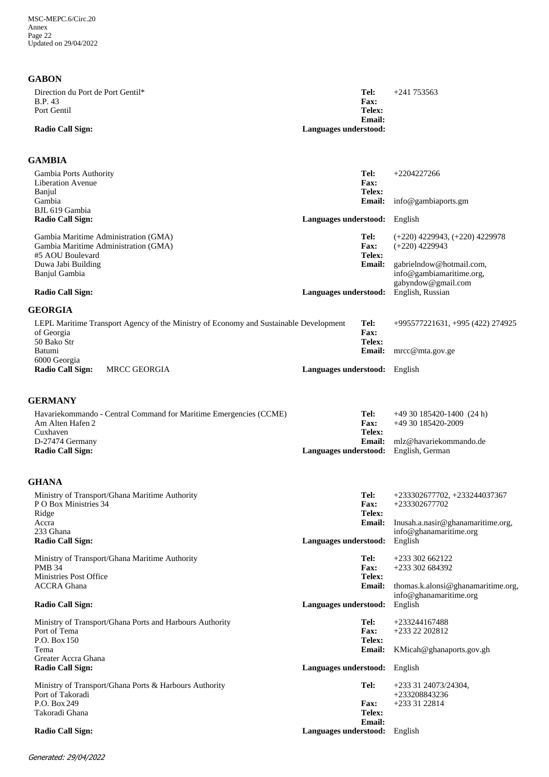### **GABON**

| Direction du Port de Port Gentil*<br><b>B.P.</b> 43<br>Port Gentil | Tel:<br><b>Fax:</b><br>Telex:          | $+241\,753563$ |
|--------------------------------------------------------------------|----------------------------------------|----------------|
| <b>Radio Call Sign:</b>                                            | <b>Email:</b><br>Languages understood: |                |

## **GAMBIA**

| Gambia Ports Authority                                                                |                               | Tel:           | $+2204227266$                      |
|---------------------------------------------------------------------------------------|-------------------------------|----------------|------------------------------------|
| Liberation Avenue                                                                     |                               | Fax:<br>Telex: |                                    |
| Banjul<br>Gambia                                                                      |                               | <b>Email:</b>  | info@gambiaports.gm                |
| BJL 619 Gambia                                                                        |                               |                |                                    |
| Radio Call Sign:                                                                      | Languages understood: English |                |                                    |
| Gambia Maritime Administration (GMA)                                                  |                               | Tel:           | $(+220)$ 4229943, $(+220)$ 4229978 |
| Gambia Maritime Administration (GMA)                                                  |                               | Fax:           | $(+220)$ 4229943                   |
| #5 AOU Boulevard                                                                      |                               | Telex:         |                                    |
| Duwa Jabi Building                                                                    |                               | <b>Email:</b>  | gabrielndow@hotmail.com,           |
| Banjul Gambia                                                                         |                               |                | info@gambiamaritime.org,           |
|                                                                                       |                               |                | gabyndow@gmail.com                 |
| Radio Call Sign:                                                                      | Languages understood:         |                | English, Russian                   |
| <b>GEORGIA</b>                                                                        |                               |                |                                    |
| LEPL Maritime Transport Agency of the Ministry of Economy and Sustainable Development |                               | Tel:           | +995577221631, +995 (422) 274925   |
| of Georgia                                                                            |                               | <b>Fax:</b>    |                                    |
| 50 Bako Str                                                                           |                               | Telex:         |                                    |
| Batumi                                                                                |                               | <b>Email:</b>  | $\text{mrcc}@mta.gov.get$          |
| 6000 Georgia                                                                          |                               |                |                                    |
| <b>MRCC GEORGIA</b><br>Radio Call Sign:                                               | Languages understood: English |                |                                    |
|                                                                                       |                               |                |                                    |
| <b>GERMANY</b>                                                                        |                               |                |                                    |

| Havariekommando - Central Command for Maritime Emergencies (CCME) | Tel:                                         | $+4930185420-1400(24 h)$ |
|-------------------------------------------------------------------|----------------------------------------------|--------------------------|
| Am Alten Hafen 2                                                  | <b>Fax:</b>                                  | +49 30 185420-2009       |
| Cuxhaven                                                          | Telex:                                       |                          |
| D-27474 Germany                                                   | Email:                                       | mlz@havariekommando.de   |
| <b>Radio Call Sign:</b>                                           | <b>Languages understood:</b> English, German |                          |
|                                                                   |                                              |                          |

## **GHANA**

| Ministry of Transport/Ghana Maritime Authority<br>P O Box Ministries 34<br>Ridge<br>Accra<br>233 Ghana<br>Radio Call Sign:                         | Tel:<br>Fax:<br>Telex:<br><b>Email:</b><br>Languages understood: | +233302677702, +233244037367<br>+233302677702<br>Inusah.a.nasir@ghanamaritime.org,<br>info@ghanamaritime.org<br>English |
|----------------------------------------------------------------------------------------------------------------------------------------------------|------------------------------------------------------------------|-------------------------------------------------------------------------------------------------------------------------|
| Ministry of Transport/Ghana Maritime Authority<br><b>PMB 34</b><br>Ministries Post Office<br><b>ACCRA</b> Ghana<br>Radio Call Sign:                | Tel:<br>Fax:<br>Telex:<br><b>Email:</b><br>Languages understood: | $+233302662122$<br>$+233302684392$<br>thomas.k.alonsi@ghanamaritime.org,<br>info@ghanamaritime.org<br>English           |
| Ministry of Transport/Ghana Ports and Harbours Authority<br>Port of Tema<br>P.O. Box 150<br>Tema<br>Greater Accra Ghana<br><b>Radio Call Sign:</b> | Tel:<br>Fax:<br>Telex:<br><b>Email:</b><br>Languages understood: | $+233244167488$<br>$+23322202812$<br>KMicah@ghanaports.gov.gh<br>English                                                |
| Ministry of Transport/Ghana Ports & Harbours Authority<br>Port of Takoradi<br>P.O. Box 249<br>Takoradi Ghana<br>Radio Call Sign:                   | Tel:<br>Fax:<br>Telex:<br>Email:<br>Languages understood:        | $+2333124073/24304.$<br>+233208843236<br>$+2333122814$<br>English                                                       |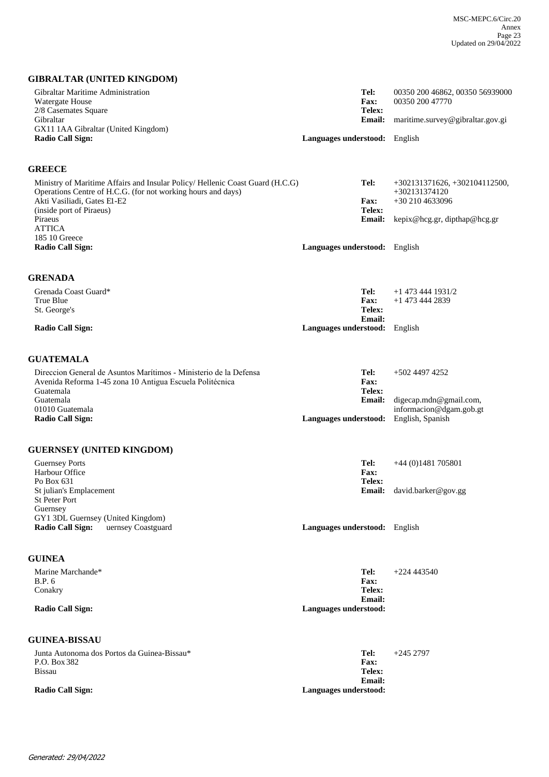## **GIBRALTAR (UNITED KINGDOM)**

| Gibraltar Maritime Administration<br>Watergate House<br>2/8 Casemates Square                                                                  | Tel:<br><b>Fax:</b><br>Telex:                           | 00350 200 46862, 00350 56939000<br>00350 200 47770                    |
|-----------------------------------------------------------------------------------------------------------------------------------------------|---------------------------------------------------------|-----------------------------------------------------------------------|
| Gibraltar<br>GX11 1AA Gibraltar (United Kingdom)                                                                                              | <b>Email:</b>                                           | maritime.survey@gibraltar.gov.gi                                      |
| <b>Radio Call Sign:</b>                                                                                                                       | Languages understood: English                           |                                                                       |
| <b>GREECE</b>                                                                                                                                 |                                                         |                                                                       |
| Ministry of Maritime Affairs and Insular Policy/ Hellenic Coast Guard (H.C.G)<br>Operations Centre of H.C.G. (for not working hours and days) | Tel:<br>Fax:                                            | $+302131371626, +302104112500,$<br>$+302131374120$<br>$+302104633096$ |
| Akti Vasiliadi, Gates El-E2<br>(inside port of Piraeus)<br>Piraeus<br><b>ATTICA</b>                                                           | Telex:<br><b>Email:</b>                                 | kepix@hcg.gr, dipthap@hcg.gr                                          |
| 185 10 Greece<br><b>Radio Call Sign:</b>                                                                                                      | Languages understood: English                           |                                                                       |
| <b>GRENADA</b>                                                                                                                                |                                                         |                                                                       |
| Grenada Coast Guard*                                                                                                                          | Tel:                                                    | $+1$ 473 444 1931/2                                                   |
| True Blue<br>St. George's                                                                                                                     | <b>Fax:</b><br>Telex:                                   | $+1$ 473 444 2839                                                     |
|                                                                                                                                               | <b>Email:</b>                                           |                                                                       |
| <b>Radio Call Sign:</b>                                                                                                                       | Languages understood: English                           |                                                                       |
| <b>GUATEMALA</b>                                                                                                                              |                                                         |                                                                       |
| Direccion General de Asuntos Marítimos - Ministerio de la Defensa<br>Avenida Reforma 1-45 zona 10 Antigua Escuela Politécnica<br>Guatemala    | Tel:<br><b>Fax:</b><br>Telex:                           | +502 4497 4252                                                        |
| Guatemala<br>01010 Guatemala<br><b>Radio Call Sign:</b>                                                                                       | <b>Email:</b><br>Languages understood: English, Spanish | digecap.mdn@gmail.com,<br>informacion@dgam.gob.gt                     |
|                                                                                                                                               |                                                         |                                                                       |
| <b>GUERNSEY (UNITED KINGDOM)</b>                                                                                                              |                                                         |                                                                       |
| <b>Guernsey Ports</b><br>Harbour Office                                                                                                       | Tel:<br><b>Fax:</b>                                     | $+44(0)1481705801$                                                    |
| Po Box 631<br>St julian's Emplacement                                                                                                         | Telex:<br><b>Email:</b>                                 | david.barker@gov.gg                                                   |
| <b>St Peter Port</b><br>Guernsey                                                                                                              |                                                         |                                                                       |
| GY1 3DL Guernsey (United Kingdom)<br><b>Radio Call Sign:</b><br>uernsey Coastguard                                                            | Languages understood: English                           |                                                                       |
| <b>GUINEA</b>                                                                                                                                 |                                                         |                                                                       |
| Marine Marchande*                                                                                                                             | Tel:                                                    | $+224443540$                                                          |
| <b>B.P.</b> 6<br>Conakry                                                                                                                      | Fax:<br>Telex:<br>Email:                                |                                                                       |
| <b>Radio Call Sign:</b>                                                                                                                       | Languages understood:                                   |                                                                       |
| <b>GUINEA-BISSAU</b>                                                                                                                          |                                                         |                                                                       |
| Junta Autonoma dos Portos da Guinea-Bissau*<br>P.O. Box 382                                                                                   | Tel:<br>Fax:                                            | $+2452797$                                                            |
| <b>Bissau</b>                                                                                                                                 | Telex:                                                  |                                                                       |
| <b>Radio Call Sign:</b>                                                                                                                       | <b>Email:</b><br>Languages understood:                  |                                                                       |
|                                                                                                                                               |                                                         |                                                                       |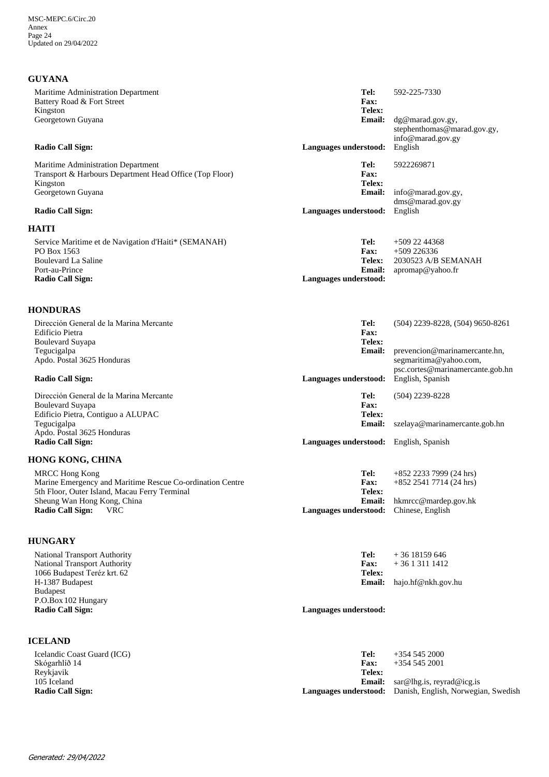# **GUYANA**

| Maritime Administration Department<br>Battery Road & Fort Street                                                                                                                                            | Tel:<br>Fax:                                                                      | 592-225-7330                                                                                                    |
|-------------------------------------------------------------------------------------------------------------------------------------------------------------------------------------------------------------|-----------------------------------------------------------------------------------|-----------------------------------------------------------------------------------------------------------------|
| Kingston<br>Georgetown Guyana                                                                                                                                                                               | Telex:<br><b>Email:</b>                                                           | dg@marad.gov.gy,<br>stephenthomas@marad.gov.gy,                                                                 |
| <b>Radio Call Sign:</b>                                                                                                                                                                                     | Languages understood:                                                             | info@marad.gov.gy<br>English                                                                                    |
| Maritime Administration Department<br>Transport & Harbours Department Head Office (Top Floor)<br>Kingston<br>Georgetown Guyana                                                                              | Tel:<br>Fax:<br>Telex:<br><b>Email:</b>                                           | 5922269871<br>info@marad.gov.gy,<br>dms@marad.gov.gy                                                            |
| <b>Radio Call Sign:</b>                                                                                                                                                                                     | Languages understood:                                                             | English                                                                                                         |
| <b>HAITI</b><br>Service Maritime et de Navigation d'Haiti* (SEMANAH)<br>PO Box 1563<br><b>Boulevard La Saline</b><br>Port-au-Prince<br><b>Radio Call Sign:</b>                                              | Tel:<br><b>Fax:</b><br>Telex:<br><b>Email:</b><br>Languages understood:           | $+5092244368$<br>$+509\,226336$<br>2030523 A/B SEMANAH<br>apromap@yahoo.fr                                      |
| <b>HONDURAS</b>                                                                                                                                                                                             |                                                                                   |                                                                                                                 |
| Dirección General de la Marina Mercante<br>Edificio Pietra<br><b>Boulevard Suyapa</b>                                                                                                                       | Tel:<br>Fax:<br>Telex:                                                            | $(504)$ 2239-8228, $(504)$ 9650-8261                                                                            |
| Tegucigalpa<br>Apdo. Postal 3625 Honduras<br><b>Radio Call Sign:</b>                                                                                                                                        | <b>Email:</b><br>Languages understood:                                            | prevencion@marinamercante.hn,<br>segmaritima@yahoo.com,<br>psc.cortes@marinamercante.gob.hn<br>English, Spanish |
| Dirección General de la Marina Mercante<br><b>Boulevard Suyapa</b><br>Edificio Pietra, Contiguo a ALUPAC<br>Tegucigalpa<br>Apdo. Postal 3625 Honduras<br><b>Radio Call Sign:</b>                            | Tel:<br>Fax:<br>Telex:<br><b>Email:</b><br>Languages understood: English, Spanish | $(504)$ 2239-8228<br>szelaya@marinamercante.gob.hn                                                              |
| <b>HONG KONG, CHINA</b>                                                                                                                                                                                     |                                                                                   |                                                                                                                 |
| <b>MRCC Hong Kong</b><br>Marine Emergency and Maritime Rescue Co-ordination Centre<br>5th Floor, Outer Island, Macau Ferry Terminal<br>Sheung Wan Hong Kong, China<br><b>Radio Call Sign:</b><br><b>VRC</b> | Tel:<br><b>Fax:</b><br>Telex:<br>Languages understood: Chinese, English           | $+852$ 2233 7999 (24 hrs)<br>$+852$ 2541 7714 (24 hrs)<br>Email: hkmrcc@mardep.gov.hk                           |
| <b>HUNGARY</b>                                                                                                                                                                                              |                                                                                   |                                                                                                                 |
| <b>National Transport Authority</b><br>National Transport Authority<br>1066 Budapest Teréz krt. 62<br>H-1387 Budapest<br><b>Budapest</b><br>P.O.Box 102 Hungary<br><b>Radio Call Sign:</b>                  | Tel:<br><b>Fax:</b><br>Telex:<br><b>Email:</b><br>Languages understood:           | $+36$ 18159 646<br>$+3613111412$<br>hajo.hf@nkh.gov.hu                                                          |
| <b>ICELAND</b>                                                                                                                                                                                              |                                                                                   |                                                                                                                 |
| Icelandic Coast Guard (ICG)<br>Skógarhlíð 14<br>Reykjavik<br>105 Iceland<br><b>Radio Call Sign:</b>                                                                                                         | Tel:<br><b>Fax:</b><br><b>Telex:</b><br><b>Email:</b><br>Languages understood:    | $+35452000$<br>$+35452001$<br>sar@lhg.is, reyrad@icg.is<br>Danish, English, Norwegian, Swedish                  |
|                                                                                                                                                                                                             |                                                                                   |                                                                                                                 |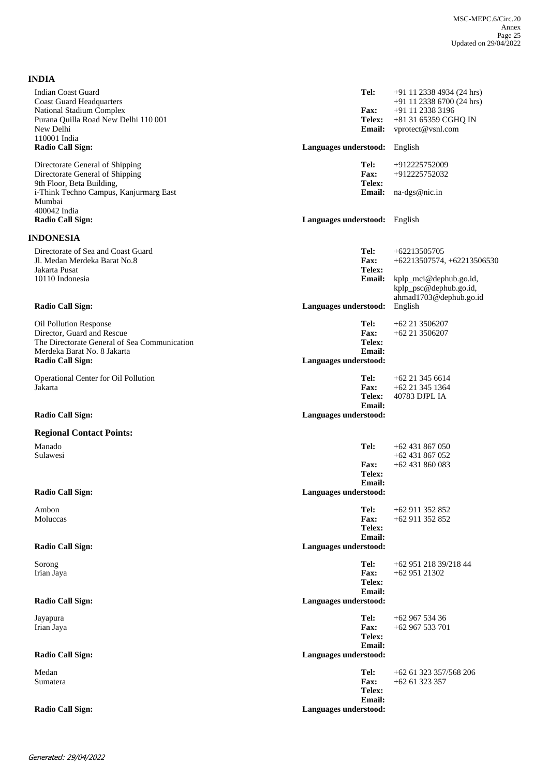| <b>INDIA</b>                                                                                                                                                         |                                                                  |                                                                                                                             |
|----------------------------------------------------------------------------------------------------------------------------------------------------------------------|------------------------------------------------------------------|-----------------------------------------------------------------------------------------------------------------------------|
| <b>Indian Coast Guard</b><br><b>Coast Guard Headquarters</b><br><b>National Stadium Complex</b><br>Purana Quilla Road New Delhi 110 001<br>New Delhi<br>110001 India | Tel:<br><b>Fax:</b><br>Telex:<br>Email:                          | $+91$ 11 2338 4934 (24 hrs)<br>$+91$ 11 2338 6700 (24 hrs)<br>+91 11 2338 3196<br>+81 31 65359 CGHQ IN<br>vprotect@vsnl.com |
| <b>Radio Call Sign:</b>                                                                                                                                              | Languages understood:                                            | English                                                                                                                     |
| Directorate General of Shipping<br>Directorate General of Shipping<br>9th Floor, Beta Building,<br>i-Think Techno Campus, Kanjurmarg East                            | Tel:<br>Fax:<br>Telex:<br><b>Email:</b>                          | +912225752009<br>+912225752032<br>na-dgs@nic.in                                                                             |
| Mumbai                                                                                                                                                               |                                                                  |                                                                                                                             |
| 400042 India<br><b>Radio Call Sign:</b>                                                                                                                              | Languages understood: English                                    |                                                                                                                             |
| <b>INDONESIA</b>                                                                                                                                                     |                                                                  |                                                                                                                             |
| Directorate of Sea and Coast Guard<br>Jl. Medan Merdeka Barat No.8<br>Jakarta Pusat<br>10110 Indonesia                                                               | Tel:<br><b>Fax:</b><br>Telex:<br><b>Email:</b>                   | $+62213505705$<br>$+62213507574, +62213506530$<br>kplp_mci@dephub.go.id,<br>kplp_psc@dephub.go.id,                          |
| <b>Radio Call Sign:</b>                                                                                                                                              | Languages understood:                                            | ahmad1703@dephub.go.id<br>English                                                                                           |
| Oil Pollution Response<br>Director, Guard and Rescue<br>The Directorate General of Sea Communication<br>Merdeka Barat No. 8 Jakarta<br><b>Radio Call Sign:</b>       | Tel:<br>Fax:<br>Telex:<br><b>Email:</b><br>Languages understood: | +62 21 3506207<br>$+62$ 21 3506207                                                                                          |
| Operational Center for Oil Pollution<br>Jakarta                                                                                                                      | Tel:<br><b>Fax:</b><br><b>Telex:</b><br><b>Email:</b>            | $+62$ 21 345 6614<br>$+62$ 21 345 1364<br>40783 DJPL IA                                                                     |
| <b>Radio Call Sign:</b>                                                                                                                                              | Languages understood:                                            |                                                                                                                             |
| <b>Regional Contact Points:</b><br>Manado                                                                                                                            | Tel:                                                             | $+62431867050$                                                                                                              |
| Sulawesi                                                                                                                                                             | <b>Fax:</b><br>Telex:<br><b>Email:</b>                           | $+62431867052$<br>$+62431860083$                                                                                            |
| <b>Radio Call Sign:</b>                                                                                                                                              | Languages understood:                                            |                                                                                                                             |
| Ambon<br>Moluccas                                                                                                                                                    | Tel:<br>Fax:<br>Telex:<br>Email:                                 | $+62911352852$<br>+62 911 352 852                                                                                           |
| <b>Radio Call Sign:</b>                                                                                                                                              | Languages understood:                                            |                                                                                                                             |
| Sorong<br>Irian Jaya                                                                                                                                                 | Tel:<br>Fax:<br>Telex:<br>Email:                                 | +62 951 218 39/218 44<br>+62 951 21302                                                                                      |
| <b>Radio Call Sign:</b>                                                                                                                                              | Languages understood:                                            |                                                                                                                             |
| Jayapura<br>Irian Jaya                                                                                                                                               | Tel:<br>Fax:<br>Telex:<br><b>Email:</b>                          | +62 967 534 36<br>$+62967533701$                                                                                            |
| <b>Radio Call Sign:</b>                                                                                                                                              | Languages understood:                                            |                                                                                                                             |
| Medan<br>Sumatera                                                                                                                                                    | Tel:<br>Fax:<br>Telex:<br><b>Email:</b>                          | +62 61 323 357/568 206<br>$+6261323357$                                                                                     |
| <b>Radio Call Sign:</b>                                                                                                                                              | Languages understood:                                            |                                                                                                                             |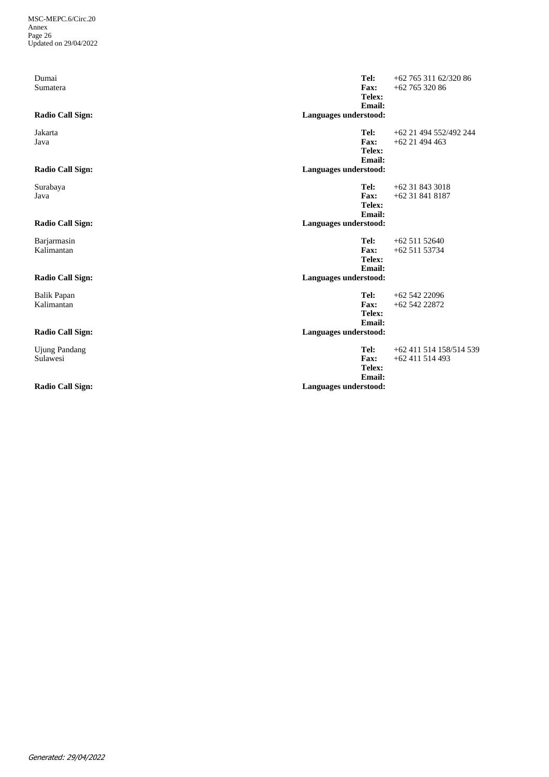| Dumai<br>Sumatera<br><b>Radio Call Sign:</b>                | Tel:<br><b>Fax:</b><br>Telex:<br>Email:<br>Languages understood:        | $+62$ 765 311 62/320 86<br>$+6276532086$   |
|-------------------------------------------------------------|-------------------------------------------------------------------------|--------------------------------------------|
| Jakarta<br>Java<br><b>Radio Call Sign:</b>                  | Tel:<br>Fax:<br>Telex:<br>Email:<br>Languages understood:               | +62 21 494 552/492 244<br>$+62$ 21 494 463 |
| Surabaya<br>Java<br><b>Radio Call Sign:</b>                 | Tel:<br>Fax:<br>Telex:<br><b>Email:</b><br>Languages understood:        | $+62318433018$<br>$+62318418187$           |
| Barjarmasin<br>Kalimantan<br><b>Radio Call Sign:</b>        | Tel:<br>Fax:<br>Telex:<br><b>Email:</b><br>Languages understood:        | $+6251152640$<br>$+6251153734$             |
| <b>Balik Papan</b><br>Kalimantan<br><b>Radio Call Sign:</b> | Tel:<br>Fax:<br>Telex:<br><b>Email:</b><br>Languages understood:        | $+6254222096$<br>$+6254222872$             |
| <b>Ujung Pandang</b><br>Sulawesi<br><b>Radio Call Sign:</b> | Tel:<br><b>Fax:</b><br>Telex:<br><b>Email:</b><br>Languages understood: | +62 411 514 158/514 539<br>$+62411514493$  |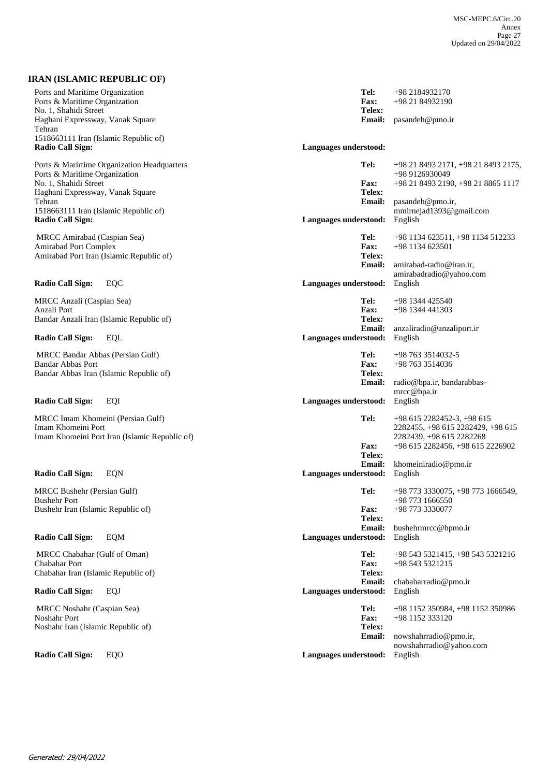## **IRAN (ISLAMIC REPUBLIC OF)**

| Ports and Maritime Organization<br>Ports & Maritime Organization<br>No. 1, Shahidi Street<br>Haghani Expressway, Vanak Square<br>Tehran<br>1518663111 Iran (Islamic Republic of)<br><b>Radio Call Sign:</b> |                                               | Languages understood: | Tel:<br>Fax:<br>Telex:<br><b>Email:</b>        | +98 2184932170<br>+98 21 84932190<br>pasandeh@pmo.ir                                                                              |
|-------------------------------------------------------------------------------------------------------------------------------------------------------------------------------------------------------------|-----------------------------------------------|-----------------------|------------------------------------------------|-----------------------------------------------------------------------------------------------------------------------------------|
|                                                                                                                                                                                                             |                                               |                       |                                                |                                                                                                                                   |
| Ports & Maritime Organization<br>No. 1, Shahidi Street<br>Haghani Expressway, Vanak Square<br>Tehran                                                                                                        | Ports & Marirtime Organization Headquarters   |                       | Tel:<br><b>Fax:</b><br>Telex:<br><b>Email:</b> | +98 21 8493 2171, +98 21 8493 2175,<br>+98 9126930049<br>+98 21 8493 2190, +98 21 8865 1117<br>pasandeh@pmo.ir,                   |
| 1518663111 Iran (Islamic Republic of)<br><b>Radio Call Sign:</b>                                                                                                                                            |                                               | Languages understood: |                                                | mmirnejad1393@gmail.com<br>English                                                                                                |
| MRCC Amirabad (Caspian Sea)<br><b>Amirabad Port Complex</b>                                                                                                                                                 | Amirabad Port Iran (Islamic Republic of)      |                       | Tel:<br><b>Fax:</b><br>Telex:<br><b>Email:</b> | +98 1134 623511, +98 1134 512233<br>+98 1134 623501<br>amirabad-radio@iran.ir,                                                    |
| <b>Radio Call Sign:</b>                                                                                                                                                                                     | EQC                                           | Languages understood: |                                                | amirabadradio@yahoo.com<br>English                                                                                                |
| MRCC Anzali (Caspian Sea)<br>Anzali Port<br>Bandar Anzali Iran (Islamic Republic of)                                                                                                                        |                                               |                       | Tel:<br><b>Fax:</b><br>Telex:                  | $+98$ 1344 425540<br>$+98$ 1344 441303                                                                                            |
| <b>Radio Call Sign:</b>                                                                                                                                                                                     | <b>EQL</b>                                    | Languages understood: | <b>Email:</b>                                  | anzaliradio@anzaliport.ir<br>English                                                                                              |
| MRCC Bandar Abbas (Persian Gulf)<br><b>Bandar Abbas Port</b><br>Bandar Abbas Iran (Islamic Republic of)                                                                                                     |                                               |                       | Tel:<br><b>Fax:</b><br>Telex:                  | $+987633514032-5$<br>+98 763 3514036                                                                                              |
|                                                                                                                                                                                                             |                                               |                       | <b>Email:</b>                                  | radio@bpa.ir, bandarabbas-<br>mrcc@bpa.ir                                                                                         |
| <b>Radio Call Sign:</b>                                                                                                                                                                                     | EQI                                           | Languages understood: |                                                | English                                                                                                                           |
| MRCC Imam Khomeini (Persian Gulf)<br>Imam Khomeini Port                                                                                                                                                     | Imam Khomeini Port Iran (Islamic Republic of) |                       | Tel:<br><b>Fax:</b><br>Telex:                  | $+98$ 615 2282452-3, +98 615<br>2282455, +98 615 2282429, +98 615<br>2282439, +98 615 2282268<br>+98 615 2282456, +98 615 2226902 |
| <b>Radio Call Sign:</b>                                                                                                                                                                                     | EQN                                           | Languages understood: | <b>Email:</b>                                  | khomeiniradio@pmo.ir<br>English                                                                                                   |
| MRCC Bushehr (Persian Gulf)<br><b>Bushehr Port</b>                                                                                                                                                          |                                               |                       | Tel:                                           | +98 773 3330075, +98 773 1666549,<br>+98 773 1666550                                                                              |
| Bushehr Iran (Islamic Republic of)                                                                                                                                                                          |                                               |                       | <b>Fax:</b><br>Telex:                          | +98 773 3330077                                                                                                                   |
| <b>Radio Call Sign:</b>                                                                                                                                                                                     | <b>EQM</b>                                    | Languages understood: | Email:                                         | bushehrmrcc@bpmo.ir<br>English                                                                                                    |
| MRCC Chabahar (Gulf of Oman)<br>Chabahar Port<br>Chabahar Iran (Islamic Republic of)                                                                                                                        |                                               |                       | Tel:<br><b>Fax:</b><br>Telex:                  | +98 543 5321415, +98 543 5321216<br>+98 543 5321215                                                                               |
| Radio Call Sign:                                                                                                                                                                                            | <b>EQJ</b>                                    | Languages understood: | <b>Email:</b>                                  | chabaharradio@pmo.ir<br>English                                                                                                   |
| MRCC Noshahr (Caspian Sea)<br>Noshahr Port                                                                                                                                                                  |                                               |                       | Tel:<br><b>Fax:</b>                            | +98 1152 350984, +98 1152 350986<br>+98 1152 333120                                                                               |
| Noshahr Iran (Islamic Republic of)                                                                                                                                                                          |                                               |                       | Telex:<br><b>Email:</b>                        | nowshahrradio@pmo.ir,                                                                                                             |
| <b>Radio Call Sign:</b>                                                                                                                                                                                     | EQO                                           | Languages understood: |                                                | nowshahrradio@yahoo.com<br>English                                                                                                |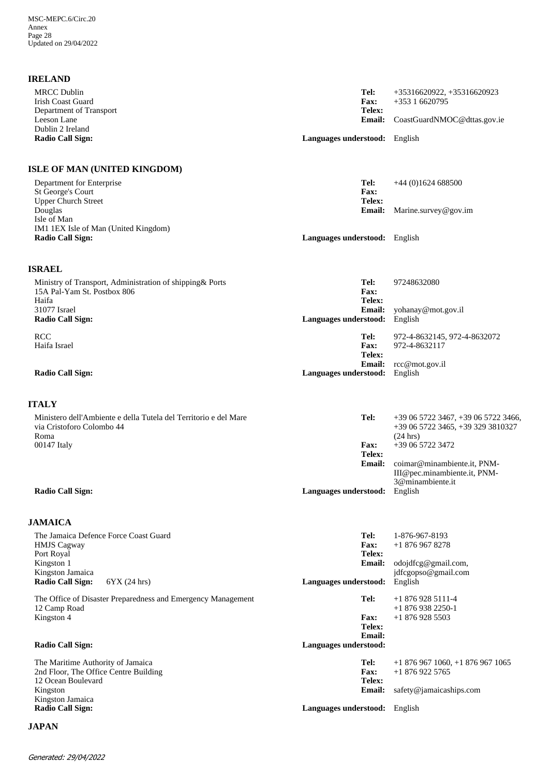## **IRELAND**

| <b>MRCC Dublin</b><br><b>Irish Coast Guard</b>                                                        | Tel:<br><b>Fax:</b><br>Telex:                                   | +35316620922, +35316620923<br>$+35316620795$                                                        |
|-------------------------------------------------------------------------------------------------------|-----------------------------------------------------------------|-----------------------------------------------------------------------------------------------------|
| Department of Transport<br>Leeson Lane<br>Dublin 2 Ireland                                            | <b>Email:</b>                                                   | CoastGuardNMOC@dttas.gov.ie                                                                         |
| <b>Radio Call Sign:</b>                                                                               | Languages understood: English                                   |                                                                                                     |
| ISLE OF MAN (UNITED KINGDOM)                                                                          |                                                                 |                                                                                                     |
| Department for Enterprise<br>St George's Court<br><b>Upper Church Street</b>                          | Tel:<br><b>Fax:</b><br>Telex:                                   | $+44(0)1624688500$                                                                                  |
| Douglas<br>Isle of Man<br>IM1 1EX Isle of Man (United Kingdom)                                        | Email:                                                          | Marine.survey@gov.im                                                                                |
| <b>Radio Call Sign:</b>                                                                               | Languages understood: English                                   |                                                                                                     |
| <b>ISRAEL</b>                                                                                         |                                                                 |                                                                                                     |
| Ministry of Transport, Administration of shipping & Ports<br>15A Pal-Yam St. Postbox 806<br>Haifa     | Tel:<br><b>Fax:</b><br>Telex:                                   | 97248632080                                                                                         |
| 31077 Israel<br><b>Radio Call Sign:</b>                                                               | Email:<br>Languages understood:                                 | yohanay@mot.gov.il<br>English                                                                       |
| <b>RCC</b><br>Haifa Israel                                                                            | Tel:<br><b>Fax:</b><br>Telex:                                   | 972-4-8632145, 972-4-8632072<br>972-4-8632117                                                       |
| <b>Radio Call Sign:</b>                                                                               | <b>Email:</b><br>Languages understood:                          | rcc@mot.gov.il<br>English                                                                           |
| <b>ITALY</b>                                                                                          |                                                                 |                                                                                                     |
| Ministero dell'Ambiente e della Tutela del Territorio e del Mare<br>via Cristoforo Colombo 44<br>Roma | Tel:                                                            | $+390657223467, +390657223466,$<br>+39 06 5722 3465, +39 329 3810327<br>$(24 \text{ hrs})$          |
| 00147 Italy                                                                                           | <b>Fax:</b><br>Telex:<br><b>Email:</b>                          | +39 06 5722 3472<br>coimar@minambiente.it, PNM-<br>III@pec.minambiente.it, PNM-<br>3@minambiente.it |
| <b>Radio Call Sign:</b>                                                                               | Languages understood: English                                   |                                                                                                     |
| <b>JAMAICA</b>                                                                                        |                                                                 |                                                                                                     |
| The Jamaica Defence Force Coast Guard<br><b>HMJS</b> Cagway<br>Port Royal<br>Kingston 1               | Tel:<br><b>Fax:</b><br>Telex:<br><b>Email:</b>                  | 1-876-967-8193<br>$+18769678278$<br>odojdfcg@gmail.com,                                             |
| Kingston Jamaica<br><b>Radio Call Sign:</b><br>6YX (24 hrs)                                           | Languages understood:                                           | jdfcgopso@gmail.com<br>English                                                                      |
| The Office of Disaster Preparedness and Emergency Management<br>12 Camp Road                          | Tel:                                                            | $+18769285111-4$<br>$+18769382250-1$                                                                |
| Kingston 4<br><b>Radio Call Sign:</b>                                                                 | <b>Fax:</b><br>Telex:<br><b>Email:</b><br>Languages understood: | $+18769285503$                                                                                      |
| The Maritime Authority of Jamaica<br>2nd Floor, The Office Centre Building                            | Tel:<br><b>Fax:</b>                                             | $+18769671060, +18769671065$<br>$+18769225765$                                                      |
| 12 Ocean Boulevard<br>Kingston<br>Kingston Jamaica                                                    | Telex:<br><b>Email:</b>                                         | safety@jamaicaships.com                                                                             |
| <b>Radio Call Sign:</b><br><b>JAPAN</b>                                                               | Languages understood: English                                   |                                                                                                     |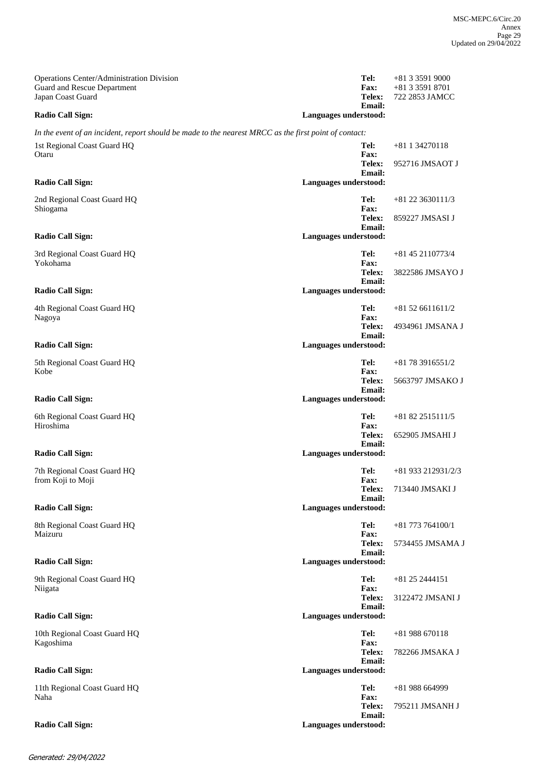| Operations Center/Administration Division<br><b>Guard and Rescue Department</b>                       |                       | Tel:<br><b>Fax:</b>           | $+81335919000$<br>+81 3 3591 8701     |
|-------------------------------------------------------------------------------------------------------|-----------------------|-------------------------------|---------------------------------------|
| Japan Coast Guard                                                                                     |                       | Telex:<br>Email:              | 722 2853 JAMCC                        |
| <b>Radio Call Sign:</b>                                                                               | Languages understood: |                               |                                       |
| In the event of an incident, report should be made to the nearest MRCC as the first point of contact: |                       |                               |                                       |
| 1st Regional Coast Guard HQ<br>Otaru                                                                  |                       | Tel:<br><b>Fax:</b>           | $+81$ 1 34270118                      |
|                                                                                                       |                       | Telex:<br><b>Email:</b>       | 952716 JMSAOT J                       |
| <b>Radio Call Sign:</b>                                                                               | Languages understood: |                               |                                       |
| 2nd Regional Coast Guard HQ<br>Shiogama                                                               |                       | Tel:<br><b>Fax:</b><br>Telex: | $+81$ 22 3630111/3<br>859227 JMSASI J |
| <b>Radio Call Sign:</b>                                                                               | Languages understood: | <b>Email:</b>                 |                                       |
| 3rd Regional Coast Guard HQ                                                                           |                       | Tel:                          | $+81$ 45 2110773/4                    |
| Yokohama                                                                                              |                       | <b>Fax:</b><br>Telex:         | 3822586 JMSAYO J                      |
| <b>Radio Call Sign:</b>                                                                               | Languages understood: | <b>Email:</b>                 |                                       |
| 4th Regional Coast Guard HQ<br>Nagoya                                                                 |                       | Tel:<br><b>Fax:</b>           | $+81526611611/2$                      |
|                                                                                                       |                       | Telex:<br>Email:              | 4934961 JMSANA J                      |
| <b>Radio Call Sign:</b>                                                                               | Languages understood: |                               |                                       |
| 5th Regional Coast Guard HQ<br>Kobe                                                                   |                       | Tel:<br><b>Fax:</b>           | $+81783916551/2$                      |
|                                                                                                       |                       | <b>Telex:</b><br>Email:       | 5663797 JMSAKO J                      |
| <b>Radio Call Sign:</b>                                                                               | Languages understood: |                               |                                       |
| 6th Regional Coast Guard HQ<br>Hiroshima                                                              |                       | Tel:<br><b>Fax:</b>           | $+81822515111/5$                      |
|                                                                                                       |                       | Telex:<br><b>Email:</b>       | 652905 JMSAHI J                       |
| <b>Radio Call Sign:</b>                                                                               | Languages understood: |                               |                                       |
| 7th Regional Coast Guard HQ<br>from Koji to Moji                                                      |                       | Tel:<br><b>Fax:</b>           | $+81933212931/2/3$                    |
|                                                                                                       |                       | Telex:<br><b>Email:</b>       | 713440 JMSAKI J                       |
| <b>Radio Call Sign:</b>                                                                               | Languages understood: |                               |                                       |
| 8th Regional Coast Guard HQ<br>Maizuru                                                                |                       | Tel:<br><b>Fax:</b>           | $+81$ 773 764100/1                    |
|                                                                                                       |                       | Telex:<br><b>Email:</b>       | 5734455 JMSAMA J                      |
| <b>Radio Call Sign:</b>                                                                               | Languages understood: |                               |                                       |
| 9th Regional Coast Guard HQ<br>Niigata                                                                |                       | Tel:<br><b>Fax:</b>           | +81 25 2444151                        |
|                                                                                                       |                       | Telex:<br><b>Email:</b>       | 3122472 JMSANI J                      |
| <b>Radio Call Sign:</b>                                                                               | Languages understood: |                               |                                       |
| 10th Regional Coast Guard HQ<br>Kagoshima                                                             |                       | Tel:<br>Fax:                  | $+81988670118$                        |
|                                                                                                       |                       | Telex:<br>Email:              | 782266 JMSAKA J                       |
| <b>Radio Call Sign:</b>                                                                               | Languages understood: |                               |                                       |
| 11th Regional Coast Guard HQ<br>Naha                                                                  |                       | Tel:<br><b>Fax:</b>           | $+81988664999$                        |
|                                                                                                       |                       | Telex:<br>Email:              | 795211 JMSANH J                       |
| <b>Radio Call Sign:</b>                                                                               | Languages understood: |                               |                                       |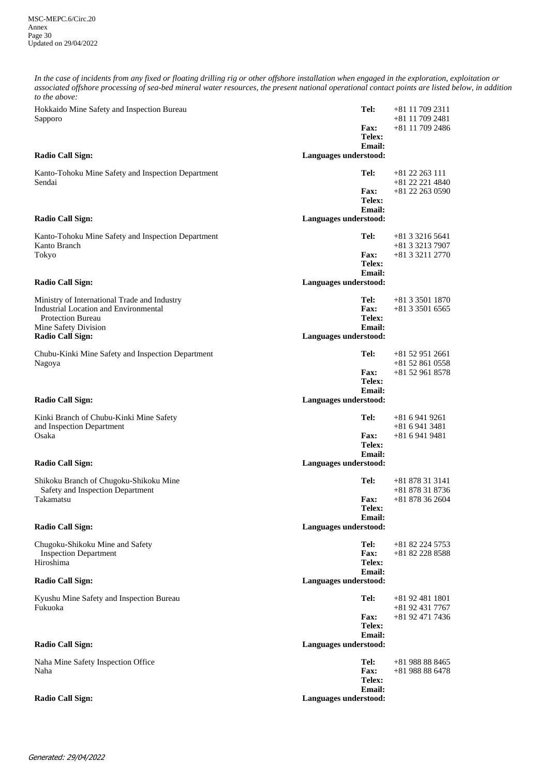*In the case of incidents from any fixed or floating drilling rig or other offshore installation when engaged in the exploration, exploitation or associated offshore processing of sea-bed mineral water resources, the present national operational contact points are listed below, in addition to the above:*

| Hokkaido Mine Safety and Inspection Bureau<br>Sapporo                                                                                            | Tel:<br><b>Fax:</b>                            | +81 11 709 2311<br>$+81$ 11 709 2481<br>$+81$ 11 709 2486 |
|--------------------------------------------------------------------------------------------------------------------------------------------------|------------------------------------------------|-----------------------------------------------------------|
|                                                                                                                                                  | Telex:<br><b>Email:</b>                        |                                                           |
| Radio Call Sign:                                                                                                                                 | Languages understood:                          |                                                           |
| Kanto-Tohoku Mine Safety and Inspection Department<br>Sendai                                                                                     | Tel:<br><b>Fax:</b>                            | $+81$ 22 263 111<br>+81 22 221 4840<br>$+81$ 22 263 0590  |
|                                                                                                                                                  | Telex:<br><b>Email:</b>                        |                                                           |
| Radio Call Sign:                                                                                                                                 | Languages understood:                          |                                                           |
| Kanto-Tohoku Mine Safety and Inspection Department<br>Kanto Branch                                                                               | Tel:                                           | $+81332165641$<br>+81 3 3213 7907                         |
| Tokyo                                                                                                                                            | <b>Fax:</b><br>Telex:<br><b>Email:</b>         | +81 3 3211 2770                                           |
| <b>Radio Call Sign:</b>                                                                                                                          | Languages understood:                          |                                                           |
| Ministry of International Trade and Industry<br><b>Industrial Location and Environmental</b><br><b>Protection Bureau</b><br>Mine Safety Division | Tel:<br><b>Fax:</b><br>Telex:<br><b>Email:</b> | $+81335011870$<br>$+81335016565$                          |
| Radio Call Sign:                                                                                                                                 | Languages understood:                          |                                                           |
| Chubu-Kinki Mine Safety and Inspection Department<br>Nagoya                                                                                      | Tel:                                           | $+81529512661$<br>$+81528610558$                          |
|                                                                                                                                                  | <b>Fax:</b><br>Telex:<br><b>Email:</b>         | $+81529618578$                                            |
| <b>Radio Call Sign:</b>                                                                                                                          | Languages understood:                          |                                                           |
| Kinki Branch of Chubu-Kinki Mine Safety<br>and Inspection Department                                                                             | Tel:                                           | $+8169419261$<br>$+8169413481$                            |
| Osaka                                                                                                                                            | <b>Fax:</b><br>Telex:<br><b>Email:</b>         | $+8169419481$                                             |
| Radio Call Sign:                                                                                                                                 | Languages understood:                          |                                                           |
| Shikoku Branch of Chugoku-Shikoku Mine<br>Safety and Inspection Department                                                                       | Tel:                                           | $+81878313141$<br>+81 878 31 8736                         |
| Takamatsu                                                                                                                                        | <b>Fax:</b><br>Telex:<br>Email:                | $+81878362604$                                            |
| Radio Call Sign:                                                                                                                                 | Languages understood:                          |                                                           |
| Chugoku-Shikoku Mine and Safety<br><b>Inspection Department</b><br>Hiroshima                                                                     | Tel:<br>Fax:<br>Telex:                         | +81 82 224 5753<br>+81 82 228 8588                        |
| <b>Radio Call Sign:</b>                                                                                                                          | <b>Email:</b><br>Languages understood:         |                                                           |
| Kyushu Mine Safety and Inspection Bureau<br>Fukuoka                                                                                              | Tel:                                           | +81 92 481 1801<br>+81 92 431 7767                        |
|                                                                                                                                                  | <b>Fax:</b><br>Telex:<br><b>Email:</b>         | +81 92 471 7436                                           |
| Radio Call Sign:                                                                                                                                 | Languages understood:                          |                                                           |
| Naha Mine Safety Inspection Office<br>Naha                                                                                                       | Tel:<br><b>Fax:</b><br>Telex:                  | $+81988888465$<br>$+81988886478$                          |
| <b>Radio Call Sign:</b>                                                                                                                          | <b>Email:</b><br>Languages understood:         |                                                           |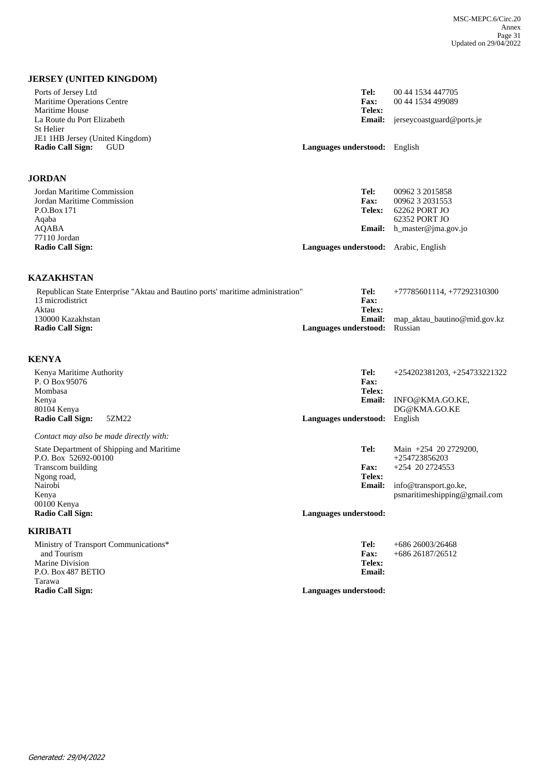## **JERSEY (UNITED KINGDOM)**

| Ports of Jersey Ltd<br>Maritime Operations Centre<br>Maritime House<br>La Route du Port Elizabeth<br>St Helier                       | Tel:<br><b>Fax:</b><br>Telex:<br><b>Email:</b>                          | 00 44 1534 447705<br>00 44 1534 499089<br>jerseycoastguard@ports.je                                            |
|--------------------------------------------------------------------------------------------------------------------------------------|-------------------------------------------------------------------------|----------------------------------------------------------------------------------------------------------------|
| JE1 1HB Jersey (United Kingdom)<br><b>Radio Call Sign:</b><br><b>GUD</b>                                                             | Languages understood: English                                           |                                                                                                                |
| <b>JORDAN</b>                                                                                                                        |                                                                         |                                                                                                                |
| Jordan Maritime Commission<br>Jordan Maritime Commission<br>P.O.Box 171<br>Aqaba<br>AQABA<br>77110 Jordan<br><b>Radio Call Sign:</b> | Tel:<br><b>Fax:</b><br>Telex:<br><b>Email:</b><br>Languages understood: | 00962 3 2015858<br>00962 3 2031553<br>62262 PORT JO<br>62352 PORT JO<br>h master@jma.gov.jo<br>Arabic, English |

### **KAZAKHSTAN**

| Republican State Enterprise "Aktau and Bautino ports' maritime administration" | Tel:                                 | +77785601114, +77292310300   |
|--------------------------------------------------------------------------------|--------------------------------------|------------------------------|
| 13 microdistrict                                                               | <b>Fax:</b>                          |                              |
| Aktau                                                                          | Telex:                               |                              |
| 130000 Kazakhstan                                                              | Email:                               | map_aktau_bautino@mid.gov.kz |
| Radio Call Sign:                                                               | <b>Languages understood:</b> Russian |                              |
|                                                                                |                                      |                              |

# **KENYA**

| Kenya Maritime Authority<br>P. O Box 95076<br>Mombasa | Tel:<br>Fax:<br>Telex: | +254202381203, +254733221322 |
|-------------------------------------------------------|------------------------|------------------------------|
| Kenya                                                 | <b>Email:</b>          | INFO@KMA.GO.KE,              |
| 80104 Kenya                                           |                        | DG@KMA.GO.KE                 |
| Radio Call Sign:<br>5ZM22                             | Languages understood:  | English                      |
| Contact may also be made directly with:               |                        |                              |
| State Department of Shipping and Maritime             | Tel:                   | Main $+254$ 20 2729200,      |
| P.O. Box 52692-00100                                  |                        | $+254723856203$              |
| Transcom building                                     | <b>Fax:</b>            | +254 20 2724553              |
| Ngong road,                                           | Telex:                 |                              |
| Nairobi                                               | <b>Email:</b>          | info@transport.go.ke,        |
| Kenya                                                 |                        | psmaritimeshipping@gmail.com |
| 00100 Kenya                                           |                        |                              |
| <b>Radio Call Sign:</b>                               | Languages understood:  |                              |
| KIRIBATI                                              |                        |                              |
| Ministry of Transport Communications*                 | Tel:                   | $+68626003/26468$            |
| and Tourism                                           | Fax:                   | $+68626187/26512$            |
| Marine Division                                       | Telex:                 |                              |
| P.O. Box 487 BETIO                                    | <b>Email:</b>          |                              |
| Tarawa                                                |                        |                              |
| <b>Radio Call Sign:</b>                               | Languages understood:  |                              |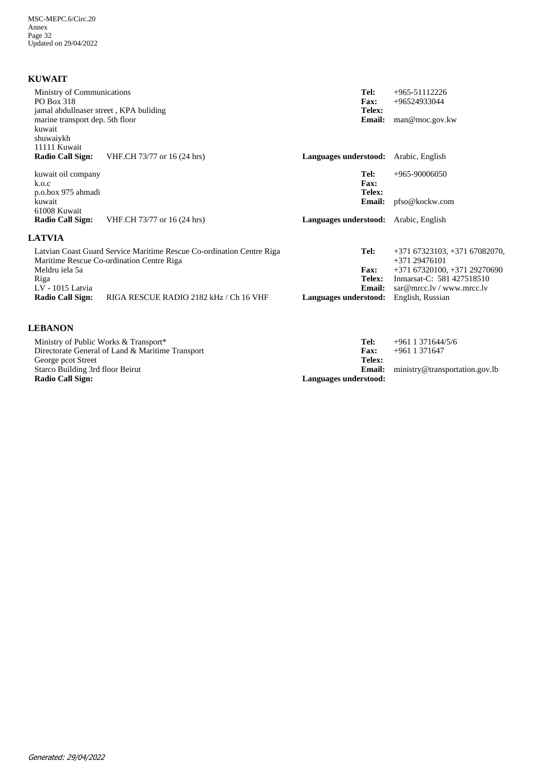## **KUWAIT**

| Ministry of Communications<br><b>PO Box 318</b><br>jamal abdullnaser street, KPA buliding<br>marine transport dep. 5th floor<br>kuwait<br>shuwaiykh |                                                                                                                    | Tel:<br>Fax:<br>Telex:<br><b>Email:</b> | $+965-51112226$<br>+96524933044<br>man@moc.gov.kw                                                                                         |
|-----------------------------------------------------------------------------------------------------------------------------------------------------|--------------------------------------------------------------------------------------------------------------------|-----------------------------------------|-------------------------------------------------------------------------------------------------------------------------------------------|
| 11111 Kuwait<br><b>Radio Call Sign:</b>                                                                                                             | VHF.CH 73/77 or 16 (24 hrs)                                                                                        | Languages understood: Arabic, English   |                                                                                                                                           |
| kuwait oil company<br>k.o.c<br>p.o.box 975 ahmadi                                                                                                   |                                                                                                                    | Tel:<br>Fax:<br>Telex:                  | $+965-90006050$                                                                                                                           |
| kuwait                                                                                                                                              |                                                                                                                    | <b>Email:</b>                           | pfso@kockw.com                                                                                                                            |
| 61008 Kuwait<br><b>Radio Call Sign:</b>                                                                                                             | VHF.CH 73/77 or 16 (24 hrs)                                                                                        | Languages understood: Arabic, English   |                                                                                                                                           |
| <b>LATVIA</b>                                                                                                                                       |                                                                                                                    |                                         |                                                                                                                                           |
| Meldru iela 5a<br>Riga<br>LV - 1015 Latvia                                                                                                          | Latvian Coast Guard Service Maritime Rescue Co-ordination Centre Riga<br>Maritime Rescue Co-ordination Centre Riga | Tel:<br><b>Fax:</b><br>Telex:<br>Email: | $+37167323103, +37167082070,$<br>$+37129476101$<br>$+37167320100, +37129270690$<br>Inmarsat-C: 581 427518510<br>sar@mrcc.lv / www.mrcc.lv |
| Radio Call Sign:                                                                                                                                    | RIGA RESCUE RADIO 2182 kHz / Ch 16 VHF                                                                             | Languages understood:                   | English, Russian                                                                                                                          |
| <b>LEBANON</b>                                                                                                                                      |                                                                                                                    |                                         |                                                                                                                                           |
| Ministry of Public Works & Transport*                                                                                                               |                                                                                                                    | Tel:                                    | $+961$ 1 371644/5/6                                                                                                                       |

ministry@transportation.gov.lb +961 1 371647 **Email:**<br> **Languages understood: Telex: Fax:** Directorate General of Land & Maritime Transport George pcot Street Starco Building 3rd floor Beirut **Radio Call Sign: Languages understood:**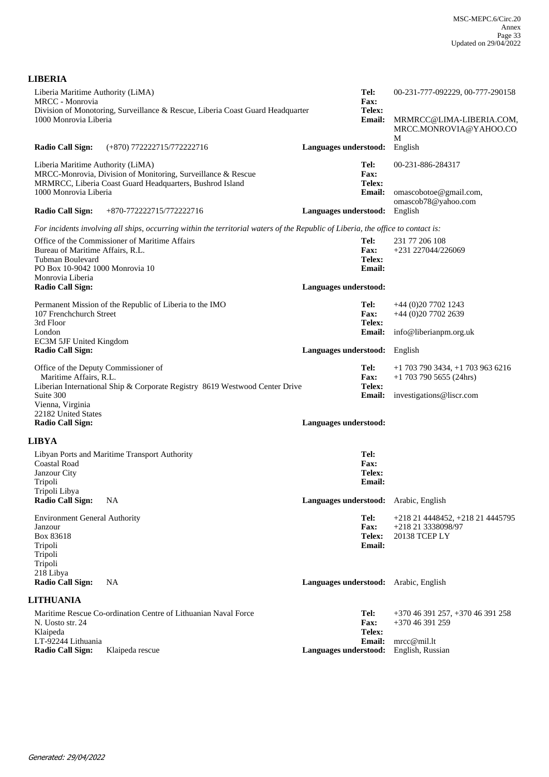| Liberia Maritime Authority (LiMA)<br>MRCC - Monrovia           | Division of Monotoring, Surveillance & Rescue, Liberia Coast Guard Headquarter                                                                                                     |                               | Tel:<br><b>Fax:</b><br>Telex: | 00-231-777-092229, 00-777-290158                                  |
|----------------------------------------------------------------|------------------------------------------------------------------------------------------------------------------------------------------------------------------------------------|-------------------------------|-------------------------------|-------------------------------------------------------------------|
| 1000 Monrovia Liberia                                          |                                                                                                                                                                                    |                               | <b>Email:</b>                 | MRMRCC@LIMA-LIBERIA.COM,<br>MRCC.MONROVIA@YAHOO.CO<br>M           |
| <b>Radio Call Sign:</b>                                        | (+870) 772222715/772222716                                                                                                                                                         | Languages understood:         |                               | English                                                           |
| Liberia Maritime Authority (LiMA)                              | MRCC-Monrovia, Division of Monitoring, Surveillance & Rescue<br>MRMRCC, Liberia Coast Guard Headquarters, Bushrod Island                                                           |                               | Tel:<br>Fax:<br>Telex:        | 00-231-886-284317                                                 |
| 1000 Monrovia Liberia<br><b>Radio Call Sign:</b>               | +870-772222715/772222716                                                                                                                                                           | Languages understood:         | <b>Email:</b>                 | omascobotoe@gmail.com,<br>omascob78@yahoo.com<br>English          |
|                                                                |                                                                                                                                                                                    |                               |                               |                                                                   |
|                                                                | For incidents involving all ships, occurring within the territorial waters of the Republic of Liberia, the office to contact is:<br>Office of the Commissioner of Maritime Affairs |                               | Tel:                          | 231 77 206 108                                                    |
| Bureau of Maritime Affairs, R.L.                               |                                                                                                                                                                                    |                               | <b>Fax:</b>                   | +231 227044/226069                                                |
| Tubman Boulevard                                               |                                                                                                                                                                                    |                               | Telex:                        |                                                                   |
| PO Box 10-9042 1000 Monrovia 10<br>Monrovia Liberia            |                                                                                                                                                                                    |                               | <b>Email:</b>                 |                                                                   |
| <b>Radio Call Sign:</b>                                        |                                                                                                                                                                                    | Languages understood:         |                               |                                                                   |
|                                                                | Permanent Mission of the Republic of Liberia to the IMO                                                                                                                            |                               | Tel:                          | $+44(0)2077021243$                                                |
| 107 Frenchchurch Street                                        |                                                                                                                                                                                    |                               | <b>Fax:</b>                   | +44 (0)20 7702 2639                                               |
| 3rd Floor<br>London                                            |                                                                                                                                                                                    |                               | Telex:<br><b>Email:</b>       | info@liberianpm.org.uk                                            |
| EC3M 5JF United Kingdom                                        |                                                                                                                                                                                    |                               |                               |                                                                   |
| <b>Radio Call Sign:</b>                                        |                                                                                                                                                                                    | Languages understood: English |                               |                                                                   |
| Office of the Deputy Commissioner of<br>Maritime Affairs, R.L. |                                                                                                                                                                                    |                               | Tel:<br>Fax:<br>Telex:        | $+1$ 703 790 3434, $+1$ 703 963 6216<br>$+1$ 703 790 5655 (24hrs) |
| Suite 300<br>Vienna, Virginia                                  | Liberian International Ship & Corporate Registry 8619 Westwood Center Drive                                                                                                        |                               | <b>Email:</b>                 | investigations@liscr.com                                          |
| 22182 United States<br><b>Radio Call Sign:</b>                 |                                                                                                                                                                                    | Languages understood:         |                               |                                                                   |
|                                                                |                                                                                                                                                                                    |                               |                               |                                                                   |
| <b>LIBYA</b>                                                   |                                                                                                                                                                                    |                               |                               |                                                                   |
| <b>Coastal Road</b>                                            | Libyan Ports and Maritime Transport Authority                                                                                                                                      |                               | Tel:<br>Fax:                  |                                                                   |
| Janzour City                                                   |                                                                                                                                                                                    |                               | Telex:                        |                                                                   |
| Tripoli<br>Tripoli Libya                                       |                                                                                                                                                                                    |                               | <b>Email:</b>                 |                                                                   |
| <b>Radio Call Sign:</b>                                        | NA.                                                                                                                                                                                |                               |                               | Languages understood: Arabic, English                             |
| <b>Environment General Authority</b>                           |                                                                                                                                                                                    |                               | Tel:                          | +218 21 4448452, +218 21 4445795                                  |
| Janzour<br>Box 83618                                           |                                                                                                                                                                                    |                               | <b>Fax:</b><br>Telex:         | +218 21 3338098/97<br>20138 TCEP LY                               |
| Tripoli                                                        |                                                                                                                                                                                    |                               | <b>Email:</b>                 |                                                                   |
| Tripoli                                                        |                                                                                                                                                                                    |                               |                               |                                                                   |
| Tripoli<br>218 Libya                                           |                                                                                                                                                                                    |                               |                               |                                                                   |
| <b>Radio Call Sign:</b>                                        | <b>NA</b>                                                                                                                                                                          |                               |                               | Languages understood: Arabic, English                             |
| <b>LITHUANIA</b>                                               |                                                                                                                                                                                    |                               |                               |                                                                   |
|                                                                | Maritime Rescue Co-ordination Centre of Lithuanian Naval Force                                                                                                                     |                               | Tel:                          | $+37046391257, +37046391258$                                      |
| N. Uosto str. 24<br>Klaipeda                                   |                                                                                                                                                                                    |                               | <b>Fax:</b><br>Telex:         | +370 46 391 259                                                   |
| LT-92244 Lithuania                                             |                                                                                                                                                                                    |                               | <b>Email:</b>                 | mrec@mil.lt                                                       |
| <b>Radio Call Sign:</b>                                        | Klaipeda rescue                                                                                                                                                                    | Languages understood:         |                               | English, Russian                                                  |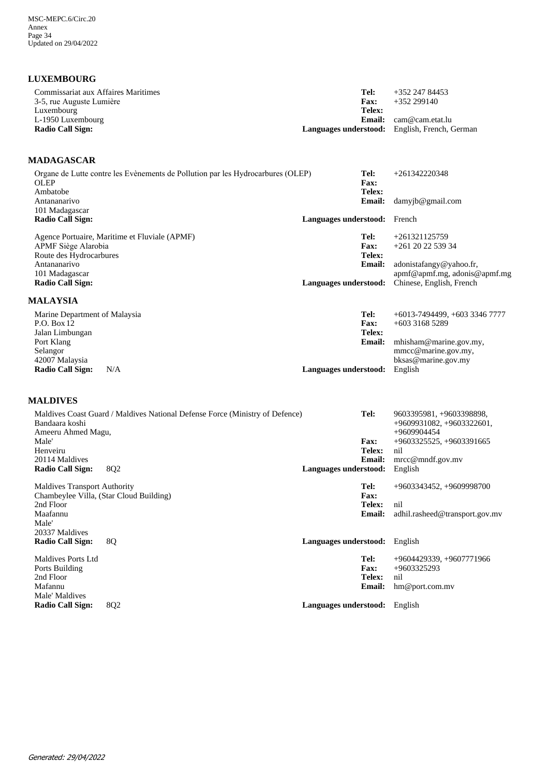## **LUXEMBOURG**

| Commissariat aux Affaires Maritimes    | Tel:                  | +352 247 84453                                       |
|----------------------------------------|-----------------------|------------------------------------------------------|
| 3-5, rue Auguste Lumière<br>Luxembourg | <b>Fax:</b><br>Telex: | $+352299140$                                         |
| L-1950 Luxembourg                      |                       | <b>Email:</b> $cam@cam.eta.lu$                       |
| <b>Radio Call Sign:</b>                |                       | <b>Languages understood:</b> English, French, German |

## **MADAGASCAR**

| Organe de Lutte contre les Evènements de Pollution par les Hydrocarbures (OLEP)<br><b>OLEP</b> | Tel:<br><b>Fax:</b>          | $+261342220348$               |
|------------------------------------------------------------------------------------------------|------------------------------|-------------------------------|
| Ambatobe                                                                                       | Telex:                       |                               |
| Antananarivo                                                                                   | <b>Email:</b>                | $d$ amyjb@gmail.com           |
| 101 Madagascar<br>Radio Call Sign:                                                             | Languages understood: French |                               |
| Agence Portuaire, Maritime et Fluviale (APMF)                                                  | Tel:                         | $+261321125759$               |
| APMF Siège Alarobia                                                                            | <b>Fax:</b>                  | $+261$ 20 22 539 34           |
| Route des Hydrocarbures                                                                        | Telex:                       |                               |
| Antananarivo                                                                                   | <b>Email:</b>                | adonistafangy@yahoo.fr,       |
| 101 Madagascar                                                                                 |                              | apmf@apmf.mg, adonis@apmf.mg  |
| Radio Call Sign:                                                                               | Languages understood:        | Chinese, English, French      |
| <b>MALAYSIA</b>                                                                                |                              |                               |
| Marine Department of Malaysia                                                                  | Tel:                         | $+6013-7494499, +60333467777$ |
| P.O. Box 12                                                                                    | <b>Fax:</b>                  | $+60331685289$                |
| Jalan Limbungan                                                                                | Telex:                       |                               |
| Port Klang                                                                                     | <b>Email:</b>                | mhisham@marine.gov.my,        |
| Selangor                                                                                       |                              | mmcc@marine.gov.my,           |
| 42007 Malaysia                                                                                 |                              | bksas@marine.gov.my           |
| <b>Radio Call Sign:</b><br>N/A                                                                 | Languages understood:        | English                       |

## **MALDIVES**

|                                     | Maldives Coast Guard / Maldives National Defense Force (Ministry of Defence) |                       | Tel:          | 9603395981, +9603398898,       |
|-------------------------------------|------------------------------------------------------------------------------|-----------------------|---------------|--------------------------------|
| Bandaara koshi                      |                                                                              |                       |               | $+9609931082, +9603322601,$    |
| Ameeru Ahmed Magu,                  |                                                                              |                       |               | $+9609904454$                  |
| Male'                               |                                                                              |                       | <b>Fax:</b>   | $+9603325525, +9603391665$     |
| Henveiru                            |                                                                              |                       | Telex:        | nil                            |
| 20114 Maldives                      |                                                                              |                       | <b>Email:</b> | mrcc@mndf.gov.mv               |
| Radio Call Sign:                    | 8Q <sub>2</sub>                                                              | Languages understood: |               | English                        |
| <b>Maldives Transport Authority</b> |                                                                              | Tel:                  |               | $+9603343452, +9609998700$     |
|                                     | Chambeylee Villa, (Star Cloud Building)                                      |                       | <b>Fax:</b>   |                                |
| 2nd Floor                           |                                                                              |                       | Telex:        | nil                            |
| Maafannu                            |                                                                              |                       | <b>Email:</b> | adhil.rasheed@transport.gov.mv |
| Male'                               |                                                                              |                       |               |                                |
| 20337 Maldives                      |                                                                              |                       |               |                                |
| <b>Radio Call Sign:</b>             | 8Q                                                                           | Languages understood: |               | English                        |
| Maldives Ports Ltd                  |                                                                              | Tel:                  |               | $+9604429339, +9607771966$     |
| Ports Building                      |                                                                              |                       | <b>Fax:</b>   | $+9603325293$                  |
| 2nd Floor                           |                                                                              |                       | Telex:        | nil                            |
| Mafannu                             |                                                                              |                       | <b>Email:</b> | hm@port.com.mv                 |
| Male' Maldives                      |                                                                              |                       |               |                                |
| <b>Radio Call Sign:</b>             | 8Q <sub>2</sub>                                                              | Languages understood: |               | English                        |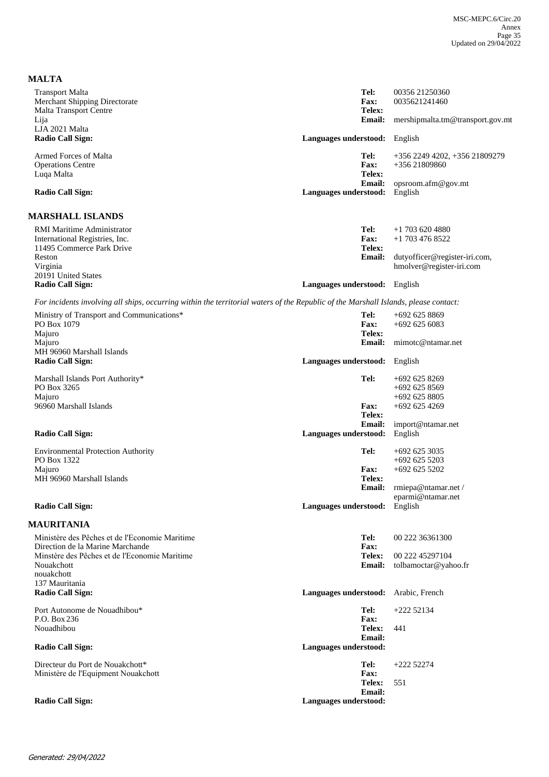| <b>MALTA</b>                                                                                                                        |                       |                                        |
|-------------------------------------------------------------------------------------------------------------------------------------|-----------------------|----------------------------------------|
| <b>Transport Malta</b>                                                                                                              | Tel:                  | 00356 21250360                         |
| <b>Merchant Shipping Directorate</b>                                                                                                | Fax:                  | 0035621241460                          |
| <b>Malta Transport Centre</b>                                                                                                       | Telex:                |                                        |
| Lija                                                                                                                                | <b>Email:</b>         | mershipmalta.tm@transport.gov.mt       |
| LJA 2021 Malta<br><b>Radio Call Sign:</b>                                                                                           | Languages understood: | English                                |
|                                                                                                                                     |                       |                                        |
| Armed Forces of Malta                                                                                                               | Tel:                  | +356 2249 4202, +356 21809279          |
| <b>Operations Centre</b>                                                                                                            | <b>Fax:</b><br>Telex: | $+35621809860$                         |
| Luqa Malta                                                                                                                          | <b>Email:</b>         | opsroom.afm@gov.mt                     |
| <b>Radio Call Sign:</b>                                                                                                             | Languages understood: | English                                |
| <b>MARSHALL ISLANDS</b>                                                                                                             |                       |                                        |
| RMI Maritime Administrator                                                                                                          | Tel:                  |                                        |
| International Registries, Inc.                                                                                                      | Fax:                  | $+1$ 703 620 4880<br>$+1$ 703 476 8522 |
| 11495 Commerce Park Drive                                                                                                           | Telex:                |                                        |
| Reston                                                                                                                              | <b>Email:</b>         | dutyofficer@register-iri.com,          |
| Virginia                                                                                                                            |                       | hmolver@register-iri.com               |
| 20191 United States                                                                                                                 |                       |                                        |
| <b>Radio Call Sign:</b>                                                                                                             | Languages understood: | English                                |
| For incidents involving all ships, occurring within the territorial waters of the Republic of the Marshall Islands, please contact: |                       |                                        |
| Ministry of Transport and Communications*                                                                                           | Tel:                  | $+6926258869$                          |
| PO Box 1079                                                                                                                         | Fax:                  | $+6926256083$                          |
| Majuro                                                                                                                              | Telex:                |                                        |
| Majuro                                                                                                                              | <b>Email:</b>         | mimotc@ntamar.net                      |
| MH 96960 Marshall Islands                                                                                                           |                       |                                        |
| <b>Radio Call Sign:</b>                                                                                                             | Languages understood: | English                                |
| Marshall Islands Port Authority*                                                                                                    | Tel:                  | $+6926258269$                          |
| PO Box 3265                                                                                                                         |                       | +692 625 8569                          |
| Majuro                                                                                                                              |                       | $+6926258805$                          |
| 96960 Marshall Islands                                                                                                              | Fax:                  | $+692$ 625 4269                        |
|                                                                                                                                     | Telex:                |                                        |
| <b>Radio Call Sign:</b>                                                                                                             | <b>Email:</b>         | import@ntamar.net                      |
|                                                                                                                                     | Languages understood: | English                                |
| <b>Environmental Protection Authority</b>                                                                                           | Tel:                  | $+692$ 625 3035                        |
| PO Box 1322                                                                                                                         |                       | $+6926255203$                          |
| Majuro                                                                                                                              | <b>Fax:</b>           | $+6926255202$                          |
| MH 96960 Marshall Islands                                                                                                           | Telex:                |                                        |
|                                                                                                                                     |                       | Email: rmiepa@ntamar.net /             |
| <b>Radio Call Sign:</b>                                                                                                             | Languages understood: | eparmi@ntamar.net<br>English           |
|                                                                                                                                     |                       |                                        |
| <b>MAURITANIA</b>                                                                                                                   |                       |                                        |
| Ministère des Pêches et de l'Economie Maritime                                                                                      | Tel:                  | 00 222 36361300                        |
| Direction de la Marine Marchande                                                                                                    | Fax:                  |                                        |
| Minstère des Pêches et de l'Economie Maritime                                                                                       | Telex:                | 00 222 45297104                        |
| Nouakchott<br>nouakchott                                                                                                            | <b>Email:</b>         | tolbamoctar@yahoo.fr                   |
| 137 Mauritania                                                                                                                      |                       |                                        |
| <b>Radio Call Sign:</b>                                                                                                             | Languages understood: | Arabic, French                         |
| Port Autonome de Nouadhibou*                                                                                                        | Tel:                  | $+22252134$                            |
| P.O. Box 236                                                                                                                        | Fax:                  |                                        |
| Nouadhibou                                                                                                                          | Telex:                | 441                                    |
|                                                                                                                                     | <b>Email:</b>         |                                        |
| <b>Radio Call Sign:</b>                                                                                                             | Languages understood: |                                        |
| Directeur du Port de Nouakchott*                                                                                                    | Tel:                  | $+22252274$                            |
| Ministère de l'Equipment Nouakchott                                                                                                 | Fax:                  |                                        |
|                                                                                                                                     | Telex:                | 551                                    |
|                                                                                                                                     | <b>Email:</b>         |                                        |
| <b>Radio Call Sign:</b>                                                                                                             | Languages understood: |                                        |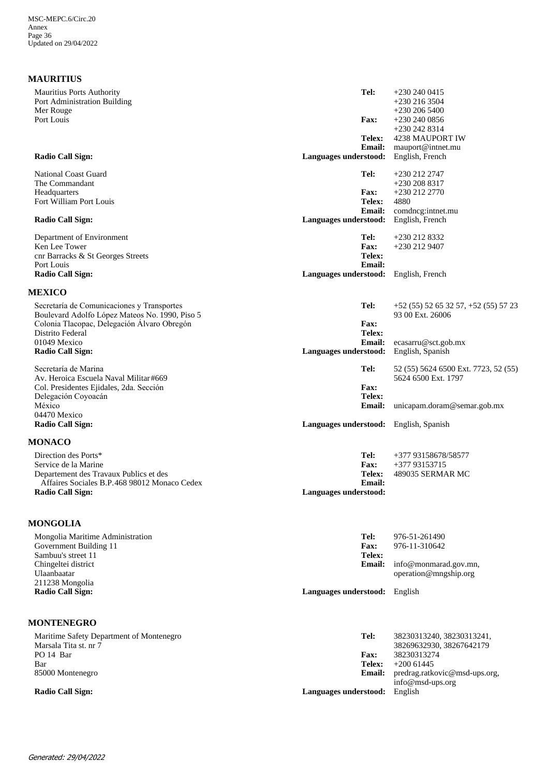### **MAURITIUS**

| <b>Mauritius Ports Authority</b><br>Port Administration Building<br>Mer Rouge          | Tel:                                   | $+2302400415$<br>$+230$ 216 3504<br>$+230\,206\,5400$ |
|----------------------------------------------------------------------------------------|----------------------------------------|-------------------------------------------------------|
| Port Louis                                                                             | Fax:                                   | $+2302400856$<br>$+2302428314$                        |
|                                                                                        | <b>Telex:</b>                          | 4238 MAUPORT IW                                       |
|                                                                                        | <b>Email:</b>                          | mauport@intnet.mu                                     |
| <b>Radio Call Sign:</b>                                                                | Languages understood:                  | English, French                                       |
| <b>National Coast Guard</b>                                                            | Tel:                                   | +230 212 2747                                         |
| The Commandant                                                                         |                                        | $+2302088317$                                         |
| Headquarters                                                                           | <b>Fax:</b>                            | +230 212 2770                                         |
| Fort William Port Louis                                                                | <b>Telex:</b><br>Email:                | 4880<br>comdneg:intnet.mu                             |
| <b>Radio Call Sign:</b>                                                                | Languages understood:                  | English, French                                       |
| Department of Environment                                                              | Tel:                                   | +230 212 8332                                         |
| Ken Lee Tower                                                                          | Fax:                                   | +230 212 9407                                         |
| cnr Barracks & St Georges Streets                                                      | Telex:                                 |                                                       |
| Port Louis<br><b>Radio Call Sign:</b>                                                  | <b>Email:</b><br>Languages understood: | English, French                                       |
|                                                                                        |                                        |                                                       |
| <b>MEXICO</b><br>Secretaría de Comunicaciones y Transportes                            | Tel:                                   | $+52(55)52653257$ , $+52(55)5723$                     |
| Boulevard Adolfo López Mateos No. 1990, Piso 5                                         |                                        | 93 00 Ext. 26006                                      |
| Colonia Tlacopac, Delegación Álvaro Obregón                                            | <b>Fax:</b>                            |                                                       |
| Distrito Federal                                                                       | Telex:                                 |                                                       |
| 01049 Mexico                                                                           | <b>Email:</b>                          | ecasarru@sct.gob.mx                                   |
| Radio Call Sign:                                                                       | Languages understood:                  | English, Spanish                                      |
| Secretaría de Marina                                                                   | Tel:                                   | 52 (55) 5624 6500 Ext. 7723, 52 (55)                  |
| Av. Heroica Escuela Naval Militar#669                                                  |                                        | 5624 6500 Ext. 1797                                   |
| Col. Presidentes Ejidales, 2da. Sección<br>Delegación Coyoacán                         | Fax:<br>Telex:                         |                                                       |
| México                                                                                 | <b>Email:</b>                          | unicapam.doram@semar.gob.mx                           |
| 04470 Mexico                                                                           |                                        |                                                       |
| <b>Radio Call Sign:</b>                                                                | Languages understood: English, Spanish |                                                       |
| <b>MONACO</b>                                                                          |                                        |                                                       |
| Direction des Ports*                                                                   | Tel:                                   | +377 93158678/58577                                   |
| Service de la Marine                                                                   | <b>Fax:</b>                            | +377 93153715                                         |
| Departement des Travaux Publics et des<br>Affaires Sociales B.P.468 98012 Monaco Cedex | <b>Telex:</b><br><b>Email:</b>         | 489035 SERMAR MC                                      |
| <b>Radio Call Sign:</b>                                                                | Languages understood:                  |                                                       |
|                                                                                        |                                        |                                                       |
| <b>MONGOLIA</b>                                                                        |                                        |                                                       |
| Mongolia Maritime Administration                                                       | Tel:                                   | 976-51-261490                                         |
| Government Building 11<br>Sambuu's street 11                                           | Fax:<br>Telex:                         | 976-11-310642                                         |
| Chingeltei district                                                                    | <b>Email:</b>                          | info@monmarad.gov.mn,                                 |
| Ulaanbaatar                                                                            |                                        | operation@mngship.org                                 |
| 211238 Mongolia                                                                        |                                        |                                                       |
| <b>Radio Call Sign:</b>                                                                | Languages understood: English          |                                                       |
| <b>MONTENEGRO</b>                                                                      |                                        |                                                       |
| Maritime Safety Department of Montenegro                                               | Tel:                                   | 38230313240, 38230313241,                             |
| Marsala Tita st. nr 7                                                                  |                                        | 38269632930, 38267642179                              |
| PO 14 Bar                                                                              | <b>Fax:</b><br>Telex:                  | 38230313274                                           |
| Bar                                                                                    |                                        | $+20061445$                                           |

85000 Montenegro

**Radio Call Sign: Languages understood:** English

**Email:**

predrag.ratkovic@msd-ups.org,

info@msd-ups.org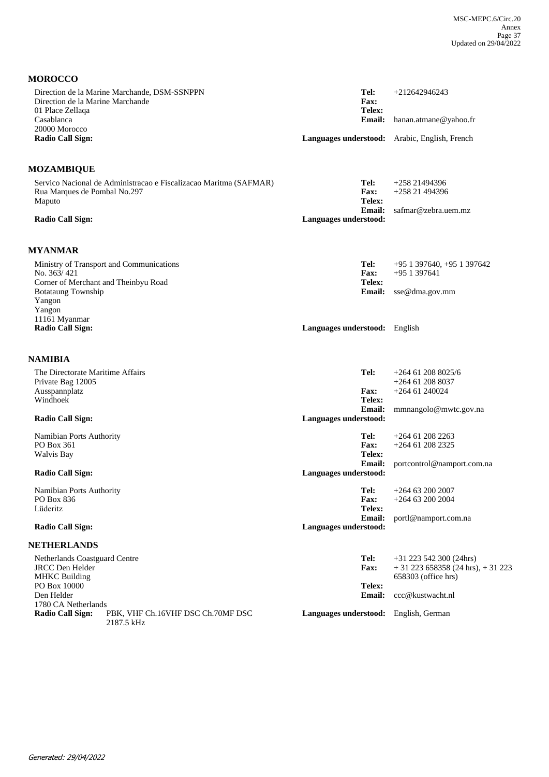| <b>MOROCCO</b>                                                                                              |                                                  |                                                                |
|-------------------------------------------------------------------------------------------------------------|--------------------------------------------------|----------------------------------------------------------------|
| Direction de la Marine Marchande, DSM-SSNPPN<br>Direction de la Marine Marchande<br>01 Place Zellaqa        | Tel:<br>Fax:<br>Telex:                           | $+212642946243$                                                |
| Casablanca<br>20000 Morocco                                                                                 | <b>Email:</b>                                    | hanan.atmane@yahoo.fr                                          |
| <b>Radio Call Sign:</b>                                                                                     | Languages understood: Arabic, English, French    |                                                                |
| <b>MOZAMBIQUE</b>                                                                                           |                                                  |                                                                |
| Servico Nacional de Administracao e Fiscalizacao Maritma (SAFMAR)<br>Rua Marques de Pombal No.297<br>Maputo | Tel:<br>Fax:<br>Telex:                           | $+25821494396$<br>+258 21 494396                               |
| <b>Radio Call Sign:</b>                                                                                     | <b>Email:</b><br>Languages understood:           | safmar@zebra.uem.mz                                            |
| <b>MYANMAR</b>                                                                                              |                                                  |                                                                |
| Ministry of Transport and Communications<br>No. 363/421<br>Corner of Merchant and Theinbyu Road             | Tel:<br>Fax:<br>Telex:                           | $+95$ 1 397640, $+95$ 1 397642<br>$+951397641$                 |
| <b>Botataung Township</b><br>Yangon<br>Yangon<br>11161 Myanmar                                              | <b>Email:</b>                                    | sse@dma.gov.mm                                                 |
| <b>Radio Call Sign:</b>                                                                                     | Languages understood: English                    |                                                                |
| <b>NAMIBIA</b>                                                                                              |                                                  |                                                                |
| The Directorate Maritime Affairs<br>Private Bag 12005<br>Ausspannplatz                                      | Tel:<br><b>Fax:</b>                              | $+264$ 61 208 8025/6<br>$+264$ 61 208 8037<br>$+264$ 61 240024 |
| Windhoek                                                                                                    | Telex:                                           |                                                                |
| <b>Radio Call Sign:</b>                                                                                     | Email:<br>Languages understood:                  | mmnangolo@mwtc.gov.na                                          |
| Namibian Ports Authority<br><b>PO Box 361</b>                                                               | Tel:<br><b>Fax:</b>                              | $+264$ 61 208 2263<br>+264 61 208 2325                         |
| Walvis Bay                                                                                                  | Telex:                                           |                                                                |
| <b>Radio Call Sign:</b>                                                                                     | Email:<br>Languages understood:                  | portcontrol@namport.com.na                                     |
| Namibian Ports Authority<br>PO Box 836                                                                      | Tel:<br>Fax:                                     | $+264$ 63 200 2007<br>$+264$ 63 200 2004                       |
| Lüderitz<br><b>Radio Call Sign:</b>                                                                         | Telex:<br><b>Email:</b><br>Languages understood: | portl@namport.com.na                                           |
|                                                                                                             |                                                  |                                                                |
| <b>NETHERLANDS</b><br>Netherlands Coastguard Centre                                                         | Tel:                                             | $+31$ 223 542 300 (24hrs)                                      |
| <b>JRCC</b> Den Helder<br><b>MHKC Building</b>                                                              | <b>Fax:</b>                                      | $+31$ 223 658358 (24 hrs), $+31$ 223<br>658303 (office hrs)    |
| PO Box 10000<br>Den Helder<br>1780 CA Netherlands                                                           | Telex:<br>Email:                                 | ccc@kustwacht.nl                                               |
| <b>Radio Call Sign:</b><br>PBK, VHF Ch.16VHF DSC Ch.70MF DSC<br>2187.5 kHz                                  | Languages understood: English, German            |                                                                |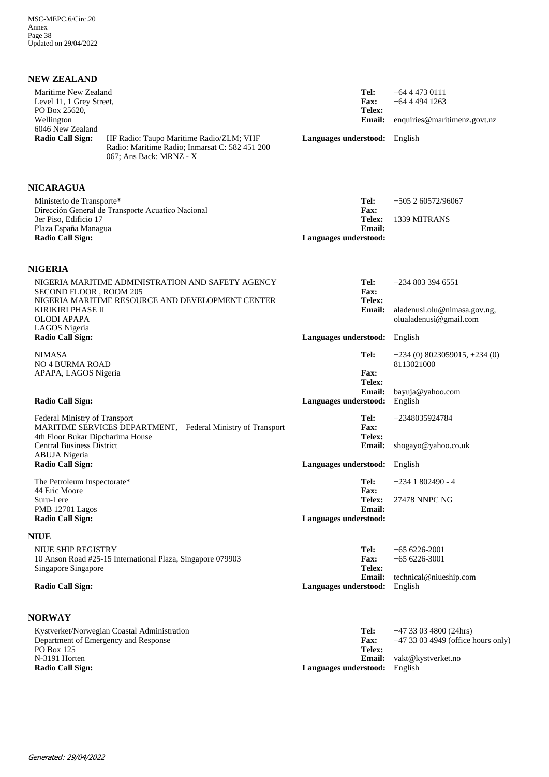| <b>NEW ZEALAND</b>                                                              |                                                                                                                      |                                                          |                                                                   |
|---------------------------------------------------------------------------------|----------------------------------------------------------------------------------------------------------------------|----------------------------------------------------------|-------------------------------------------------------------------|
| Maritime New Zealand<br>Level 11, 1 Grey Street,<br>PO Box 25620,<br>Wellington |                                                                                                                      | Tel:<br><b>Fax:</b><br>Telex:<br><b>Email:</b>           | $+6444730111$<br>$+64$ 4 494 1263<br>enquiries@maritimenz.govt.nz |
| 6046 New Zealand<br><b>Radio Call Sign:</b>                                     | HF Radio: Taupo Maritime Radio/ZLM; VHF<br>Radio: Maritime Radio; Inmarsat C: 582 451 200<br>067; Ans Back: MRNZ - X | Languages understood: English                            |                                                                   |
| <b>NICARAGUA</b>                                                                |                                                                                                                      |                                                          |                                                                   |
| Ministerio de Transporte*                                                       | Dirección General de Transporte Acuatico Nacional                                                                    | Tel:<br>Fax:                                             | $+505260572/96067$                                                |
| 3er Piso, Edificio 17<br>Plaza España Managua<br><b>Radio Call Sign:</b>        |                                                                                                                      | Telex:<br><b>Email:</b><br>Languages understood:         | 1339 MITRANS                                                      |
| <b>NIGERIA</b>                                                                  |                                                                                                                      |                                                          |                                                                   |
| SECOND FLOOR, ROOM 205                                                          | NIGERIA MARITIME ADMINISTRATION AND SAFETY AGENCY<br>NIGERIA MARITIME RESOURCE AND DEVELOPMENT CENTER                | Tel:<br><b>Fax:</b><br>Telex:                            | $+2348033946551$                                                  |
| KIRIKIRI PHASE II<br>OLODI APAPA<br>LAGOS Nigeria                               |                                                                                                                      | <b>Email:</b>                                            | aladenusi.olu@nimasa.gov.ng,<br>olualadenusi@gmail.com            |
| <b>Radio Call Sign:</b>                                                         |                                                                                                                      | Languages understood:                                    | English                                                           |
| <b>NIMASA</b><br><b>NO 4 BURMA ROAD</b>                                         |                                                                                                                      | Tel:                                                     | $+234(0)8023059015$ , $+234(0)$<br>8113021000                     |
| APAPA, LAGOS Nigeria<br><b>Radio Call Sign:</b>                                 |                                                                                                                      | <b>Fax:</b><br>Telex:<br>Email:<br>Languages understood: | bayuja@yahoo.com<br>English                                       |
| Federal Ministry of Transport<br>4th Floor Bukar Dipcharima House               | MARITIME SERVICES DEPARTMENT, Federal Ministry of Transport                                                          | Tel:<br>Fax:<br><b>Telex:</b>                            | +2348035924784                                                    |
| <b>Central Business District</b><br><b>ABUJA</b> Nigeria                        |                                                                                                                      | Email:                                                   | shogayo@yahoo.co.uk                                               |
| <b>Radio Call Sign:</b>                                                         |                                                                                                                      | Languages understood: English                            |                                                                   |
| The Petroleum Inspectorate*<br>44 Eric Moore                                    |                                                                                                                      | Tel:<br>Fax:                                             | $+2341802490 - 4$                                                 |
| Suru-Lere<br>PMB 12701 Lagos<br><b>Radio Call Sign:</b>                         |                                                                                                                      | Telex:<br><b>Email:</b><br>Languages understood:         | 27478 NNPC NG                                                     |
| <b>NIUE</b>                                                                     |                                                                                                                      |                                                          |                                                                   |
| <b>NIUE SHIP REGISTRY</b><br>Singapore Singapore                                | 10 Anson Road #25-15 International Plaza, Singapore 079903                                                           | Tel:<br><b>Fax:</b><br>Telex:                            | $+656226-2001$<br>$+656226-3001$                                  |
| <b>Radio Call Sign:</b>                                                         |                                                                                                                      | <b>Email:</b><br>Languages understood:                   | technical@niueship.com<br>English                                 |
| <b>NORWAY</b>                                                                   |                                                                                                                      |                                                          |                                                                   |
|                                                                                 | Kystverket/Norwegian Coastal Administration<br>Department of Emergency and Response                                  | Tel:<br><b>Fax:</b>                                      | $+47$ 33 03 4800 (24hrs)<br>+47 33 03 4949 (office hours only)    |

| Kystverkei/Norwegian Coastal Administration | тек                                  | +4 / 33 U3 40UU (24IIIS)         |
|---------------------------------------------|--------------------------------------|----------------------------------|
| Department of Emergency and Response        | <b>Fax:</b>                          | +47 33 03 4949 (office hours onl |
| PO Box 125                                  | Telex:                               |                                  |
| N-3191 Horten                               |                                      | <b>Email:</b> vakt@kvstverket.no |
| Radio Call Sign:                            | <b>Languages understood:</b> English |                                  |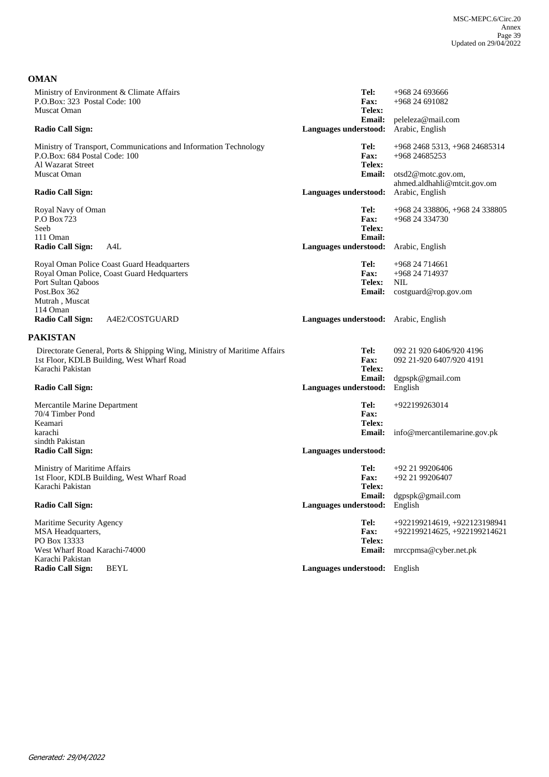**OMAN**

| Ministry of Environment & Climate Affairs<br>P.O.Box: 323 Postal Code: 100<br><b>Muscat Oman</b>                                                 | Tel:<br><b>Fax:</b><br>Telex:           | $+968$ 24 693666<br>$+96824691082$                              |
|--------------------------------------------------------------------------------------------------------------------------------------------------|-----------------------------------------|-----------------------------------------------------------------|
| <b>Radio Call Sign:</b>                                                                                                                          | Email:<br>Languages understood:         | peleleza@mail.com<br>Arabic, English                            |
| Ministry of Transport, Communications and Information Technology<br>P.O.Box: 684 Postal Code: 100                                                | Tel:<br><b>Fax:</b>                     | +968 2468 5313, +968 24685314<br>+968 24685253                  |
| Al Wazarat Street<br>Muscat Oman                                                                                                                 | Telex:<br><b>Email:</b>                 | otsd2@motc.gov.om,<br>ahmed.aldhahli@mtcit.gov.om               |
| <b>Radio Call Sign:</b>                                                                                                                          | Languages understood:                   | Arabic, English                                                 |
| Royal Navy of Oman<br>P.O Box 723<br>Seeb<br>111 Oman                                                                                            | Tel:<br>Fax:<br>Telex:<br><b>Email:</b> | +968 24 338806, +968 24 338805<br>+968 24 334730                |
| <b>Radio Call Sign:</b><br>A4L                                                                                                                   | Languages understood:                   | Arabic, English                                                 |
| Royal Oman Police Coast Guard Headquarters<br>Royal Oman Police, Coast Guard Hedquarters<br>Port Sultan Qaboos<br>Post.Box 362<br>Mutrah, Muscat | Tel:<br>Fax:<br>Telex:<br><b>Email:</b> | +968 24 714661<br>+968 24 714937<br>NIL<br>costguard@rop.gov.om |
| 114 Oman<br>Radio Call Sign:<br>A4E2/COSTGUARD                                                                                                   | Languages understood: Arabic, English   |                                                                 |
| <b>PAKISTAN</b>                                                                                                                                  |                                         |                                                                 |
| Directorate General, Ports & Shipping Wing, Ministry of Maritime Affairs<br>1st Floor, KDLB Building, West Wharf Road<br>Karachi Pakistan        | Tel:<br><b>Fax:</b><br>Telex:           | 092 21 920 6406/920 4196<br>092 21-920 6407/920 4191            |
| <b>Radio Call Sign:</b>                                                                                                                          | <b>Email:</b><br>Languages understood:  | dgpspk@gmail.com<br>English                                     |
| Mercantile Marine Department<br>70/4 Timber Pond<br>Keamari                                                                                      | Tel:<br>Fax:<br>Telex:                  | +922199263014                                                   |
| karachi<br>sindth Pakistan                                                                                                                       | Email:                                  | info@mercantilemarine.gov.pk                                    |
| <b>Radio Call Sign:</b>                                                                                                                          | Languages understood:                   |                                                                 |
| Ministry of Maritime Affairs<br>1st Floor, KDLB Building, West Wharf Road<br>Karachi Pakistan                                                    | Tel:<br><b>Fax:</b><br>Telex:           | $+92$ 21 99206406<br>+92 21 99206407                            |
| <b>Radio Call Sign:</b>                                                                                                                          | Languages understood: English           | Email: dgpspk@gmail.com                                         |
| Maritime Security Agency<br><b>MSA Headquarters,</b>                                                                                             | Tel:                                    | +922199214619, +922123198941<br>+922199214625, +922199214621    |
|                                                                                                                                                  | Fax:                                    |                                                                 |
| PO Box 13333<br>West Wharf Road Karachi-74000<br>Karachi Pakistan                                                                                | Telex:<br>Email:                        | mrccpmsa@cyber.net.pk                                           |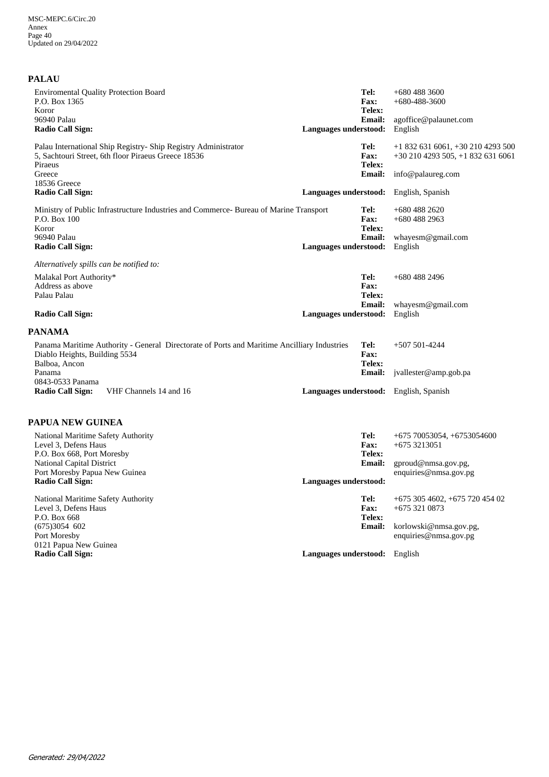| <b>PALAU</b>                                                           |                                                                                                                        |                       |                         |                                                                       |
|------------------------------------------------------------------------|------------------------------------------------------------------------------------------------------------------------|-----------------------|-------------------------|-----------------------------------------------------------------------|
| <b>Enviromental Quality Protection Board</b><br>P.O. Box 1365<br>Koror |                                                                                                                        |                       | Tel:<br>Fax:<br>Telex:  | $+6804883600$<br>$+680 - 488 - 3600$                                  |
| 96940 Palau<br><b>Radio Call Sign:</b>                                 |                                                                                                                        | Languages understood: | <b>Email:</b>           | agoffice@palaunet.com<br>English                                      |
| Piraeus                                                                | Palau International Ship Registry - Ship Registry Administrator<br>5, Sachtouri Street, 6th floor Piraeus Greece 18536 |                       | Tel:<br>Fax:            | +1 832 631 6061, +30 210 4293 500<br>$+302104293505$ , $+18326316061$ |
| Greece<br>18536 Greece                                                 |                                                                                                                        |                       | Telex:<br><b>Email:</b> | info@palaureg.com                                                     |
| <b>Radio Call Sign:</b>                                                |                                                                                                                        | Languages understood: |                         | English, Spanish                                                      |
| P.O. Box 100<br>Koror                                                  | Ministry of Public Infrastructure Industries and Commerce- Bureau of Marine Transport                                  |                       | Tel:<br>Fax:<br>Telex:  | $+6804882620$<br>$+6804882963$                                        |
| 96940 Palau<br><b>Radio Call Sign:</b>                                 |                                                                                                                        | Languages understood: | <b>Email:</b>           | whayesm@gmail.com<br>English                                          |
| Alternatively spills can be notified to:                               |                                                                                                                        |                       |                         |                                                                       |
| Malakal Port Authority*<br>Address as above<br>Palau Palau             |                                                                                                                        |                       | Tel:<br>Fax:<br>Telex:  | $+6804882496$                                                         |
| <b>Radio Call Sign:</b>                                                |                                                                                                                        | Languages understood: | <b>Email:</b>           | whayesm@gmail.com<br>English                                          |
| <b>PANAMA</b>                                                          |                                                                                                                        |                       |                         |                                                                       |
| Diablo Heights, Building 5534<br>Balboa, Ancon                         | Panama Maritime Authority - General Directorate of Ports and Maritime Ancilliary Industries                            |                       | Tel:<br>Fax:<br>Telex:  | $+507501-4244$                                                        |
| Panama                                                                 |                                                                                                                        |                       | <b>Email:</b>           | jvallester@amp.gob.pa                                                 |
| 0843-0533 Panama<br><b>Radio Call Sign:</b>                            | VHF Channels 14 and 16                                                                                                 |                       |                         | Languages understood: English, Spanish                                |
|                                                                        |                                                                                                                        |                       |                         |                                                                       |

### **PAPUA NEW GUINEA**

| National Maritime Safety Authority<br>Level 3. Defens Haus<br>P.O. Box 668, Port Moresby | Tel:<br><b>Fax:</b><br>Telex: | $+675\,70053054, +6753054600$<br>$+6753213051$ |
|------------------------------------------------------------------------------------------|-------------------------------|------------------------------------------------|
| <b>National Capital District</b>                                                         | <b>Email:</b>                 | gproud@nmsa.gov.pg,                            |
| Port Moresby Papua New Guinea                                                            |                               | enquiries@nmsa.gov.pg                          |
| <b>Radio Call Sign:</b>                                                                  | Languages understood:         |                                                |
| National Maritime Safety Authority                                                       | Tel:                          | $+6753054602, +67572045402$                    |
| Level 3, Defens Haus                                                                     | <b>Fax:</b>                   | $+6753210873$                                  |
| P.O. Box 668                                                                             | Telex:                        |                                                |
| $(675)3054$ 602                                                                          | <b>Email:</b>                 | korlowski@nmsa.gov.pg,                         |
| Port Moresby                                                                             |                               | enquiries@nmsa.gov.pg                          |
| 0121 Papua New Guinea                                                                    |                               |                                                |
| <b>Radio Call Sign:</b>                                                                  | Languages understood:         | English                                        |
|                                                                                          |                               |                                                |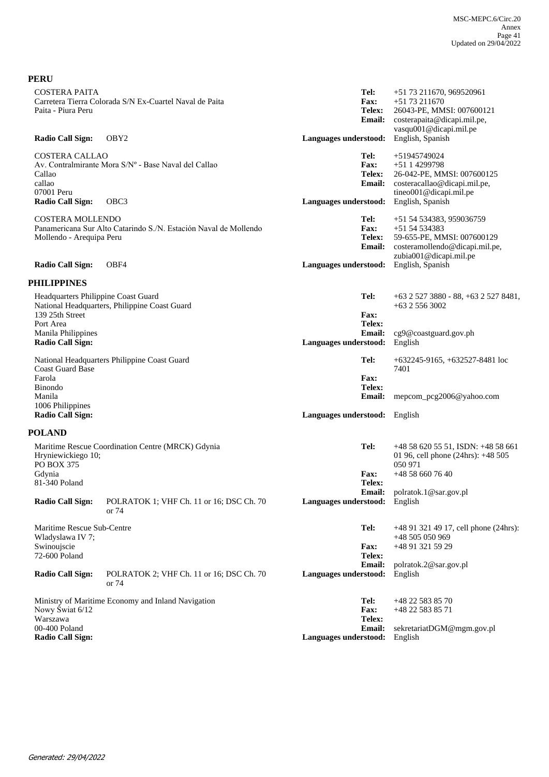| <b>PERU</b>                                                                                           |                                                                             |                                                                                |                                                                                                                                                     |
|-------------------------------------------------------------------------------------------------------|-----------------------------------------------------------------------------|--------------------------------------------------------------------------------|-----------------------------------------------------------------------------------------------------------------------------------------------------|
| <b>COSTERA PAITA</b><br>Paita - Piura Peru<br><b>Radio Call Sign:</b>                                 | Carretera Tierra Colorada S/N Ex-Cuartel Naval de Paita<br>OBY <sub>2</sub> | Tel:<br><b>Fax:</b><br><b>Telex:</b><br><b>Email:</b><br>Languages understood: | +51 73 211670, 969520961<br>$+5173211670$<br>26043-PE, MMSI: 007600121<br>costerapaita@dicapi.mil.pe,<br>vasqu001@dicapi.mil.pe<br>English, Spanish |
|                                                                                                       |                                                                             |                                                                                |                                                                                                                                                     |
| <b>COSTERA CALLAO</b><br>Callao<br>callao<br>07001 Peru<br><b>Radio Call Sign:</b>                    | Av. Contralmirante Mora S/Nº - Base Naval del Callao<br>OBC <sub>3</sub>    | Tel:<br><b>Fax:</b><br>Telex:<br><b>Email:</b><br>Languages understood:        | +51945749024<br>$+5114299798$<br>26-042-PE, MMSI: 007600125<br>costeracallao@dicapi.mil.pe,<br>tineo001@dicapi.mil.pe<br>English, Spanish           |
| <b>COSTERA MOLLENDO</b><br>Mollendo - Arequipa Peru                                                   | Panamericana Sur Alto Catarindo S./N. Estación Naval de Mollendo            | Tel:<br><b>Fax:</b><br>Telex:<br><b>Email:</b>                                 | +51 54 534383, 959036759<br>$+5154534383$<br>59-655-PE, MMSI: 007600129<br>costeramollendo@dicapi.mil.pe,<br>zubia001@dicapi.mil.pe                 |
| <b>Radio Call Sign:</b>                                                                               | OBF4                                                                        | Languages understood:                                                          | English, Spanish                                                                                                                                    |
| <b>PHILIPPINES</b>                                                                                    |                                                                             |                                                                                |                                                                                                                                                     |
| Headquarters Philippine Coast Guard<br>139 25th Street<br>Port Area                                   | National Headquarters, Philippine Coast Guard                               | Tel:<br>Fax:<br>Telex:                                                         | $+63$ 2 527 3880 - 88, $+63$ 2 527 8481,<br>$+63$ 2 556 3002                                                                                        |
| Manila Philippines<br><b>Radio Call Sign:</b>                                                         |                                                                             | <b>Email:</b><br>Languages understood:                                         | cg9@coastguard.gov.ph<br>English                                                                                                                    |
| <b>Coast Guard Base</b><br>Farola<br><b>Binondo</b><br>Manila<br>1006 Philippines<br>Radio Call Sign: | National Headquarters Philippine Coast Guard                                | Tel:<br>Fax:<br>Telex:<br><b>Email:</b><br>Languages understood: English       | $+632245-9165, +632527-8481$ loc<br>7401<br>mepcom_pcg2006@yahoo.com                                                                                |
| <b>POLAND</b>                                                                                         |                                                                             |                                                                                |                                                                                                                                                     |
| Hryniewickiego 10;<br>PO BOX 375<br>Gdynia                                                            | Maritime Rescue Coordination Centre (MRCK) Gdynia                           | Tel:<br>Fax:                                                                   | +48 58 620 55 51, ISDN: +48 58 661<br>01 96, cell phone (24hrs): +48 505<br>050 971<br>$+48586607640$                                               |
| 81-340 Poland                                                                                         |                                                                             | Telex:                                                                         |                                                                                                                                                     |
| <b>Radio Call Sign:</b>                                                                               | POLRATOK 1; VHF Ch. 11 or 16; DSC Ch. 70<br>or $74$                         | Email:<br>Languages understood:                                                | polratok.1@sar.gov.pl<br>English                                                                                                                    |
| Maritime Rescue Sub-Centre<br>Wladyslawa IV 7;<br>Swinoujscie<br>72-600 Poland                        |                                                                             | Tel:<br>Fax:<br>Telex:<br><b>Email:</b>                                        | $+48913214917$ , cell phone (24hrs):<br>+48 505 050 969<br>+48 91 321 59 29                                                                         |
| <b>Radio Call Sign:</b>                                                                               | POLRATOK 2; VHF Ch. 11 or 16; DSC Ch. 70<br>or 74                           | Languages understood:                                                          | polratok.2@sar.gov.pl<br>English                                                                                                                    |
| Nowy Świat 6/12<br>Warszawa<br>00-400 Poland                                                          | Ministry of Maritime Economy and Inland Navigation                          | Tel:<br>Fax:<br>Telex:                                                         | +48 22 583 85 70<br>+48 22 583 85 71                                                                                                                |
| <b>Radio Call Sign:</b>                                                                               |                                                                             | <b>Email:</b><br>Languages understood:                                         | sekretariatDGM@mgm.gov.pl<br>English                                                                                                                |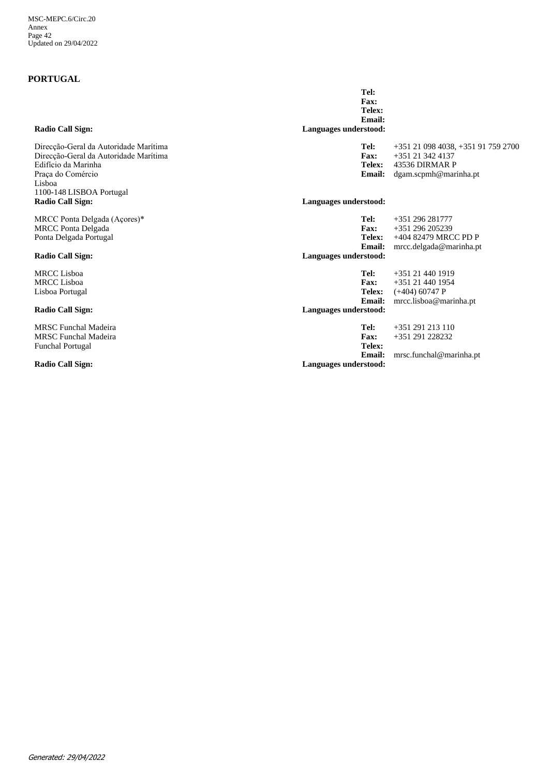## **PORTUGAL**

| Radio Call Sign:                                                                                                                                                 | г ал.<br>Telex:<br>Email:<br>Languages understood:               |                                                                                                     |
|------------------------------------------------------------------------------------------------------------------------------------------------------------------|------------------------------------------------------------------|-----------------------------------------------------------------------------------------------------|
| Direcção-Geral da Autoridade Marítima<br>Direcção-Geral da Autoridade Marítima<br>Edifício da Marinha<br>Praça do Comércio<br>Lisboa<br>1100-148 LISBOA Portugal | Tel:<br>Fax:<br>Telex:<br><b>Email:</b>                          | +351 21 098 4038, +351 91 759 2700<br>$+351$ 21 342 4137<br>43536 DIRMAR P<br>dgam.scpmh@marinha.pt |
| <b>Radio Call Sign:</b>                                                                                                                                          | Languages understood:                                            |                                                                                                     |
| MRCC Ponta Delgada (Açores)*<br><b>MRCC Ponta Delgada</b><br>Ponta Delgada Portugal<br>Radio Call Sign:                                                          | Tel:<br>Fax:<br>Telex:<br>Email:<br>Languages understood:        | $+351$ 296 281777<br>+351 296 205239<br>+404 82479 MRCC PD P<br>mrcc.delgada@marinha.pt             |
| <b>MRCC</b> Lisboa<br><b>MRCC</b> Lisboa<br>Lisboa Portugal                                                                                                      | Tel:<br>Fax:<br>Telex:<br>Email:                                 | +351 21 440 1919<br>+351 21 440 1954<br>$(+404)$ 60747 P<br>mrcc.lisboa@marinha.pt                  |
| <b>Radio Call Sign:</b>                                                                                                                                          | Languages understood:                                            |                                                                                                     |
| <b>MRSC</b> Funchal Madeira<br>MRSC Funchal Madeira<br><b>Funchal Portugal</b><br><b>Radio Call Sign:</b>                                                        | Tel:<br>Fax:<br>Telex:<br><b>Email:</b><br>Languages understood: | $+351$ 291 213 110<br>+351 291 228232<br>mrsc.funchal@marinha.pt                                    |

**Fax:**

**Tel:**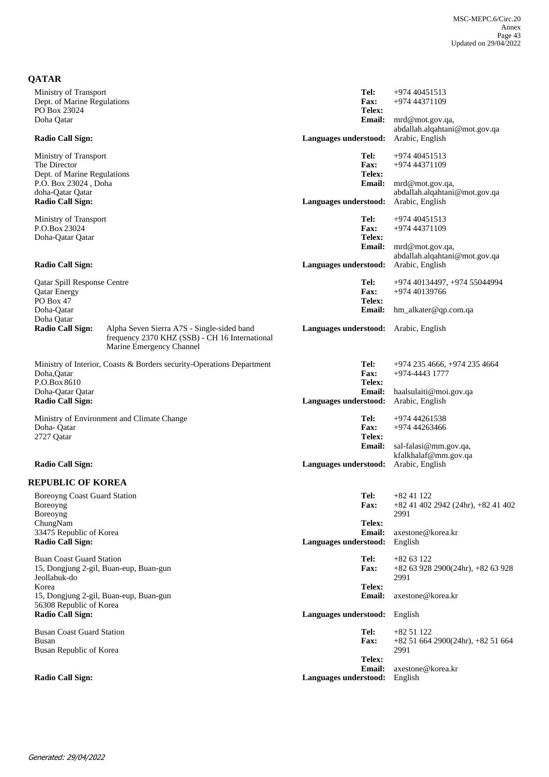| <b>QATAR</b>                        |                                                                                                                          |                                       |                                                     |
|-------------------------------------|--------------------------------------------------------------------------------------------------------------------------|---------------------------------------|-----------------------------------------------------|
| Ministry of Transport               |                                                                                                                          | Tel:                                  | +974 40451513                                       |
| Dept. of Marine Regulations         |                                                                                                                          | <b>Fax:</b>                           | +974 44371109                                       |
| PO Box 23024                        |                                                                                                                          | Telex:                                |                                                     |
| Doha Qatar                          |                                                                                                                          | <b>Email:</b>                         | mrd@mot.gov.qa,                                     |
|                                     |                                                                                                                          |                                       | abdallah.alqahtani@mot.gov.qa                       |
| <b>Radio Call Sign:</b>             |                                                                                                                          | Languages understood:                 | Arabic, English                                     |
| Ministry of Transport               |                                                                                                                          | Tel:                                  | +974 40451513                                       |
| The Director                        |                                                                                                                          | <b>Fax:</b>                           | +974 44371109                                       |
| Dept. of Marine Regulations         |                                                                                                                          | Telex:                                |                                                     |
| P.O. Box 23024, Doha                |                                                                                                                          | <b>Email:</b>                         | mrd@mot.gov.qa,                                     |
| doha-Qatar Qatar                    |                                                                                                                          |                                       | abdallah.alqahtani@mot.gov.qa                       |
| <b>Radio Call Sign:</b>             |                                                                                                                          | Languages understood:                 | Arabic, English                                     |
| Ministry of Transport               |                                                                                                                          | Tel:                                  | +974 40451513                                       |
| P.O.Box 23024                       |                                                                                                                          | <b>Fax:</b>                           | +974 44371109                                       |
| Doha-Qatar Qatar                    |                                                                                                                          | Telex:                                |                                                     |
|                                     |                                                                                                                          | <b>Email:</b>                         | mrd@mot.gov.qa,                                     |
|                                     |                                                                                                                          |                                       | abdallah.alqahtani@mot.gov.qa                       |
| <b>Radio Call Sign:</b>             |                                                                                                                          | Languages understood:                 | Arabic, English                                     |
|                                     |                                                                                                                          |                                       |                                                     |
| Qatar Spill Response Centre         |                                                                                                                          | Tel:                                  | +974 40134497, +974 55044994                        |
| <b>Qatar Energy</b>                 |                                                                                                                          | Fax:                                  | +974 40139766                                       |
| PO Box 47                           |                                                                                                                          | Telex:                                |                                                     |
| Doha-Oatar                          |                                                                                                                          | <b>Email:</b>                         | hm_alkater@qp.com.qa                                |
| Doha Qatar                          |                                                                                                                          |                                       |                                                     |
| <b>Radio Call Sign:</b>             | Alpha Seven Sierra A7S - Single-sided band<br>frequency 2370 KHZ (SSB) - CH 16 International<br>Marine Emergency Channel | Languages understood: Arabic, English |                                                     |
|                                     | Ministry of Interior, Coasts & Borders security-Operations Department                                                    | Tel:                                  | +974 235 4666, +974 235 4664                        |
| Doha, Qatar                         |                                                                                                                          | <b>Fax:</b>                           | +974-4443 1777                                      |
| P.O.Box 8610                        |                                                                                                                          | Telex:                                |                                                     |
| Doha-Qatar Qatar                    |                                                                                                                          | <b>Email:</b>                         | haalsulaiti@moi.gov.qa                              |
| <b>Radio Call Sign:</b>             |                                                                                                                          | Languages understood:                 | Arabic, English                                     |
|                                     | Ministry of Environment and Climate Change                                                                               | Tel:                                  | +974 44261538                                       |
| Doha-Qatar                          |                                                                                                                          | <b>Fax:</b>                           | +974 44263466                                       |
| 2727 Qatar                          |                                                                                                                          | Telex:                                |                                                     |
|                                     |                                                                                                                          | <b>Email:</b>                         | sal-falasi@mm.gov.qa,                               |
|                                     |                                                                                                                          |                                       | kfalkhalaf@mm.gov.qa                                |
| <b>Radio Call Sign:</b>             |                                                                                                                          | Languages understood:                 | Arabic, English                                     |
| <b>REPUBLIC OF KOREA</b>            |                                                                                                                          |                                       |                                                     |
| <b>Boreoyng Coast Guard Station</b> |                                                                                                                          | Tel:                                  | $+8241122$                                          |
| Boreoyng                            |                                                                                                                          | Fax:                                  | +82 41 402 2942 (24hr), +82 41 402                  |
| Boreoyng                            |                                                                                                                          |                                       | 2991                                                |
| ChungNam                            |                                                                                                                          | Telex:                                |                                                     |
| 33475 Republic of Korea             |                                                                                                                          | Email:                                | axestone@korea.kr                                   |
| <b>Radio Call Sign:</b>             |                                                                                                                          | Languages understood:                 | English                                             |
| <b>Buan Coast Guard Station</b>     |                                                                                                                          |                                       |                                                     |
|                                     |                                                                                                                          | Tel:<br><b>Fax:</b>                   | $+8263122$<br>$+82$ 63 928 2900(24hr), $+82$ 63 928 |
| Jeollabuk-do                        | 15, Dongjung 2-gil, Buan-eup, Buan-gun                                                                                   |                                       | 2991                                                |
| Korea                               |                                                                                                                          | Telex:                                |                                                     |
|                                     | 15, Dongjung 2-gil, Buan-eup, Buan-gun                                                                                   | <b>Email:</b>                         | axestone@korea.kr                                   |
| 56308 Republic of Korea             |                                                                                                                          |                                       |                                                     |
| <b>Radio Call Sign:</b>             |                                                                                                                          | Languages understood:                 | English                                             |
|                                     |                                                                                                                          |                                       |                                                     |
| <b>Busan Coast Guard Station</b>    |                                                                                                                          | Tel:                                  | +82 51 122                                          |
| Busan                               |                                                                                                                          | <b>Fax:</b>                           | $+82$ 51 664 2900(24hr), $+82$ 51 664               |
| Busan Republic of Korea             |                                                                                                                          | Telex:                                | 2991                                                |
|                                     |                                                                                                                          | <b>Email:</b>                         | axestone@korea.kr                                   |
| <b>Radio Call Sign:</b>             |                                                                                                                          | Languages understood:                 | English                                             |
|                                     |                                                                                                                          |                                       |                                                     |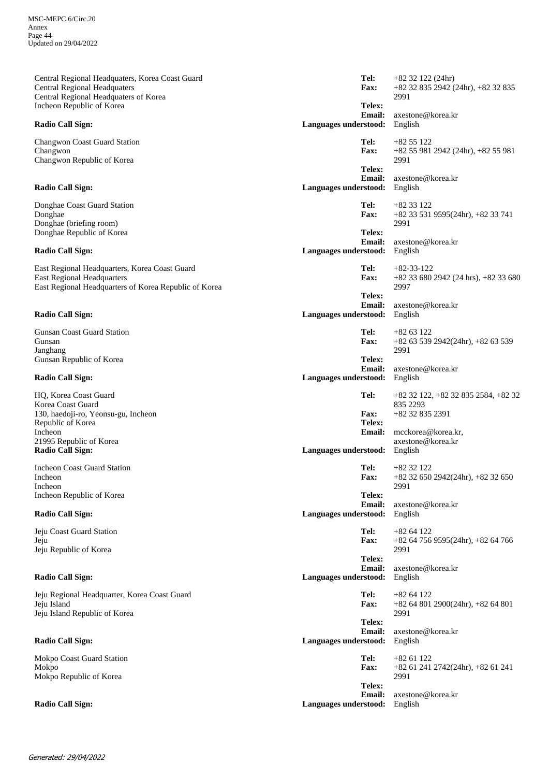axestone@korea.kr +82 32 835 2942 (24hr), +82 32 835 2991 **Email: Telex: Fax:** Central Regional Headquaters, Korea Coast Guard Central Regional Headquaters Central Regional Headquaters of Korea Incheon Republic of Korea **Radio Call Sign: Languages understood:** English **Tel:** +82 32 122 (24hr) axestone@korea.kr +82 55 981 2942 (24hr), +82 55 981 2991 **Email: Telex: Fax:** Changwon Coast Guard Station Changwon Changwon Republic of Korea **Radio Call Sign: Languages understood:** English **Tel:** +82 55 122 axestone@korea.kr +82 33 531 9595(24hr), +82 33 741 2991 **Email: Telex: Fax:** Donghae Coast Guard Station Donghae Donghae (briefing room) Donghae Republic of Korea **Radio Call Sign: Languages understood:** English **Tel:** +82 33 122 axestone@korea.kr +82 33 680 2942 (24 hrs), +82 33 680 2997 **Email: Telex: Fax:** East Regional Headquarters, Korea Coast Guard East Regional Headquarters East Regional Headquarters of Korea Republic of Korea **Radio Call Sign: Languages understood:** English **Tel:** +82-33-122 axestone@korea.kr +82 63 539 2942(24hr), +82 63 539 2991 **Email: Telex: Fax:** Gunsan Coast Guard Station Gunsan Janghang Gunsan Republic of Korea **Radio Call Sign: Languages understood:** English **Tel:** +82 63 122 mcckorea@korea.kr, axestone@korea.kr +82 32 835 2391 **Email: Telex: Fax:** HQ, Korea Coast Guard Korea Coast Guard 130, haedoji-ro, Yeonsu-gu, Incheon Republic of Korea Incheon 21995 Republic of Korea<br>Radio Call Sign: **Languages understood: Tel:** +82 32 122, +82 32 835 2584, +82 32 835 2293 axestone@korea.kr +82 32 650 2942(24hr), +82 32 650 2991 **Email: Telex: Fax:** Incheon Coast Guard Station Incheon Incheon Incheon Republic of Korea **Radio Call Sign: Languages understood:** English **Tel:** +82 32 122 axestone@korea.kr +82 64 756 9595(24hr), +82 64 766 2991 **Email: Telex: Fax:** Jeju Coast Guard Station Jeju Jeju Republic of Korea **Radio Call Sign: Languages understood:** English **Tel:** +82 64 122 axestone@korea.kr +82 64 801 2900(24hr), +82 64 801 2991 **Email: Telex: Fax:** Jeju Regional Headquarter, Korea Coast Guard Jeju Island Jeju Island Republic of Korea **Radio Call Sign: Languages understood:** English **Tel:** +82 64 122 axestone@korea.kr +82 61 241 2742(24hr), +82 61 241 2991 **Email: Telex: Fax:** Mokpo Coast Guard Station Mokpo Mokpo Republic of Korea **Radio Call Sign: Languages understood:** English **Tel:** +82 61 122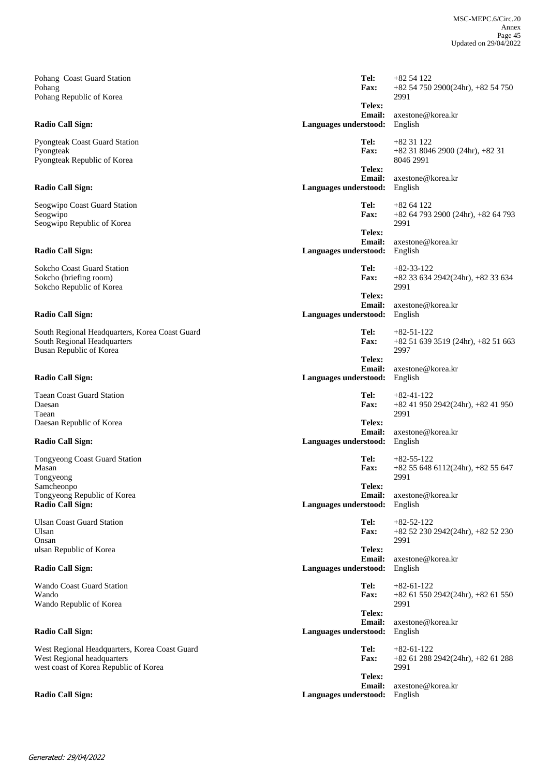axestone@korea.kr +82 54 750 2900(24hr), +82 54 750 2991 **Email: Telex: Fax:** Pohang Coast Guard Station Pohang Pohang Republic of Korea **Radio Call Sign: Languages understood:** English **Tel:** +82 54 122 axestone@korea.kr +82 31 8046 2900 (24hr), +82 31 8046 2991 **Email: Telex: Fax:** Pyongteak Coast Guard Station Pyongteak Pyongteak Republic of Korea **Radio Call Sign: Languages understood:** English **Tel:** +82 31 122 axestone@korea.kr +82 64 793 2900 (24hr), +82 64 793 2991 **Email: Telex: Fax:** Seogwipo Coast Guard Station Seogwipo Seogwipo Republic of Korea **Radio Call Sign: Languages understood:** English **Tel:** +82 64 122 axestone@korea.kr +82 33 634 2942(24hr), +82 33 634 2991 **Email: Telex: Fax:** Sokcho Coast Guard Station Sokcho (briefing room) Sokcho Republic of Korea **Radio Call Sign: Languages understood:** English **Tel:** +82-33-122 axestone@korea.kr +82 51 639 3519 (24hr), +82 51 663 2997 **Email: Telex: Fax:** South Regional Headquarters, Korea Coast Guard South Regional Headquarters Busan Republic of Korea **Radio Call Sign: Languages understood: Languages understood: Tel:** +82-51-122 axestone@korea.kr +82 41 950 2942(24hr), +82 41 950 2991 **Email: Telex: Fax:** Taean Coast Guard Station Daesan Taean Daesan Republic of Korea **Radio Call Sign: Languages understood:** English **Tel:** +82-41-122 axestone@korea.kr +82 55 648 6112(24hr), +82 55 647 2991 **Email: Telex: Fax:** Tongyeong Coast Guard Station Masan Tongyeong Samcheonpo Tongyeong Republic of Korea **Radio Call Sign: Languages understood:** English **Tel:** +82-55-122 axestone@korea.kr +82 52 230 2942(24hr), +82 52 230 2991 **Email: Telex: Fax:** Ulsan Coast Guard Station Ulsan Onsan ulsan Republic of Korea **Radio Call Sign: Languages understood:** English **Tel:** +82-52-122 axestone@korea.kr +82 61 550 2942(24hr), +82 61 550 2991 **Email: Telex: Fax:** Wando Coast Guard Station Wando Wando Republic of Korea **Radio Call Sign: Languages understood:** English **Tel:** +82-61-122 axestone@korea.kr<br>English +82 61 288 2942(24hr), +82 61 288 2991 **Email: Telex: Fax:** West Regional Headquarters, Korea Coast Guard West Regional headquarters west coast of Korea Republic of Korea **Radio Call Sign: Languages understood:** English English English English English English English English English English English English English English English English English English English English English English Eng **Tel:** +82-61-122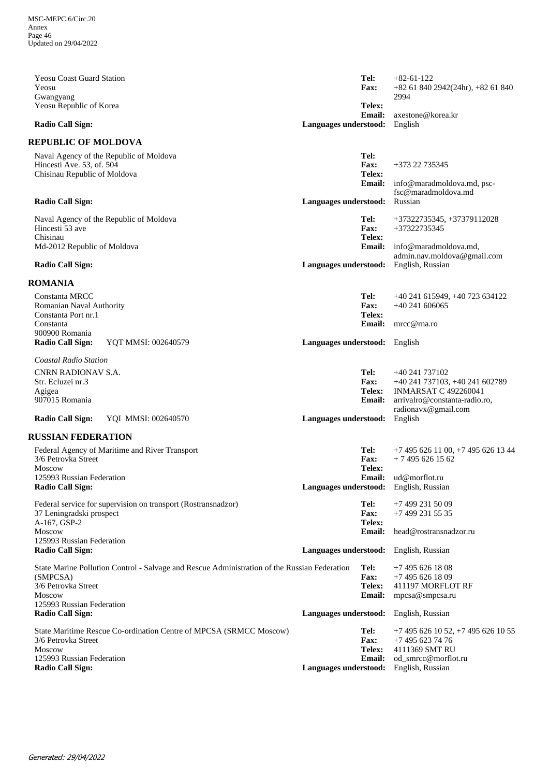| <b>Yeosu Coast Guard Station</b><br>Yeosu                                                            |                               | Tel:<br><b>Fax:</b>                  | $+82-61-122$<br>$+82$ 61 840 2942(24hr), $+82$ 61 840        |
|------------------------------------------------------------------------------------------------------|-------------------------------|--------------------------------------|--------------------------------------------------------------|
| Gwangyang<br>Yeosu Republic of Korea                                                                 |                               | Telex:                               | 2994                                                         |
| <b>Radio Call Sign:</b>                                                                              | Languages understood:         | Email:                               | axestone@korea.kr<br>English                                 |
| <b>REPUBLIC OF MOLDOVA</b>                                                                           |                               |                                      |                                                              |
| Naval Agency of the Republic of Moldova<br>Hincesti Ave. 53, of, 504<br>Chisinau Republic of Moldova |                               | Tel:<br><b>Fax:</b><br>Telex:        | +373 22 735345                                               |
|                                                                                                      |                               | <b>Email:</b>                        | info@maradmoldova.md, psc-                                   |
| <b>Radio Call Sign:</b>                                                                              | Languages understood:         |                                      | fsc@maradmoldova.md<br>Russian                               |
| Naval Agency of the Republic of Moldova<br>Hincesti 53 ave<br>Chisinau                               |                               | Tel:<br><b>Fax:</b><br>Telex:        | +37322735345, +37379112028<br>+37322735345                   |
| Md-2012 Republic of Moldova                                                                          |                               | <b>Email:</b>                        | info@maradmoldova.md,<br>admin.nav.moldova@gmail.com         |
| <b>Radio Call Sign:</b>                                                                              | Languages understood:         |                                      | English, Russian                                             |
| <b>ROMANIA</b>                                                                                       |                               |                                      |                                                              |
| Constanta MRCC<br>Romanian Naval Authority                                                           |                               | Tel:<br><b>Fax:</b><br>Telex:        | +40 241 615949, +40 723 634122<br>$+40241606065$             |
| Constanta Port nr.1<br>Constanta                                                                     |                               | <b>Email:</b>                        | mrcc@rna.ro                                                  |
| 900900 Romania<br>YQT MMSI: 002640579<br><b>Radio Call Sign:</b>                                     | Languages understood: English |                                      |                                                              |
| Coastal Radio Station                                                                                |                               |                                      |                                                              |
| CNRN RADIONAV S.A.                                                                                   |                               | Tel:                                 | +40 241 737102                                               |
| Str. Ecluzei nr.3                                                                                    |                               | <b>Fax:</b>                          | +40 241 737103, +40 241 602789                               |
| Agigea<br>907015 Romania                                                                             |                               | Telex:<br><b>Email:</b>              | <b>INMARSAT C 492260041</b><br>arrivalro@constanta-radio.ro, |
|                                                                                                      |                               |                                      | radionavx@gmail.com                                          |
| <b>Radio Call Sign:</b><br>YQI MMSI: 002640570                                                       | Languages understood:         |                                      | English                                                      |
| <b>RUSSIAN FEDERATION</b>                                                                            |                               |                                      |                                                              |
| Federal Agency of Maritime and River Transport<br>3/6 Petrovka Street<br><b>Moscow</b>               |                               | Tel:<br><b>Fax:</b><br><b>Telex:</b> | $+74956261100$ , $+74956261344$<br>$+74956261562$            |
| 125993 Russian Federation                                                                            |                               |                                      | Email: ud@morflot.ru                                         |
| <b>Radio Call Sign:</b>                                                                              |                               |                                      | Languages understood: English, Russian                       |
| Federal service for supervision on transport (Rostransnadzor)                                        |                               | Tel:                                 | +7 499 231 50 09                                             |
| 37 Leningradski prospect<br>A-167, GSP-2                                                             |                               | Fax:<br>Telex:                       | +7 499 231 55 35                                             |
| Moscow<br>125993 Russian Federation                                                                  |                               | <b>Email:</b>                        | head@rostransnadzor.ru                                       |
| <b>Radio Call Sign:</b>                                                                              | Languages understood:         |                                      | English, Russian                                             |
| State Marine Pollution Control - Salvage and Rescue Administration of the Russian Federation         |                               | Tel:                                 | +7 495 626 18 08                                             |
| (SMPCSA)<br>3/6 Petrovka Street                                                                      |                               | <b>Fax:</b>                          | $+74956261809$                                               |
| <b>Moscow</b>                                                                                        |                               | <b>Telex:</b><br><b>Email:</b>       | 411197 MORFLOT RF<br>mpcsa@smpcsa.ru                         |
| 125993 Russian Federation                                                                            |                               |                                      |                                                              |
| <b>Radio Call Sign:</b>                                                                              |                               |                                      | Languages understood: English, Russian                       |
| State Maritime Rescue Co-ordination Centre of MPCSA (SRMCC Moscow)                                   |                               | Tel:                                 | $+7$ 495 626 10 52, $+7$ 495 626 10 55                       |
| 3/6 Petrovka Street<br><b>Moscow</b>                                                                 |                               | <b>Fax:</b><br>Telex:                | +7 495 623 74 76<br>4111369 SMT RU                           |
| 125993 Russian Federation                                                                            |                               | <b>Email:</b>                        | od_smrcc@morflot.ru                                          |
| <b>Radio Call Sign:</b>                                                                              | Languages understood:         |                                      | English, Russian                                             |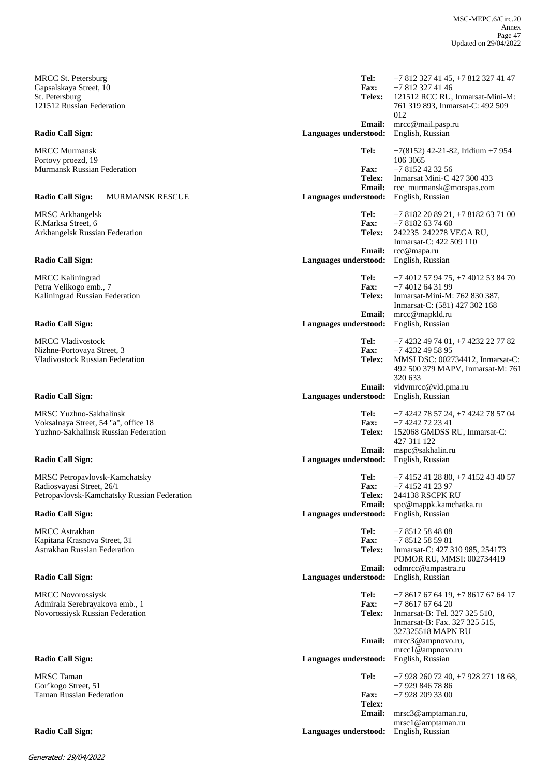MRCC St. Petersburg Gapsalskaya Street, 10 St. Petersburg 121512 Russian Federation

MRCC Murmansk Portovy proezd, 19 Murmansk Russian Federation

#### **Radio Call Sign:** MURMANSK RESCUE **Languages understood:** English, Russian

MRSC Arkhangelsk K.Marksa Street, 6 Arkhangelsk Russian Federation

MRCC Kaliningrad Petra Velikogo emb., 7 Kaliningrad Russian Federation

MRCC Vladivostock Nizhne-Portovaya Street, 3 Vladivostock Russian Federation

MRSC Yuzhno-Sakhalinsk Voksalnaya Street, 54 "a", office 18 Yuzhno-Sakhalinsk Russian Federation

MRSC Petropavlovsk-Kamchatsky Radiosvayasi Street, 26/1 Petropavlovsk-Kamchatsky Russian Federation

MRCC Astrakhan Kapitana Krasnova Street, 31 Astrakhan Russian Federation

MRCC Novorossiysk Admirala Serebrayakova emb., 1 Novorossiysk Russian Federation

MRSC Taman Gor'kogo Street, 51 Taman Russian Federation

mrcc@mail.pasp.ru 121512 RCC RU, Inmarsat-Mini-M: 761 319 893, Inmarsat-C: 492 509  $012$ +7 812 327 41 46 **Email: Telex: Fax: Radio Call Sign: Languages understood:** English, Russian **Tel:** +7 812 327 41 45, +7 812 327 41 47 rcc\_murmansk@morspas.com Inmarsat Mini-C 427 300 433 +7 8152 42 32 56 **Email: Telex: Fax: Tel:** +7(8152) 42-21-82, Iridium +7 954 106 3065 rcc@mapa.ru 242235 242278 VEGA RU, Inmarsat-C: 422 509 110  $+78182637460$ **Email: Telex: Fax: Radio Call Sign: Languages understood:** English, Russian **Tel:** +7 8182 20 89 21, +7 8182 63 71 00 mrcc@mapkld.ru Inmarsat-Mini-M: 762 830 387, Inmarsat-C: (581) 427 302 168 +7 4012 64 31 99 **Email: Telex: Fax: Radio Call Sign: Languages understood:** English, Russian **Tel:** +7 4012 57 94 75, +7 4012 53 84 70 vldvmrcc@vld.pma.ru MMSI DSC: 002734412, Inmarsat-C: 492 500 379 MAPV, Inmarsat-M: 761 320 633 +7 4232 49 58 95 **Email: Telex: Fax: Radio Call Sign: Languages understood:** English, Russian **Tel:** +7 4232 49 74 01, +7 4232 22 77 82 mspc@sakhalin.ru 152068 GMDSS RU, Inmarsat-C: 427 311 122 +7 4242 72 23 41 **Email: Telex: Fax: Radio Call Sign: Languages understood:** English, Russian **Tel:** +7 4242 78 57 24, +7 4242 78 57 04 spc@mappk.kamchatka.ru 244138 RSCPK RU +7 4152 41 23 97 **Email: Telex: Fax: Radio Call Sign: Languages understood:** English, Russian **Tel:** +7 4152 41 28 80, +7 4152 43 40 57 odmrcc@ampastra.ru Inmarsat-C: 427 310 985, 254173 POMOR RU, MMSI: 002734419 +7 8512 58 59 81 **Email: Telex: Fax: Radio Call Sign: Languages understood:** English, Russian **Tel:** +7 8512 58 48 08 mrcc3@ampnovo.ru, mrcc1@ampnovo.ru Inmarsat-B: Tel. 327 325 510, Inmarsat-B: Fax. 327 325 515, 327325518 MAPN RU +7 8617 67 64 20 **Email: Telex: Fax: Radio Call Sign: Languages understood:** English, Russian **Tel:** +7 8617 67 64 19, +7 8617 67 64 17 mrsc3@amptaman.ru, mrsc1@amptaman.ru +7 928 209 33 00 **Email: Telex: Fax: Radio Call Sign: Languages understood:** English, Russian **Tel:** +7 928 260 72 40, +7 928 271 18 68, +7 929 846 78 86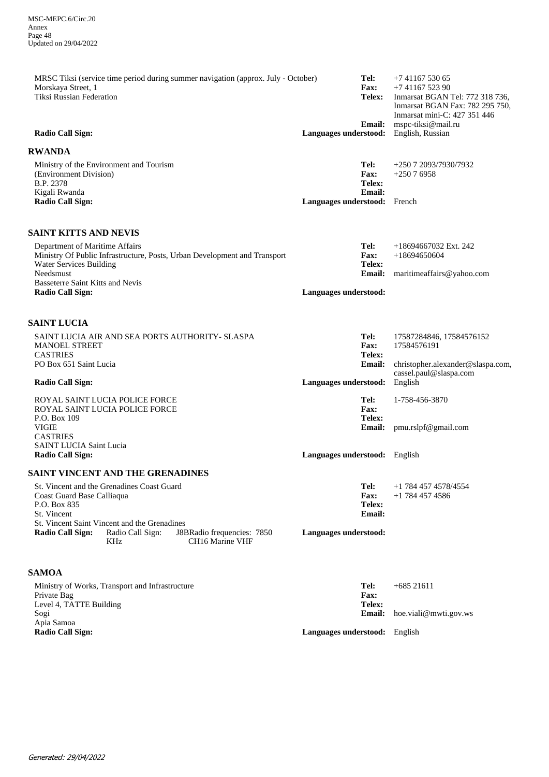| MRSC Tiksi (service time period during summer navigation (approx. July - October)<br>Morskaya Street, 1<br><b>Tiksi Russian Federation</b><br><b>Radio Call Sign:</b>                                                                                            | Languages understood:               | Tel:<br>Fax:<br>Telex:<br><b>Email:</b> | $+74116753065$<br>$+74116752390$<br>Inmarsat BGAN Tel: 772 318 736,<br>Inmarsat BGAN Fax: 782 295 750,<br>Inmarsat mini-C: 427 351 446<br>mspc-tiksi@mail.ru<br>English, Russian |
|------------------------------------------------------------------------------------------------------------------------------------------------------------------------------------------------------------------------------------------------------------------|-------------------------------------|-----------------------------------------|----------------------------------------------------------------------------------------------------------------------------------------------------------------------------------|
| <b>RWANDA</b>                                                                                                                                                                                                                                                    |                                     |                                         |                                                                                                                                                                                  |
| Ministry of the Environment and Tourism<br>(Environment Division)<br>B.P. 2378<br>Kigali Rwanda                                                                                                                                                                  |                                     | Tel:<br>Fax:<br>Telex:<br><b>Email:</b> | +250 7 2093/7930/7932<br>$+25076958$                                                                                                                                             |
| <b>Radio Call Sign:</b>                                                                                                                                                                                                                                          | <b>Languages understood:</b> French |                                         |                                                                                                                                                                                  |
| <b>SAINT KITTS AND NEVIS</b><br>Department of Maritime Affairs<br>Ministry Of Public Infrastructure, Posts, Urban Development and Transport<br><b>Water Services Building</b><br>Needsmust<br><b>Basseterre Saint Kitts and Nevis</b><br><b>Radio Call Sign:</b> | Languages understood:               | Tel:<br>Fax:<br>Telex:<br><b>Email:</b> | $+18694667032$ Ext. 242<br>$+18694650604$<br>maritimeaffairs@yahoo.com                                                                                                           |
| <b>SAINT LUCIA</b>                                                                                                                                                                                                                                               |                                     |                                         |                                                                                                                                                                                  |
| SAINT LUCIA AIR AND SEA PORTS AUTHORITY- SLASPA<br><b>MANOEL STREET</b><br><b>CASTRIES</b><br>PO Box 651 Saint Lucia                                                                                                                                             |                                     | Tel:<br>Fax:<br>Telex:<br><b>Email:</b> | 17587284846, 17584576152<br>17584576191<br>christopher.alexander@slaspa.com,<br>cassel.paul@slaspa.com                                                                           |
| <b>Radio Call Sign:</b>                                                                                                                                                                                                                                          | Languages understood:               |                                         | English                                                                                                                                                                          |
| ROYAL SAINT LUCIA POLICE FORCE<br>ROYAL SAINT LUCIA POLICE FORCE<br>P.O. Box 109                                                                                                                                                                                 |                                     | Tel:<br>Fax:<br>Telex:                  | 1-758-456-3870                                                                                                                                                                   |
| <b>VIGIE</b><br><b>CASTRIES</b><br><b>SAINT LUCIA Saint Lucia</b><br><b>Radio Call Sign:</b>                                                                                                                                                                     | Languages understood: English       | <b>Email:</b>                           | pmu.rslpf@gmail.com                                                                                                                                                              |
|                                                                                                                                                                                                                                                                  |                                     |                                         |                                                                                                                                                                                  |

### **SAINT VINCENT AND THE GRENADINES**

| St. Vincent and the Grenadines Coast Guard   |                          |                                                           |                       | Tel:        | +1 784 457 4578/4554 |
|----------------------------------------------|--------------------------|-----------------------------------------------------------|-----------------------|-------------|----------------------|
| Coast Guard Base Calliaqua                   |                          |                                                           |                       | <b>Fax:</b> | +1 784 457 4586      |
| P.O. Box 835                                 |                          |                                                           |                       | Telex:      |                      |
| St. Vincent                                  |                          |                                                           |                       | Email:      |                      |
| St. Vincent Saint Vincent and the Grenadines |                          |                                                           |                       |             |                      |
| <b>Radio Call Sign:</b>                      | Radio Call Sign:<br>KHz. | J8BRadio frequencies: 7850<br>CH <sub>16</sub> Marine VHF | Languages understood: |             |                      |

## **SAMOA**

| Ministry of Works, Transport and Infrastructure | Tel:                                 | $+68521611$                         |
|-------------------------------------------------|--------------------------------------|-------------------------------------|
| Private Bag                                     | <b>Fax:</b>                          |                                     |
| Level 4, TATTE Building                         | Telex:                               |                                     |
| Sogi                                            |                                      | <b>Email:</b> hoe.viali@mwti.gov.ws |
| Apia Samoa                                      |                                      |                                     |
| <b>Radio Call Sign:</b>                         | <b>Languages understood:</b> English |                                     |
|                                                 |                                      |                                     |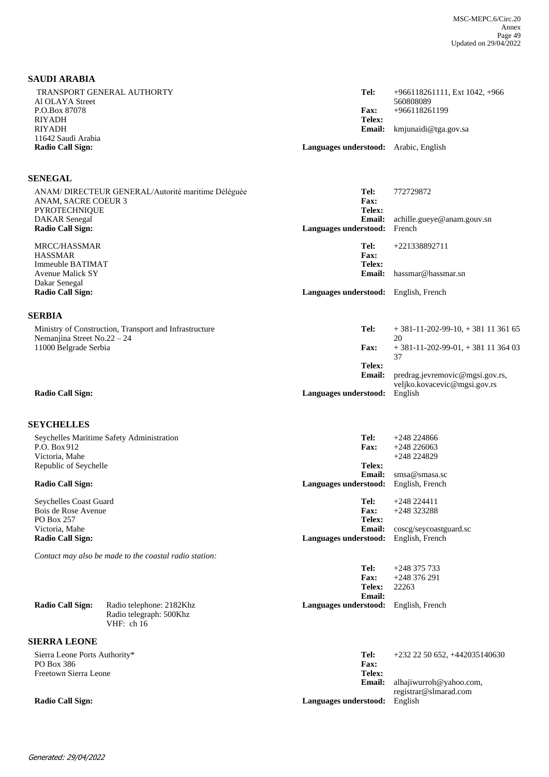#### **SAUDI ARABIA**

| TRANSPORT GENERAL AUTHORTY<br>Al OLAYA Street | Tel:                                         | $+966118261111$ , Ext 1042, $+966$<br>560808089 |
|-----------------------------------------------|----------------------------------------------|-------------------------------------------------|
| P.O.Box 87078                                 | <b>Fax:</b>                                  | $+966118261199$                                 |
| RIYADH                                        | Telex:                                       |                                                 |
| RIYADH                                        |                                              | <b>Email:</b> kmjunaidi@tga.gov.sa              |
| 11642 Saudi Arabia                            |                                              |                                                 |
| Radio Call Sign:                              | <b>Languages understood:</b> Arabic, English |                                                 |

#### **SENEGAL**

| ANAM/DIRECTEUR GENERAL/Autorité maritime Déléguée<br>ANAM, SACRE COEUR 3                 | Tel:<br>Fax:                                     | 772729872                                                       |
|------------------------------------------------------------------------------------------|--------------------------------------------------|-----------------------------------------------------------------|
| <b>PYROTECHNIQUE</b><br>DAKAR Senegal<br>Radio Call Sign:                                | Telex:<br><b>Email:</b><br>Languages understood: | achille.gueye@anam.gouv.sn<br>French                            |
| MRCC/HASSMAR<br><b>HASSMAR</b><br>Immeuble BATIMAT                                       | Tel:<br>Fax:<br>Telex:                           | +221338892711                                                   |
| <b>Avenue Malick SY</b><br>Dakar Senegal                                                 | <b>Email:</b>                                    | hassmar@hassmar.sn                                              |
| <b>Radio Call Sign:</b><br><b>SERBIA</b>                                                 | Languages understood:                            | English, French                                                 |
| Ministry of Construction, Transport and Infrastructure<br>Nemanjina Street No. $22 - 24$ | Tel:                                             | $+381-11-202-99-10 + 3811136165$<br>20                          |
| 11000 Belgrade Serbia                                                                    | <b>Fax:</b><br>Telex:                            | $+381-11-202-99-01$ , $+381$ 11 364 03<br>37                    |
|                                                                                          | <b>Email:</b>                                    | predrag.jevremovic@mgsi.gov.rs,<br>veljko.kovacevic@mgsi.gov.rs |
| Radio Call Sign:                                                                         | Languages understood:                            | English                                                         |

#### **SEYCHELLES**

| Seychelles Maritime Safety Administration | Tel:                  | $+248224866$           |
|-------------------------------------------|-----------------------|------------------------|
| P.O. Box 912                              | <b>Fax:</b>           | $+248\,226063$         |
| Victoria, Mahe                            |                       | $+248224829$           |
| Republic of Seychelle                     | Telex:                |                        |
|                                           | Email:                | smsa@smasasc           |
| <b>Radio Call Sign:</b>                   | Languages understood: | English, French        |
| Seychelles Coast Guard                    | Tel:                  | $+248224411$           |
| Bois de Rose Avenue                       | <b>Fax:</b>           | $+248323288$           |
| PO Box 257                                | Telex:                |                        |
| Victoria, Mahe                            | Email:                | coscg/seycoastguard.so |
| Radio Call Sign:                          | Languages understood: | English, French        |
|                                           |                       |                        |

*Contact may also be made to the coastal radio station:*

|                  |                          | <b>Telex:</b>                                | 22263 |  |
|------------------|--------------------------|----------------------------------------------|-------|--|
|                  |                          | Email:                                       |       |  |
| Radio Call Sign: | Radio telephone: 2182Khz | <b>Languages understood:</b> English, French |       |  |
|                  | Radio telegraph: 500Khz  |                                              |       |  |
|                  | VHF: $ch 16$             |                                              |       |  |

#### **SIERRA LEONE**

Sierra Leone Ports Authority\* PO Box 386 Freetown Sierra Leone

#### **Email: Telex: Fax: Tel:** +232 22 50 652, +442035140630

**Fax:**

alhajiwurroh@yahoo.com, registrar@slmarad.com

+248 376 291

**Tel:** +248 375 733

**Radio Call Sign: Languages understood:** English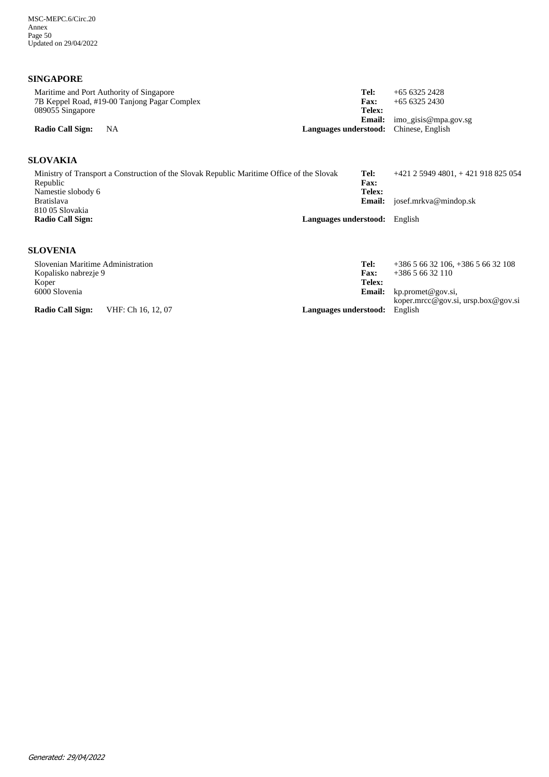## **SINGAPORE**

| Maritime and Port Authority of Singapore<br>7B Keppel Road, #19-00 Tanjong Pagar Complex | Tel:<br>$+6563252428$<br>$+6563252430$<br><b>Fax:</b> |  |
|------------------------------------------------------------------------------------------|-------------------------------------------------------|--|
| 089055 Singapore                                                                         | Telex:                                                |  |
|                                                                                          | <b>Email:</b> imo_gisis@mpa.gov.sg                    |  |
| <b>Radio Call Sign:</b><br>- NA                                                          | <b>Languages understood:</b> Chinese, English         |  |

## **SLOVAKIA**

| Ministry of Transport a Construction of the Slovak Republic Maritime Office of the Slovak | Tel:                                 | $+421$ 2 5949 4801, + 421 918 825 054 |
|-------------------------------------------------------------------------------------------|--------------------------------------|---------------------------------------|
| Republic                                                                                  | <b>Fax:</b>                          |                                       |
| Namestie slobody 6                                                                        | Telex:                               |                                       |
| <b>Bratislava</b>                                                                         | <b>Email:</b>                        | josef.mrkva@mindop.sk                 |
| 810 05 Slovakia                                                                           |                                      |                                       |
| Radio Call Sign:                                                                          | <b>Languages understood:</b> English |                                       |
|                                                                                           |                                      |                                       |

## **SLOVENIA**

| Slovenian Maritime Administration |                    | Tel:                  | $+38656632106, +38656632108$       |
|-----------------------------------|--------------------|-----------------------|------------------------------------|
| Kopalisko nabrezje 9              |                    | <b>Fax:</b>           | $+38656632110$                     |
| Koper                             |                    | Telex:                |                                    |
| 6000 Slovenia                     |                    | <b>Email:</b>         | kp.promet@gov.si,                  |
|                                   |                    |                       | koper.mrcc@gov.si, ursp.box@gov.si |
| <b>Radio Call Sign:</b>           | VHF: Ch 16, 12, 07 | Languages understood: | English                            |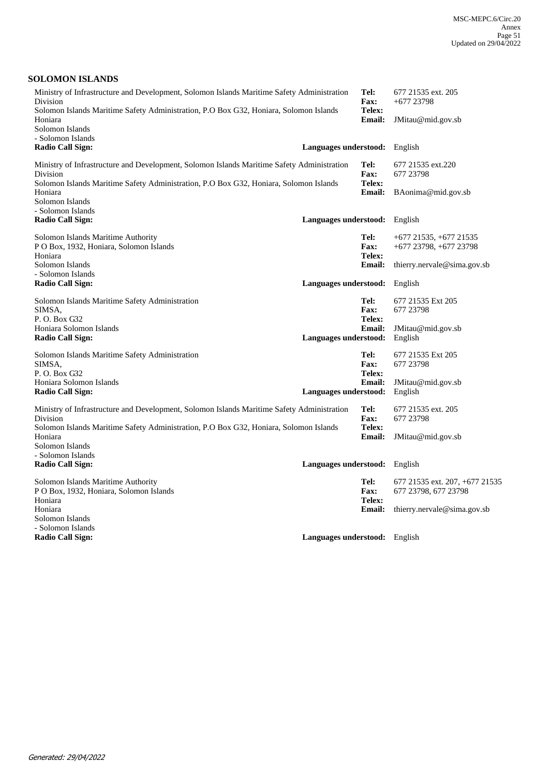### **SOLOMON ISLANDS**

| Ministry of Infrastructure and Development, Solomon Islands Maritime Safety Administration<br>Tel:<br>Division<br><b>Fax:</b> |                               |                                | 677 21535 ext. 205<br>$+677$ 23798                       |
|-------------------------------------------------------------------------------------------------------------------------------|-------------------------------|--------------------------------|----------------------------------------------------------|
| Solomon Islands Maritime Safety Administration, P.O Box G32, Honiara, Solomon Islands<br>Telex:<br><b>Email:</b><br>Honiara   |                               |                                | JMitau@mid.gov.sb                                        |
| Solomon Islands<br>- Solomon Islands                                                                                          |                               |                                |                                                          |
| <b>Radio Call Sign:</b>                                                                                                       | Languages understood:         |                                | English                                                  |
| Ministry of Infrastructure and Development, Solomon Islands Maritime Safety Administration<br>Division                        |                               | Tel:<br>Fax:                   | 677 21535 ext.220<br>677 23798                           |
| Solomon Islands Maritime Safety Administration, P.O Box G32, Honiara, Solomon Islands<br>Honiara                              |                               | Telex:<br><b>Email:</b>        | BAonima@mid.gov.sb                                       |
| Solomon Islands<br>- Solomon Islands                                                                                          |                               |                                |                                                          |
| <b>Radio Call Sign:</b>                                                                                                       | Languages understood:         |                                | English                                                  |
| Solomon Islands Maritime Authority<br>P O Box, 1932, Honiara, Solomon Islands<br>Honiara                                      |                               | Tel:<br>Fax:<br>Telex:         | $+677$ 21535, $+677$ 21535<br>$+677$ 23798, $+677$ 23798 |
| Solomon Islands<br>- Solomon Islands                                                                                          |                               | <b>Email:</b>                  | the erry.nervale@sima.gov.sb                             |
| <b>Radio Call Sign:</b>                                                                                                       | Languages understood:         |                                | English                                                  |
| Solomon Islands Maritime Safety Administration<br>SIMSA.                                                                      |                               | Tel:<br><b>Fax:</b>            | 677 21535 Ext 205<br>677 23798                           |
| P. O. Box G32<br>Honiara Solomon Islands                                                                                      |                               | <b>Telex:</b><br><b>Email:</b> | JMitau@mid.gov.sb                                        |
| Radio Call Sign:                                                                                                              | Languages understood:         |                                | English                                                  |
| Solomon Islands Maritime Safety Administration<br>SIMSA,                                                                      |                               | Tel:<br><b>Fax:</b>            | 677 21535 Ext 205<br>677 23798                           |
| P. O. Box G32<br>Honiara Solomon Islands                                                                                      |                               | Telex:<br><b>Email:</b>        | JMitau@mid.gov.sb                                        |
| <b>Radio Call Sign:</b>                                                                                                       | Languages understood:         |                                | English                                                  |
| Ministry of Infrastructure and Development, Solomon Islands Maritime Safety Administration<br>Division                        |                               | Tel:<br>Fax:                   | 677 21535 ext. 205<br>677 23798                          |
| Solomon Islands Maritime Safety Administration, P.O Box G32, Honiara, Solomon Islands<br>Honiara<br>Solomon Islands           |                               | Telex:<br><b>Email:</b>        | JMitau@mid.gov.sb                                        |
| - Solomon Islands                                                                                                             |                               |                                |                                                          |
| <b>Radio Call Sign:</b>                                                                                                       | Languages understood:         |                                | English                                                  |
| Solomon Islands Maritime Authority<br>P O Box, 1932, Honiara, Solomon Islands                                                 |                               | Tel:<br>Fax:                   | 677 21535 ext. 207, +677 21535<br>677 23798, 677 23798   |
| Honiara                                                                                                                       |                               | Telex:                         |                                                          |
| Honiara                                                                                                                       |                               | <b>Email:</b>                  | the erry.nervale@sima.gov.sb                             |
| Solomon Islands                                                                                                               |                               |                                |                                                          |
| - Solomon Islands<br>Radio Call Sign:                                                                                         | Languages understood: English |                                |                                                          |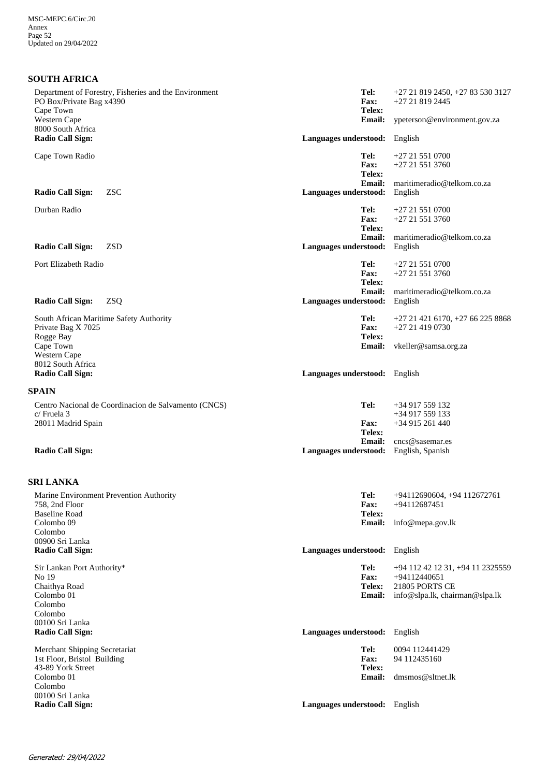| <b>SOUTH AFRICA</b>                                                                            |                                        |                                                         |
|------------------------------------------------------------------------------------------------|----------------------------------------|---------------------------------------------------------|
| Department of Forestry, Fisheries and the Environment<br>PO Box/Private Bag x4390<br>Cape Town | Tel:<br>Fax:<br>Telex:                 | +27 21 819 2450, +27 83 530 3127<br>+27 21 819 2445     |
| Western Cape                                                                                   | <b>Email:</b>                          | ypeterson@environment.gov.za                            |
| 8000 South Africa<br><b>Radio Call Sign:</b>                                                   | Languages understood:                  | English                                                 |
| Cape Town Radio                                                                                | Tel:<br><b>Fax:</b><br>Telex:          | $+27215510700$<br>$+27215513760$                        |
| <b>ZSC</b><br><b>Radio Call Sign:</b>                                                          | Email:<br>Languages understood:        | maritimeradio@telkom.co.za<br>English                   |
| Durban Radio                                                                                   | Tel:<br><b>Fax:</b><br>Telex:          | $+27215510700$<br>+27 21 551 3760                       |
| <b>ZSD</b><br><b>Radio Call Sign:</b>                                                          | <b>Email:</b><br>Languages understood: | maritimeradio@telkom.co.za<br>English                   |
| Port Elizabeth Radio                                                                           | Tel:<br>Fax:<br>Telex:                 | $+27215510700$<br>$+27215513760$                        |
| <b>Radio Call Sign:</b><br><b>ZSQ</b>                                                          | <b>Email:</b><br>Languages understood: | maritimeradio@telkom.co.za<br>English                   |
| South African Maritime Safety Authority<br>Private Bag X 7025<br>Rogge Bay                     | Tel:<br>Fax:<br>Telex:                 | +27 21 421 6170, +27 66 225 8868<br>+27 21 419 0730     |
| Cape Town<br>Western Cape                                                                      | <b>Email:</b>                          | vkeller@samsa.org.za                                    |
| 8012 South Africa<br><b>Radio Call Sign:</b>                                                   | Languages understood: English          |                                                         |
| <b>SPAIN</b>                                                                                   |                                        |                                                         |
| Centro Nacional de Coordinacion de Salvamento (CNCS)<br>c/ Fruela 3                            | Tel:                                   | +34 917 559 132<br>+34 917 559 133                      |
| 28011 Madrid Spain                                                                             | <b>Fax:</b><br>Telex:<br>Email:        | +34 915 261 440<br>cncs@sasemar.es                      |
| <b>Radio Call Sign:</b>                                                                        | Languages understood:                  | English, Spanish                                        |
| <b>SRI LANKA</b>                                                                               |                                        |                                                         |
| Marine Environment Prevention Authority<br>758, 2nd Floor                                      | Tel:<br>Fax:                           | +94112690604, +94 112672761<br>$+94112687451$           |
| <b>Baseline Road</b><br>Colombo <sub>09</sub><br>Colombo                                       | Telex:<br><b>Email:</b>                | info@mepa.gov.lk                                        |
| 00900 Sri Lanka<br><b>Radio Call Sign:</b>                                                     | Languages understood: English          |                                                         |
| Sir Lankan Port Authority*<br>No 19                                                            | Tel:<br>Fax:                           | +94 112 42 12 31, +94 11 2325559<br>+94112440651        |
| Chaithya Road<br>Colombo 01<br>Colombo<br>Colombo                                              | Telex:<br><b>Email:</b>                | <b>21805 PORTS CE</b><br>info@slpa.lk, chairman@slpa.lk |
| 00100 Sri Lanka<br><b>Radio Call Sign:</b>                                                     | Languages understood: English          |                                                         |
| Merchant Shipping Secretariat<br>1st Floor, Bristol Building<br>43-89 York Street              | Tel:<br>Fax:<br>Telex:                 | 0094 112441429<br>94 112435160                          |
| Colombo 01<br>Colombo<br>00100 Sri Lanka                                                       | <b>Email:</b>                          | dmsmos@sltnet.lk                                        |
| <b>Radio Call Sign:</b>                                                                        | Languages understood: English          |                                                         |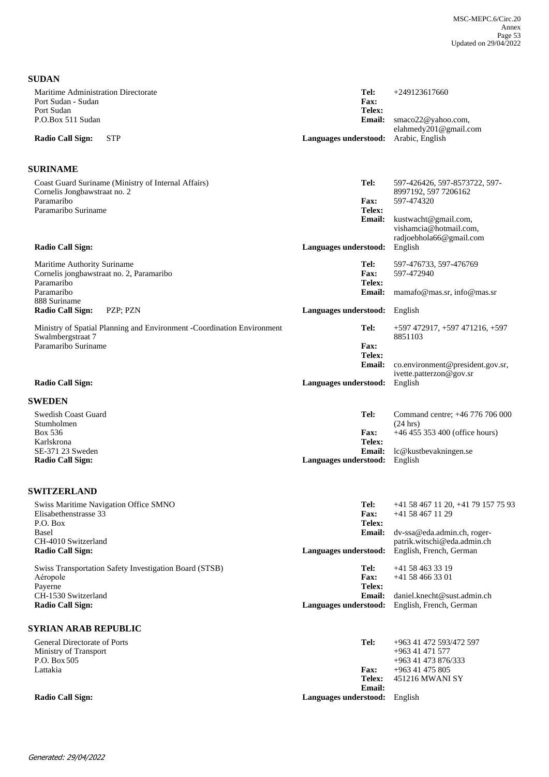| <b>SUDAN</b>                                                                                      |                                        |                                                                     |
|---------------------------------------------------------------------------------------------------|----------------------------------------|---------------------------------------------------------------------|
| Maritime Administration Directorate<br>Port Sudan - Sudan<br>Port Sudan                           | Tel:<br><b>Fax:</b><br>Telex:          | $+249123617660$                                                     |
| P.O.Box 511 Sudan<br><b>Radio Call Sign:</b><br><b>STP</b>                                        | <b>Email:</b><br>Languages understood: | smaco22@yahoo.com,<br>elahmedy201@gmail.com<br>Arabic, English      |
|                                                                                                   |                                        |                                                                     |
| <b>SURINAME</b>                                                                                   |                                        |                                                                     |
| Coast Guard Suriname (Ministry of Internal Affairs)<br>Cornelis Jongbawstraat no. 2<br>Paramaribo | Tel:                                   | 597-426426, 597-8573722, 597-<br>8997192, 597 7206162<br>597-474320 |
| Paramaribo Suriname                                                                               | <b>Fax:</b><br>Telex:<br><b>Email:</b> | kustwacht@gmail.com,                                                |
| <b>Radio Call Sign:</b>                                                                           | Languages understood:                  | vishamcia@hotmail.com,<br>radjoebhola66@gmail.com<br>English        |
|                                                                                                   |                                        |                                                                     |
| Maritime Authority Suriname<br>Cornelis jongbawstraat no. 2, Paramaribo<br>Paramaribo             | Tel:<br>Fax:<br>Telex:                 | 597-476733, 597-476769<br>597-472940                                |
| Paramaribo<br>888 Suriname                                                                        | <b>Email:</b>                          | mamafo@mas.sr, info@mas.sr                                          |
| <b>Radio Call Sign:</b><br>PZP; PZN                                                               | Languages understood: English          |                                                                     |
| Ministry of Spatial Planning and Environment -Coordination Environment<br>Swalmbergstraat 7       | Tel:                                   | +597 472917, +597 471216, +597<br>8851103                           |
| Paramaribo Suriname                                                                               | Fax:<br>Telex:                         |                                                                     |
|                                                                                                   | <b>Email:</b>                          | co.environment@president.gov.sr,<br>ivette.patterzon@gov.sr         |
| <b>Radio Call Sign:</b>                                                                           | Languages understood:                  | English                                                             |
| <b>SWEDEN</b>                                                                                     |                                        |                                                                     |
| Swedish Coast Guard<br>Stumholmen                                                                 | Tel:                                   | Command centre; +46 776 706 000<br>(24 hrs)                         |
| Box 536<br>Karlskrona                                                                             | <b>Fax:</b><br>Telex:                  | $+46455353400$ (office hours)                                       |
| SE-371 23 Sweden                                                                                  | <b>Email:</b>                          | lc@kustbevakningen.se                                               |
| <b>Radio Call Sign:</b>                                                                           | Languages understood:                  | English                                                             |
| <b>SWITZERLAND</b>                                                                                |                                        |                                                                     |
| Swiss Maritime Navigation Office SMNO<br>Elisabethenstrasse 33                                    | Tel:<br>Fax:                           | +41 58 467 11 20, +41 79 157 75 93<br>+41 58 467 11 29              |
| P.O. Box<br><b>Basel</b>                                                                          | Telex:<br><b>Email:</b>                | dv-ssa@eda.admin.ch, roger-                                         |
| CH-4010 Switzerland<br><b>Radio Call Sign:</b>                                                    | Languages understood:                  | patrik.witschi@eda.admin.ch<br>English, French, German              |
| <b>Swiss Transportation Safety Investigation Board (STSB)</b><br>Aéropole                         | Tel:<br>Fax:                           | +41 58 463 33 19<br>$+41584663301$                                  |
| Payerne<br>CH-1530 Switzerland                                                                    | Telex:<br><b>Email:</b>                | daniel.knecht@sust.admin.ch                                         |
| <b>Radio Call Sign:</b>                                                                           | Languages understood:                  | English, French, German                                             |
| <b>SYRIAN ARAB REPUBLIC</b>                                                                       |                                        |                                                                     |
| General Directorate of Ports                                                                      | Tel:                                   | +963 41 472 593/472 597                                             |
| Ministry of Transport<br>P.O. Box 505                                                             |                                        | +963 41 471 577<br>+963 41 473 876/333                              |
| Lattakia                                                                                          | Fax:                                   | +963 41 475 805                                                     |
|                                                                                                   | Telex:                                 | 451216 MWANI SY                                                     |

**Email:**

**Radio Call Sign: Languages understood:** English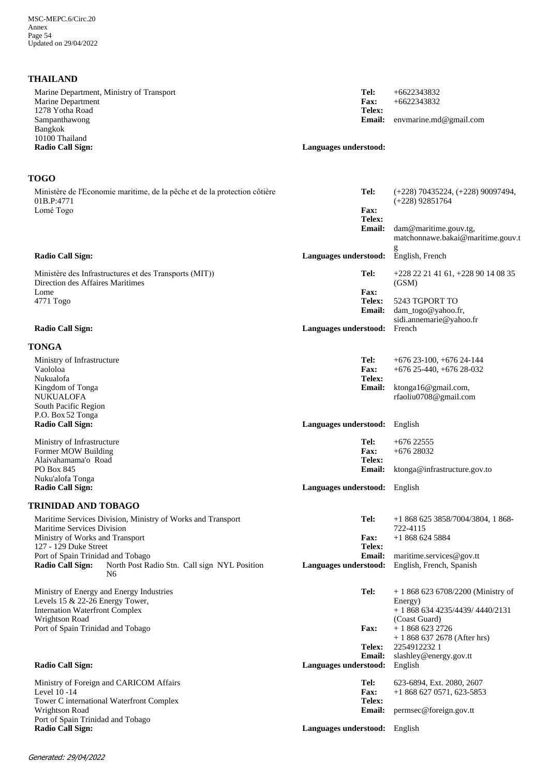## **THAILAND**

| Marine Department, Ministry of Transport | Tel:                  | $+6622343832$          |
|------------------------------------------|-----------------------|------------------------|
| Marine Department<br>1278 Yotha Road     | <b>Fax:</b><br>Telex: | $+6622343832$          |
| Sampanthawong                            | <b>Email:</b>         | envmarine.md@gmail.com |
| Bangkok                                  |                       |                        |
| 10100 Thailand                           |                       |                        |
| <b>Radio Call Sign:</b>                  | Languages understood: |                        |
|                                          |                       |                        |

## **TOGO**

| Ministère de l'Economie maritime, de la pêche et de la protection côtière<br>01B.P:4771                      | Tel:                                   | $(+228)$ 70435224, $(+228)$ 90097494,<br>$(+228)$ 92851764 |
|--------------------------------------------------------------------------------------------------------------|----------------------------------------|------------------------------------------------------------|
| Lomé Togo                                                                                                    | <b>Fax:</b><br>Telex:                  |                                                            |
|                                                                                                              | <b>Email:</b>                          | dam@maritime.gouv.tg,<br>matchonnawe.bakai@maritime.gouv.t |
| <b>Radio Call Sign:</b>                                                                                      | Languages understood:                  | English, French                                            |
| Ministère des Infrastructures et des Transports (MIT))<br>Direction des Affaires Maritimes                   | Tel:                                   | +228 22 21 41 61, +228 90 14 08 35<br>(GSM)                |
| Lome                                                                                                         | <b>Fax:</b>                            |                                                            |
| 4771 Togo                                                                                                    | Telex:<br><b>Email:</b>                | 5243 TGPORT TO<br>dam_togo@yahoo.fr,                       |
|                                                                                                              |                                        | sidi.annemarie@yahoo.fr                                    |
| <b>Radio Call Sign:</b>                                                                                      | Languages understood:                  | French                                                     |
| TONGA                                                                                                        |                                        |                                                            |
| Ministry of Infrastructure                                                                                   | Tel:                                   | $+676$ 23-100, $+676$ 24-144                               |
| Vaololoa<br>Nukualofa                                                                                        | <b>Fax:</b><br>Telex:                  | $+676$ 25-440, $+676$ 28-032                               |
| Kingdom of Tonga                                                                                             | <b>Email:</b>                          | ktonga16@gmail.com,                                        |
| <b>NUKUALOFA</b>                                                                                             |                                        | rfaoliu0708@gmail.com                                      |
| South Pacific Region<br>P.O. Box 52 Tonga                                                                    |                                        |                                                            |
| <b>Radio Call Sign:</b>                                                                                      | Languages understood:                  | English                                                    |
| Ministry of Infrastructure                                                                                   | Tel:                                   | $+67622555$                                                |
| Former MOW Building                                                                                          | <b>Fax:</b>                            | $+67628032$                                                |
| Alaivahamama'o Road<br>PO Box 845                                                                            | Telex:<br>Email:                       | ktonga@infrastructure.gov.to                               |
| Nuku'alofa Tonga                                                                                             |                                        |                                                            |
| <b>Radio Call Sign:</b>                                                                                      | Languages understood:                  | English                                                    |
| TRINIDAD AND TOBAGO                                                                                          |                                        |                                                            |
| Maritime Services Division, Ministry of Works and Transport<br>Maritime Services Division                    | Tel:                                   | $+18686253858/7004/3804, 1868$<br>722-4115                 |
| Ministry of Works and Transport                                                                              | <b>Fax:</b>                            | $+18686245884$                                             |
| 127 - 129 Duke Street                                                                                        | Telex:                                 |                                                            |
| Port of Spain Trinidad and Tobago<br><b>Radio Call Sign:</b><br>North Post Radio Stn. Call sign NYL Position | <b>Email:</b><br>Languages understood: | maritime.services@gov.tt<br>English, French, Spanish       |
| N <sub>6</sub>                                                                                               |                                        |                                                            |
| Ministry of Energy and Energy Industries                                                                     | Tel:                                   | $+18686236708/2200$ (Ministry of                           |
| Levels 15 & 22-26 Energy Tower,                                                                              |                                        | Energy)                                                    |
| <b>Internation Waterfront Complex</b><br>Wrightson Road                                                      |                                        | $+18686344235/4439/4440/2131$<br>(Coast Guard)             |
| Port of Spain Trinidad and Tobago                                                                            | <b>Fax:</b>                            | $+18686232726$                                             |
|                                                                                                              |                                        | $+18686372678$ (After hrs)                                 |
|                                                                                                              | Telex:<br><b>Email:</b>                | 22549122321<br>slashley@energy.gov.tt                      |
| <b>Radio Call Sign:</b>                                                                                      | Languages understood:                  | English                                                    |
| Ministry of Foreign and CARICOM Affairs                                                                      | Tel:                                   | 623-6894, Ext. 2080, 2607                                  |
| Level 10-14<br>Tower C international Waterfront Complex                                                      | Fax:<br>Telex:                         | $+18686270571,623-5853$                                    |
| Wrightson Road                                                                                               | <b>Email:</b>                          | permsec@foreign.gov.tt                                     |
| Port of Spain Trinidad and Tobago                                                                            |                                        |                                                            |
| <b>Radio Call Sign:</b>                                                                                      | Languages understood: English          |                                                            |
|                                                                                                              |                                        |                                                            |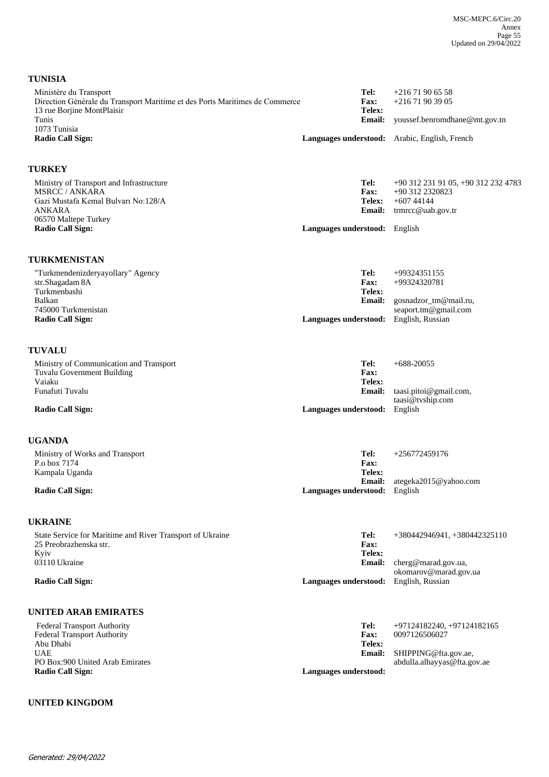| Ministère du Transport<br>Direction Générale du Transport Maritime et des Ports Maritimes de Commerce | Tel:                          | $+21671906558$                                |
|-------------------------------------------------------------------------------------------------------|-------------------------------|-----------------------------------------------|
| 13 rue Borjine MontPlaisir                                                                            | Fax:<br>Telex:                | $+21671903905$                                |
| Tunis<br>1073 Tunisia                                                                                 | <b>Email:</b>                 | youssef.benromdhane@mt.gov.tn                 |
| <b>Radio Call Sign:</b>                                                                               |                               | Languages understood: Arabic, English, French |
| <b>TURKEY</b>                                                                                         |                               |                                               |
| Ministry of Transport and Infrastructure                                                              | Tel:                          | +90 312 231 91 05, +90 312 232 4783           |
| <b>MSRCC / ANKARA</b><br>Gazi Mustafa Kemal Bulvarı No:128/A                                          | <b>Fax:</b><br>Telex:         | +90 312 2320823<br>$+60744144$                |
| <b>ANKARA</b>                                                                                         |                               | Email: trmrcc@uab.gov.tr                      |
| 06570 Maltepe Turkey<br><b>Radio Call Sign:</b>                                                       | Languages understood: English |                                               |
| TURKMENISTAN                                                                                          |                               |                                               |
| "Turkmendenizderyayollary" Agency                                                                     | Tel:                          | +99324351155                                  |
| str.Shagadam 8A<br>Turkmenbashi                                                                       | Fax:<br>Telex:                | +99324320781                                  |
| Balkan                                                                                                | <b>Email:</b>                 | gosnadzor_tm@mail.ru,                         |
| 745000 Turkmenistan<br><b>Radio Call Sign:</b>                                                        | Languages understood:         | seaport.tm@gmail.com<br>English, Russian      |
| <b>TUVALU</b>                                                                                         |                               |                                               |
| Ministry of Communication and Transport                                                               | Tel:                          | $+688-20055$                                  |
| Tuvalu Government Building<br>Vaiaku                                                                  | Fax:<br>Telex:                |                                               |
| Funafuti Tuvalu                                                                                       | Email:                        | taasi.pitoi@gmail.com,                        |
| <b>Radio Call Sign:</b>                                                                               | Languages understood: English | taasi@tvship.com                              |
| <b>UGANDA</b>                                                                                         |                               |                                               |
| Ministry of Works and Transport                                                                       | Tel:                          | $+256772459176$                               |
| P.o box 7174<br>Kampala Uganda                                                                        | <b>Fax:</b><br><b>Telex:</b>  |                                               |
|                                                                                                       | <b>Email:</b>                 | ategeka2015@yahoo.com                         |
| <b>Radio Call Sign:</b>                                                                               | Languages understood: English |                                               |
| <b>UKRAINE</b>                                                                                        |                               |                                               |
| State Service for Maritime and River Transport of Ukraine<br>25 Preobrazhenska str.                   | Tel:<br>Fax:                  | +380442946941, +380442325110                  |
| Kyiv                                                                                                  | Telex:                        |                                               |
| 03110 Ukraine                                                                                         | <b>Email:</b>                 | cherg@marad.gov.ua,<br>okomarov@marad.gov.ua  |
| <b>Radio Call Sign:</b>                                                                               | Languages understood:         | English, Russian                              |
| <b>UNITED ARAB EMIRATES</b>                                                                           |                               |                                               |
| <b>Federal Transport Authority</b>                                                                    | Tel:                          | $+97124182240$ , $+97124182165$               |
| Federal Transport Authority<br>Abu Dhabi                                                              | Fax:<br>Telex:                | 0097126506027                                 |
| <b>UAE</b>                                                                                            | <b>Email:</b>                 | SHIPPING@fta.gov.ae,                          |
| PO Box:900 United Arab Emirates<br><b>Radio Call Sign:</b>                                            | Languages understood:         | abdulla.alhayyas@fta.gov.ae                   |

## **UNITED KINGDOM**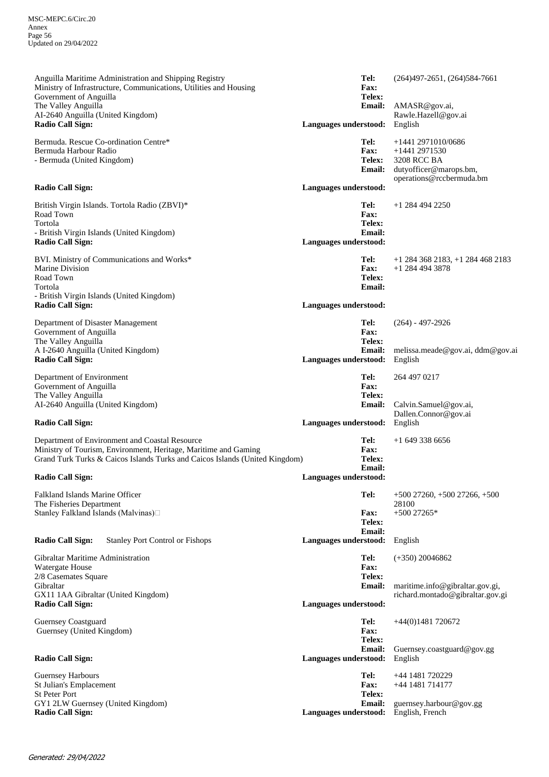MSC-MEPC.6/Circ.20 Annex Page 56 Updated on 29/04/2022

AMASR@gov.ai, Rawle.Hazell@gov.ai **Email: Telex: Fax:** Anguilla Maritime Administration and Shipping Registry Ministry of Infrastructure, Communications, Utilities and Housing Government of Anguilla The Valley Anguilla AI-2640 Anguilla (United Kingdom) **Radio Call Sign: Languages understood:** English **Tel:** (264)497-2651, (264)584-7661 dutyofficer@marops.bm, operations@rccbermuda.bm 3208 RCC BA +1441 2971530 **Email: Telex: Fax:** Bermuda. Rescue Co-ordination Centre\* Bermuda Harbour Radio - Bermuda (United Kingdom) **Radio Call Sign: Languages understood: Tel:** +1441 2971010/0686 **Email: Telex: Fax:** British Virgin Islands. Tortola Radio (ZBVI)\* Road Town Tortola - British Virgin Islands (United Kingdom) **Radio Call Sign: Languages understood: Tel:** +1 284 494 2250 +1 284 494 3878 **Email: Telex: Fax:** BVI. Ministry of Communications and Works\* Marine Division Road Town Tortola - British Virgin Islands (United Kingdom) **Radio Call Sign: Languages understood: Tel:** +1 284 368 2183, +1 284 468 2183 **Email:** melissa.meade@gov.ai, ddm@gov.ai **Telex: Fax:** Department of Disaster Management Government of Anguilla The Valley Anguilla A I-2640 Anguilla (United Kingdom) **Languages understood:** English **Tel:** (264) - 497-2926 Calvin.Samuel@gov.ai, Dallen.Connor@gov.ai **Email: Telex: Fax:** Department of Environment Government of Anguilla The Valley Anguilla AI-2640 Anguilla (United Kingdom) **Radio Call Sign: Languages understood:** English **Tel:** 264 497 0217 **Email: Telex: Fax:** Department of Environment and Coastal Resource Ministry of Tourism, Environment, Heritage, Maritime and Gaming Grand Turk Turks & Caicos Islands Turks and Caicos Islands (United Kingdom) **Radio Call Sign: Languages understood: Tel:** +1 649 338 6656 +500 27265\* **Email:**<br> **Languages understood: Telex: Fax:** Falkland Islands Marine Officer The Fisheries Department Stanley Falkland Islands (Malvinas) **Radio Call Sign:** Stanley Port Control or Fishops **Languages understood:** English **Tel:** +500 27260, +500 27266, +500 28100 maritime.info@gibraltar.gov.gi, richard.montado@gibraltar.gov.gi **Email: Telex: Fax:** Gibraltar Maritime Administration Watergate House 2/8 Casemates Square Gibraltar GX11 1AA Gibraltar (United Kingdom) Languages understood: **Tel:** (+350) 20046862 **Email:** Guernsey.coastguard@gov.gg **Telex: Fax:** Guernsey Coastguard Guernsey (United Kingdom) **Radio Call Sign: Languages understood:** English **Tel:** +44(0)1481 720672 guernsey.harbour@gov.gg +44 1481 714177 **Email: Telex: Fax:** Guernsey Harbours St Julian's Emplacement St Peter Port GY1 2LW Guernsey (United Kingdom) Languages understood: English, French **Tel:** +44 1481 720229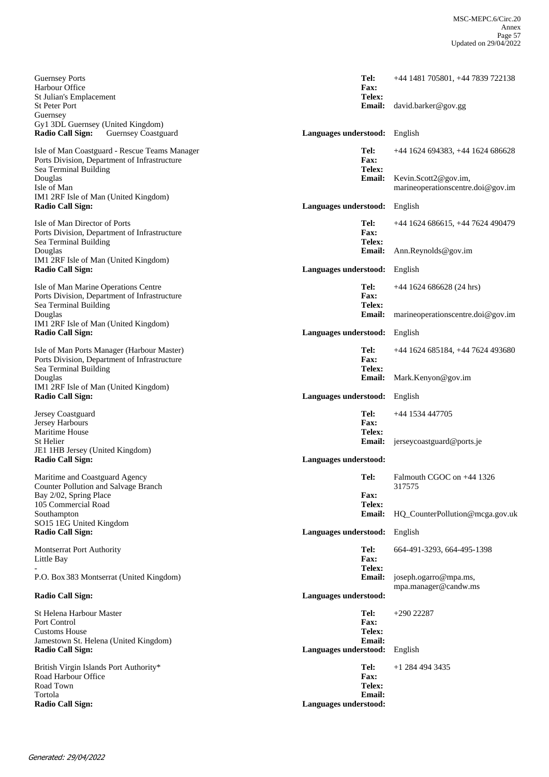| <b>Guernsey Ports</b><br>Harbour Office<br>St Julian's Emplacement<br><b>St Peter Port</b><br>Guernsey                 | Tel:<br><b>Fax:</b><br>Telex:<br><b>Email:</b>            | +44 1481 705801, +44 7839 722138<br>david.barker@gov.gg   |
|------------------------------------------------------------------------------------------------------------------------|-----------------------------------------------------------|-----------------------------------------------------------|
| Gy1 3DL Guernsey (United Kingdom)<br>Radio Call Sign:<br><b>Guernsey Coastguard</b>                                    | Languages understood: English                             |                                                           |
| Isle of Man Coastguard - Rescue Teams Manager<br>Ports Division, Department of Infrastructure<br>Sea Terminal Building | Tel:<br>Fax:<br>Telex:                                    | +44 1624 694383, +44 1624 686628                          |
| Douglas<br>Isle of Man                                                                                                 | <b>Email:</b>                                             | Kevin.Scott2@gov.im,<br>marineoperationscentre.doi@gov.im |
| IM1 2RF Isle of Man (United Kingdom)<br><b>Radio Call Sign:</b>                                                        | Languages understood:                                     | English                                                   |
| Isle of Man Director of Ports<br>Ports Division, Department of Infrastructure<br>Sea Terminal Building                 | Tel:<br>Fax:<br>Telex:                                    | +44 1624 686615, +44 7624 490479                          |
| Douglas<br>IM1 2RF Isle of Man (United Kingdom)                                                                        | <b>Email:</b>                                             | Ann.Reynolds@gov.im                                       |
| <b>Radio Call Sign:</b>                                                                                                | Languages understood: English                             |                                                           |
| Isle of Man Marine Operations Centre<br>Ports Division, Department of Infrastructure<br>Sea Terminal Building          | Tel:<br>Fax:<br>Telex:                                    | $+44$ 1624 686628 (24 hrs)                                |
| Douglas<br>IM1 2RF Isle of Man (United Kingdom)                                                                        | <b>Email:</b>                                             | marine operations centre. doi $@$ gov.im                  |
| <b>Radio Call Sign:</b>                                                                                                | Languages understood:                                     | English                                                   |
| Isle of Man Ports Manager (Harbour Master)<br>Ports Division, Department of Infrastructure<br>Sea Terminal Building    | Tel:<br>Fax:<br>Telex:                                    | +44 1624 685184, +44 7624 493680                          |
| Douglas<br>IM1 2RF Isle of Man (United Kingdom)                                                                        | <b>Email:</b>                                             | Mark.Kenyon@gov.im                                        |
| <b>Radio Call Sign:</b>                                                                                                | Languages understood:                                     | English                                                   |
| Jersey Coastguard<br>Jersey Harbours<br><b>Maritime House</b>                                                          | Tel:<br>Fax:<br>Telex:                                    | +44 1534 447705                                           |
| St Helier<br>JE1 1HB Jersey (United Kingdom)<br><b>Radio Call Sign:</b>                                                | <b>Email:</b><br>Languages understood:                    | jerseycoastguard@ports.je                                 |
| Maritime and Coastguard Agency<br><b>Counter Pollution and Salvage Branch</b>                                          | Tel:                                                      | Falmouth CGOC on +44 1326<br>317575                       |
| Bay 2/02, Spring Place<br>105 Commercial Road<br>Southampton                                                           | <b>Fax:</b><br>Telex:<br><b>Email:</b>                    | HQ_CounterPollution@mcga.gov.uk                           |
| SO15 1EG United Kingdom<br><b>Radio Call Sign:</b>                                                                     | Languages understood:                                     | English                                                   |
| Montserrat Port Authority<br>Little Bay                                                                                | Tel:<br>Fax:<br>Telex:                                    | 664-491-3293, 664-495-1398                                |
| P.O. Box 383 Montserrat (United Kingdom)                                                                               | <b>Email:</b>                                             | joseph.ogarro@mpa.ms,                                     |
| <b>Radio Call Sign:</b>                                                                                                | Languages understood:                                     | mpa.manager@candw.ms                                      |
| St Helena Harbour Master<br>Port Control<br><b>Customs House</b>                                                       | Tel:<br>Fax:<br>Telex:                                    | $+290$ 22287                                              |
| Jamestown St. Helena (United Kingdom)<br><b>Radio Call Sign:</b>                                                       | <b>Email:</b><br>Languages understood:                    | English                                                   |
| British Virgin Islands Port Authority*                                                                                 |                                                           | $+1$ 284 494 3435                                         |
| Road Harbour Office<br>Road Town<br>Tortola<br><b>Radio Call Sign:</b>                                                 | Tel:<br>Fax:<br>Telex:<br>Email:<br>Languages understood: |                                                           |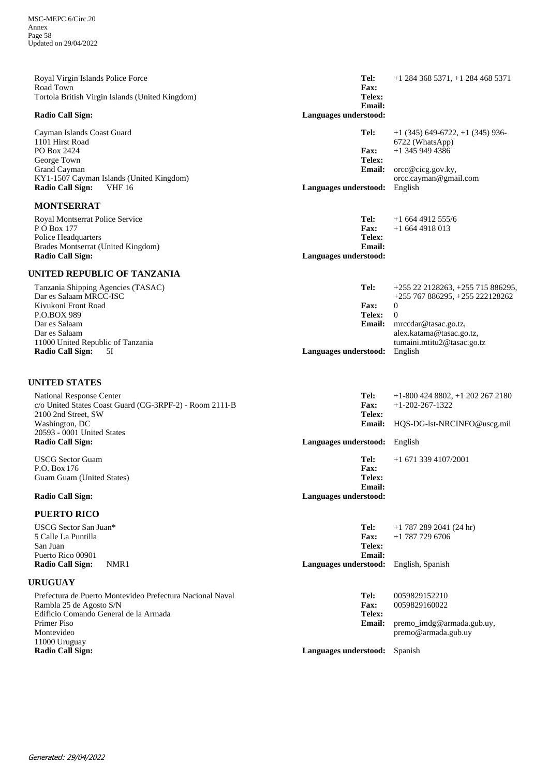| Royal Virgin Islands Police Force<br>Road Town                | Tel:<br>Fax:<br>Telex:          | $+1$ 284 368 5371, $+1$ 284 468 5371 |
|---------------------------------------------------------------|---------------------------------|--------------------------------------|
| Tortola British Virgin Islands (United Kingdom)               | <b>Email:</b>                   |                                      |
| Radio Call Sign:                                              | Languages understood:           |                                      |
| Cayman Islands Coast Guard                                    | Tel:                            | $+1$ (345) 649-6722, $+1$ (345) 936- |
| 1101 Hirst Road<br>PO Box 2424                                | <b>Fax:</b>                     | 6722 (WhatsApp)<br>$+1$ 345 949 4386 |
| George Town                                                   | Telex:                          |                                      |
| Grand Cayman                                                  | <b>Email:</b>                   | orcc@cicg.gov.ky,                    |
| KY1-1507 Cayman Islands (United Kingdom)                      |                                 | orcc.cayman@gmail.com                |
| Radio Call Sign:<br><b>VHF 16</b>                             | Languages understood:           | English                              |
| <b>MONTSERRAT</b>                                             |                                 |                                      |
| Royal Montserrat Police Service                               | Tel:                            | $+16644912555/6$                     |
| P O Box 177                                                   | Fax:                            | $+16644918013$                       |
| Police Headquarters                                           | Telex:                          |                                      |
| Brades Montserrat (United Kingdom)<br><b>Radio Call Sign:</b> | Email:<br>Languages understood: |                                      |
|                                                               |                                 |                                      |
| UNITED REPUBLIC OF TANZANIA                                   |                                 |                                      |
| Tanzania Shipping Agencies (TASAC)                            | Tel:                            | +255 22 2128263, +255 715 886295,    |
| Dar es Salaam MRCC-ISC                                        |                                 | +255 767 886295, +255 222128262      |
| Kivukoni Front Road<br>P.O.BOX 989                            | <b>Fax:</b><br>Telex:           | $\overline{0}$<br>$\overline{0}$     |
| Dar es Salaam                                                 | Email:                          | mrccdar@tasac.go.tz,                 |
| Dar es Salaam                                                 |                                 | alex.katama@tasac.go.tz,             |
| 11000 United Republic of Tanzania                             |                                 | tumaini.mtitu2@tasac.go.tz           |
| <b>Radio Call Sign:</b><br>5Ι                                 | Languages understood:           | English                              |
|                                                               |                                 |                                      |
| <b>UNITED STATES</b>                                          |                                 |                                      |
| National Response Center                                      | Tel:                            | $+1-800$ 424 8802, $+1$ 202 267 2180 |
| c/o United States Coast Guard (CG-3RPF-2) - Room 2111-B       | Fax:<br>Telex:                  | $+1 - 202 - 267 - 1322$              |
| 2100 2nd Street, SW<br>Washington, DC                         | <b>Email:</b>                   | HQS-DG-1st-NRCINFO@uscg.mil          |
| 20593 - 0001 United States                                    |                                 |                                      |
| <b>Radio Call Sign:</b>                                       | Languages understood:           | English                              |
| <b>USCG Sector Guam</b>                                       | Tel:                            | $+1$ 671 339 4107/2001               |
| P.O. Box 176                                                  | Fax:                            |                                      |
| Guam Guam (United States)                                     | Telex:<br><b>Email:</b>         |                                      |
| <b>Radio Call Sign:</b>                                       | Languages understood:           |                                      |
| <b>PUERTO RICO</b>                                            |                                 |                                      |

| USCG Sector San Juan*<br>5 Calle La Puntilla<br>San Juan<br>Puerto Rico 00901 | Tel:<br><b>Fax:</b><br>Telex:<br><b>Email:</b> | $+1$ 787 289 2041 (24 hr)<br>$+1$ 787 729 6706 |
|-------------------------------------------------------------------------------|------------------------------------------------|------------------------------------------------|
| NMR1<br>Radio Call Sign:                                                      | Languages understood: English, Spanish         |                                                |
| URUGUAY                                                                       |                                                |                                                |
| Prefectura de Puerto Montevideo Prefectura Nacional Naval                     | Tel:                                           | 0059829152210                                  |
| Rambla 25 de Agosto S/N                                                       | <b>Fax:</b>                                    | 0059829160022                                  |
| Edificio Comando General de la Armada                                         | Telex:                                         |                                                |
| Primer Piso                                                                   | <b>Email:</b>                                  | $premo$ imdg@armada.gub.uy,                    |
| Montevideo                                                                    |                                                | premo@armada.gub.uy                            |
| 11000 Uruguay                                                                 |                                                |                                                |
| Radio Call Sign:                                                              | Languages understood:                          | Spanish                                        |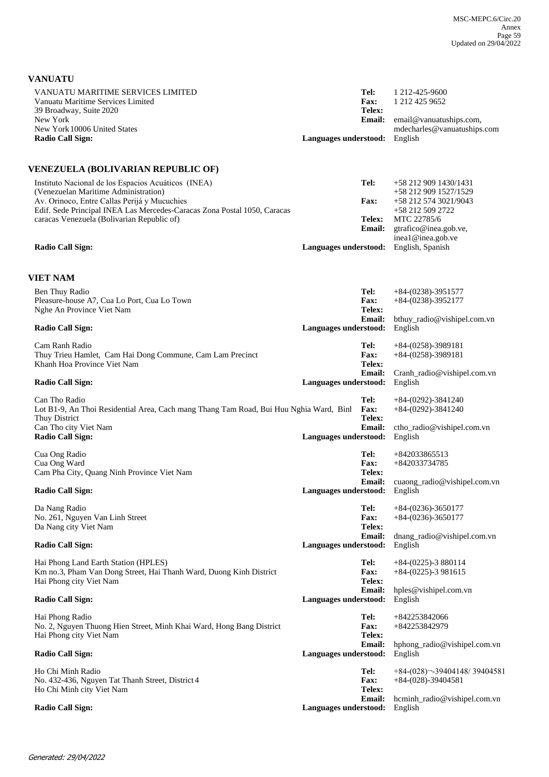**VANUATU**

| VANUATU MARITIME SERVICES LIMITED<br>Vanuatu Maritime Services Limited<br>39 Broadway, Suite 2020                                                                      | Tel:<br><b>Fax:</b><br>Telex:             | 1 212-425-9600<br>1 212 425 9652                         |
|------------------------------------------------------------------------------------------------------------------------------------------------------------------------|-------------------------------------------|----------------------------------------------------------|
| New York<br>New York 10006 United States                                                                                                                               | <b>Email:</b>                             | email@vanuatuships.com,<br>mdecharles@vanuatuships.com   |
| <b>Radio Call Sign:</b>                                                                                                                                                | Languages understood:                     | English                                                  |
| <b>VENEZUELA (BOLIVARIAN REPUBLIC OF)</b>                                                                                                                              |                                           |                                                          |
| Instituto Nacional de los Espacios Acuáticos (INEA)<br>(Venezuelan Maritime Administration)                                                                            | Tel:                                      | +58 212 909 1430/1431<br>+58 212 909 1527/1529           |
| Av. Orinoco, Entre Callas Perijá y Mucuchies<br>Edif. Sede Principal INEA Las Mercedes-Caracas Zona Postal 1050, Caracas<br>caracas Venezuela (Bolivarian Republic of) | <b>Fax:</b><br><b>Telex:</b>              | +58 212 574 3021/9043<br>+58 212 509 2722<br>MTC 22785/6 |
|                                                                                                                                                                        | <b>Email:</b>                             | gtrafico@inea.gob.ve,<br>inea1@inea.gob.ve               |
| <b>Radio Call Sign:</b>                                                                                                                                                | Languages understood:                     | English, Spanish                                         |
| VIET NAM                                                                                                                                                               |                                           |                                                          |
| Ben Thuy Radio<br>Pleasure-house A7, Cua Lo Port, Cua Lo Town                                                                                                          | Tel:<br>Fax:                              | $+84-(0238)-3951577$<br>$+84-(0238)-3952177$             |
| Nghe An Province Viet Nam<br><b>Radio Call Sign:</b>                                                                                                                   | Telex:<br>Email:<br>Languages understood: | bthuy_radio@vishipel.com.vn<br>English                   |
| Cam Ranh Radio<br>Thuy Trieu Hamlet, Cam Hai Dong Commune, Cam Lam Precinct<br>Khanh Hoa Province Viet Nam                                                             | Tel:<br><b>Fax:</b><br>Telex:             | $+84-(0258)-3989181$<br>$+84-(0258)-3989181$             |
| <b>Radio Call Sign:</b>                                                                                                                                                | Email:<br>Languages understood:           | Cranh_radio@vishipel.com.vn<br>English                   |
| Can Tho Radio<br>Lot B1-9, An Thoi Residential Area, Cach mang Thang Tam Road, Bui Huu Nghia Ward, Binl<br>Thuy District                                               | Tel:<br>Fax:<br>Telex:                    | $+84-(0292)-3841240$<br>$+84-(0292)-3841240$             |
| Can Tho city Viet Nam<br><b>Radio Call Sign:</b>                                                                                                                       | <b>Email:</b><br>Languages understood:    | ctho_radio@vishipel.com.vn<br>English                    |
| Cua Ong Radio<br>Cua Ong Ward<br>Cam Pha City, Quang Ninh Province Viet Nam                                                                                            | Tel:<br>Fax:<br>Telex:                    | +842033865513<br>+842033734785                           |
| <b>Radio Call Sign:</b>                                                                                                                                                | <b>Email:</b><br>Languages understood:    | cuaong_radio@vishipel.com.vn<br>English                  |
| Da Nang Radio<br>No. 261, Nguyen Van Linh Street<br>Da Nang city Viet Nam                                                                                              | Tel:<br><b>Fax:</b><br>Telex:             | $+84-(0236)-3650177$<br>$+84-(0236)-3650177$             |
| <b>Radio Call Sign:</b>                                                                                                                                                | <b>Email:</b><br>Languages understood:    | $d$ nang_radio@vishipel.com.vn<br>English                |
| Hai Phong Land Earth Station (HPLES)<br>Km no.3, Pham Van Dong Street, Hai Thanh Ward, Duong Kinh District<br>Hai Phong city Viet Nam                                  | Tel:<br>Fax:<br>Telex:                    | $+84-(0225)-3880114$<br>$+84-(0225)-3981615$             |
| <b>Radio Call Sign:</b>                                                                                                                                                | Email:<br>Languages understood:           | hples@vishipel.com.vn<br>English                         |
| Hai Phong Radio<br>No. 2, Nguyen Thuong Hien Street, Minh Khai Ward, Hong Bang District<br>Hai Phong city Viet Nam                                                     | Tel:<br>Fax:<br>Telex:                    | +842253842066<br>+842253842979                           |
| <b>Radio Call Sign:</b>                                                                                                                                                | <b>Email:</b><br>Languages understood:    | hphong_radio@vishipel.com.vn<br>English                  |
| Ho Chi Minh Radio<br>No. 432-436, Nguyen Tat Thanh Street, District 4<br>Ho Chi Minh city Viet Nam                                                                     | Tel:<br><b>Fax:</b><br>Telex:             | $+84-(028)$ - 39404148/39404581<br>$+84-(028)-39404581$  |
| <b>Radio Call Sign:</b>                                                                                                                                                | <b>Email:</b><br>Languages understood:    | hcminh_radio@vishipel.com.vn<br>English                  |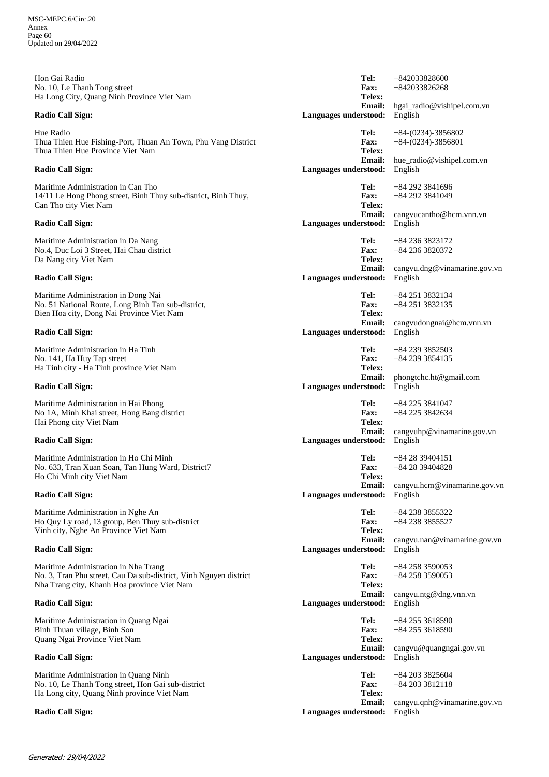hgai\_radio@vishipel.com.vn +842033826268 **Email: Telex: Fax:** Hon Gai Radio No. 10, Le Thanh Tong street Ha Long City, Quang Ninh Province Viet Nam **Radio Call Sign: Languages understood:** English **Tel:** +842033828600 hue\_radio@vishipel.com.vn +84-(0234)-3856801 **Email: Telex: Fax:** Hue Radio Thua Thien Hue Fishing-Port, Thuan An Town, Phu Vang District Thua Thien Hue Province Viet Nam **Radio Call Sign: Languages understood:** English **Tel:** +84-(0234)-3856802 cangvucantho@hcm.vnn.vn +84 292 3841049 **Email: Telex: Fax:** Maritime Administration in Can Tho 14/11 Le Hong Phong street, Binh Thuy sub-district, Binh Thuy, Can Tho city Viet Nam **Radio Call Sign: Languages understood:** English **Tel:** +84 292 3841696 cangvu.dng@vinamarine.gov.vn +84 236 3820372 **Email: Telex: Fax:** Maritime Administration in Da Nang No.4, Duc Loi 3 Street, Hai Chau district Da Nang city Viet Nam **Radio Call Sign: Languages understood:** English **Tel:** +84 236 3823172 cangvudongnai@hcm.vnn.vn +84 251 3832135 **Email: Telex: Fax:** Maritime Administration in Dong Nai No. 51 National Route, Long Binh Tan sub-district, Bien Hoa city, Dong Nai Province Viet Nam **Radio Call Sign: Languages understood:** English **Tel:** +84 251 3832134 phongtchc.ht@gmail.com +84 239 3854135 **Email: Telex: Fax:** Maritime Administration in Ha Tinh No. 141, Ha Huy Tap street Ha Tinh city - Ha Tinh province Viet Nam **Radio Call Sign: Languages understood:** English **Tel:** +84 239 3852503 cangvuhp@vinamarine.gov.vn +84 225 3842634 **Email: Telex: Fax:** Maritime Administration in Hai Phong No 1A, Minh Khai street, Hong Bang district Hai Phong city Viet Nam **Radio Call Sign: Languages understood:** English **Tel:** +84 225 3841047 cangvu.hcm@vinamarine.gov.vn +84 28 39404828 **Email: Telex: Fax:** Maritime Administration in Ho Chi Minh No. 633, Tran Xuan Soan, Tan Hung Ward, District7 Ho Chi Minh city Viet Nam **Radio Call Sign: Languages understood:** English **Tel:** +84 28 39404151 cangvu.nan@vinamarine.gov.vn +84 238 3855527 **Email: Telex: Fax:** Maritime Administration in Nghe An Ho Quy Ly road, 13 group, Ben Thuy sub-district Vinh city, Nghe An Province Viet Nam **Radio Call Sign: Languages understood:** English **Tel:** +84 238 3855322 cangvu.ntg@dng.vnn.vn +84 258 3590053 **Email: Telex: Fax:** Maritime Administration in Nha Trang No. 3, Tran Phu street, Cau Da sub-district, Vinh Nguyen district Nha Trang city, Khanh Hoa province Viet Nam **Radio Call Sign: Languages understood:** English **Tel:** +84 258 3590053 cangvu@quangngai.gov.vn +84 255 3618590 **Email: Telex: Fax:** Maritime Administration in Quang Ngai Binh Thuan village, Binh Son Quang Ngai Province Viet Nam **Radio Call Sign: Languages understood:** English **Tel:** +84 255 3618590 cangvu.qnh@vinamarine.gov.vn +84 203 3812118 **Email: Telex: Fax:** Maritime Administration in Quang Ninh No. 10, Le Thanh Tong street, Hon Gai sub-district Ha Long city, Quang Ninh province Viet Nam **Radio Call Sign: Languages understood:** English **Tel:** +84 203 3825604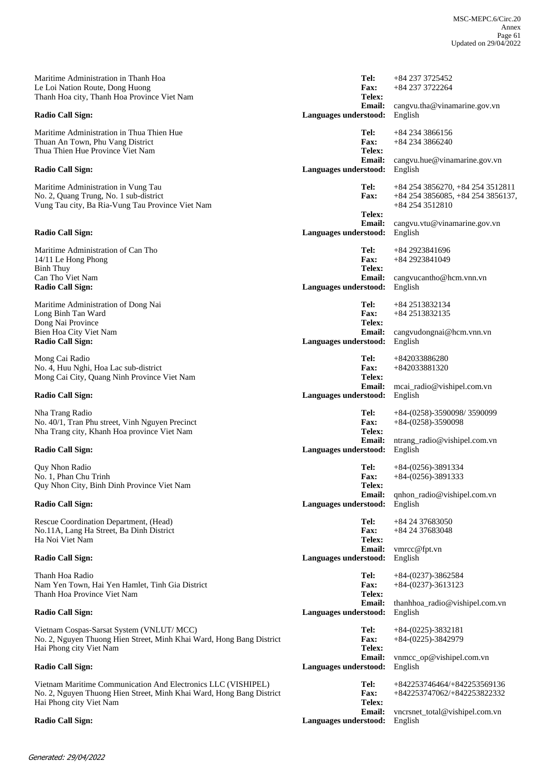cangvu.tha@vinamarine.gov.vn +84 237 3722264 **Email: Telex: Fax:** Maritime Administration in Thanh Hoa Le Loi Nation Route, Dong Huong Thanh Hoa city, Thanh Hoa Province Viet Nam **Radio Call Sign: Languages understood:** English **Tel:** +84 237 3725452 cangvu.hue@vinamarine.gov.vn +84 234 3866240 **Email: Telex: Fax:** Maritime Administration in Thua Thien Hue Thuan An Town, Phu Vang District Thua Thien Hue Province Viet Nam **Radio Call Sign: Languages understood:** English **Tel:** +84 234 3866156 cangvu.vtu@vinamarine.gov.vn +84 254 3856085, +84 254 3856137, +84 254 3512810 **Email: Telex: Fax:** Maritime Administration in Vung Tau No. 2, Quang Trung, No. 1 sub-district Vung Tau city, Ba Ria-Vung Tau Province Viet Nam **Radio Call Sign: Languages understood:** English **Tel:** +84 254 3856270, +84 254 3512811 cangvucantho@hcm.vnn.vn +84 2923841049 **Email: Telex: Fax:** Maritime Administration of Can Tho 14/11 Le Hong Phong Binh Thuy Can Tho Viet Nam<br>Radio Call Sign: Languages understood: **Tel:** +84 2923841696 cangvudongnai@hcm.vnn.vn +84 2513832135 **Email: Telex: Fax:** Maritime Administration of Dong Nai Long Binh Tan Ward Dong Nai Province Bien Hoa City Viet Nam **Radio Call Sign: Languages understood:** English **Tel:** +84 2513832134 mcai\_radio@vishipel.com.vn +842033881320 **Email: Telex: Fax:** Mong Cai Radio No. 4, Huu Nghi, Hoa Lac sub-district Mong Cai City, Quang Ninh Province Viet Nam **Radio Call Sign: Languages understood:** English **Tel:** +842033886280 ntrang\_radio@vishipel.com.vn +84-(0258)-3590098 **Email: Telex: Fax:** Nha Trang Radio No. 40/1, Tran Phu street, Vinh Nguyen Precinct Nha Trang city, Khanh Hoa province Viet Nam **Radio Call Sign: Languages understood:** English **Tel:** +84-(0258)-3590098/ 3590099 qnhon\_radio@vishipel.com.vn +84-(0256)-3891333 **Email: Telex: Fax:** Quy Nhon Radio No. 1, Phan Chu Trinh Quy Nhon City, Binh Dinh Province Viet Nam **Radio Call Sign: Languages understood:** English **Tel:** +84-(0256)-3891334 vmrcc@fpt.vn +84 24 37683048 **Email: Telex: Fax:** Rescue Coordination Department, (Head) No.11A, Lang Ha Street, Ba Dinh District Ha Noi Viet Nam **Radio Call Sign: Languages understood:** English **Tel:** +84 24 37683050 thanhhoa\_radio@vishipel.com.vn +84-(0237)-3613123 **Email: Telex: Fax:** Thanh Hoa Radio Nam Yen Town, Hai Yen Hamlet, Tinh Gia District Thanh Hoa Province Viet Nam **Radio Call Sign: Languages understood:** English **Tel:** +84-(0237)-3862584 vnmcc\_op@vishipel.com.vn +84-(0225)-3842979 **Email: Telex: Fax:** Vietnam Cospas-Sarsat System (VNLUT/ MCC) No. 2, Nguyen Thuong Hien Street, Minh Khai Ward, Hong Bang District Hai Phong city Viet Nam **Radio Call Sign: Languages understood:** English **Tel:** +84-(0225)-3832181 vncrsnet\_total@vishipel.com.vn +842253747062/+842253822332 **Email: Telex: Fax:** Vietnam Maritime Communication And Electronics LLC (VISHIPEL) No. 2, Nguyen Thuong Hien Street, Minh Khai Ward, Hong Bang District Hai Phong city Viet Nam **Radio Call Sign: Languages understood:** English **Tel:** +842253746464/+842253569136